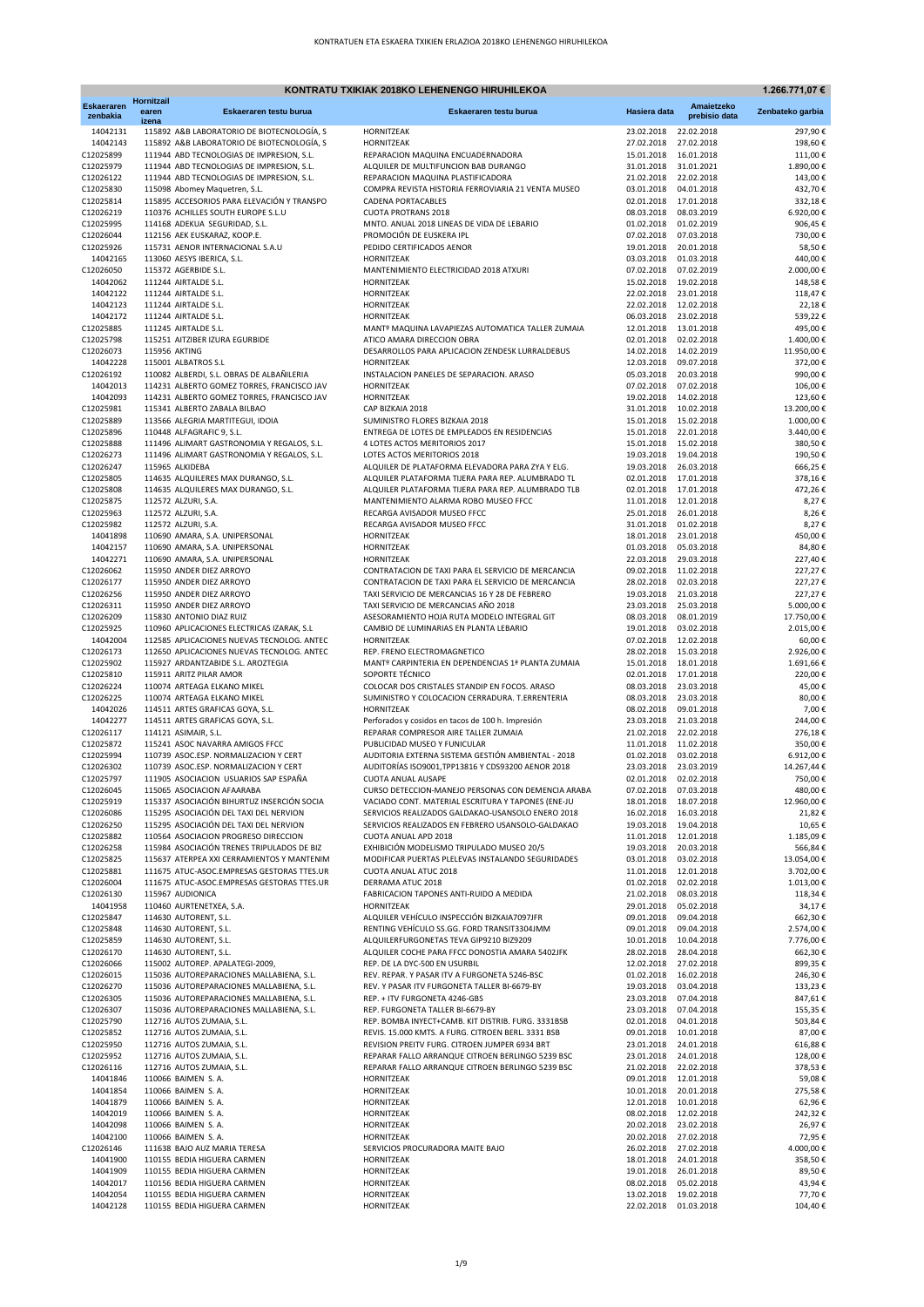| <b>Eskaeraren</b><br>Amaietzeko<br>Eskaeraren testu burua<br>Hasiera data<br>Zenbateko garbia<br>earen<br>Eskaeraren testu burua<br>prebisio data<br>zenbakia<br>izena<br>22.02.2018<br>14042131<br>115892 A&B LABORATORIO DE BIOTECNOLOGÍA, S<br>HORNITZEAK<br>23.02.2018<br>297,90€<br>14042143<br>115892 A&B LABORATORIO DE BIOTECNOLOGÍA, S<br>HORNITZEAK<br>27.02.2018<br>27.02.2018<br>198,60€<br>C12025899<br>111944 ABD TECNOLOGIAS DE IMPRESION, S.L.<br>REPARACION MAQUINA ENCUADERNADORA<br>15.01.2018  16.01.2018<br>111,00€<br>C12025979<br>111944 ABD TECNOLOGIAS DE IMPRESION, S.L.<br>ALQUILER DE MULTIFUNCION BAB DURANGO<br>31.01.2018<br>31.01.2021<br>1.890,00€<br>C12026122<br>111944 ABD TECNOLOGIAS DE IMPRESION, S.L.<br>REPARACION MAQUINA PLASTIFICADORA<br>21.02.2018<br>22.02.2018<br>143,00€<br>C12025830<br>115098 Abomey Maquetren, S.L.<br>COMPRA REVISTA HISTORIA FERROVIARIA 21 VENTA MUSEO<br>03.01.2018<br>04.01.2018<br>432,70€<br>C12025814<br>115895 ACCESORIOS PARA ELEVACIÓN Y TRANSPO<br>02.01.2018<br>332,18€<br><b>CADENA PORTACABLES</b><br>17.01.2018<br>C12026219<br>110376 ACHILLES SOUTH EUROPE S.L.U<br><b>CUOTA PROTRANS 2018</b><br>08.03.2018<br>08.03.2019<br>6.920,00€<br>C12025995<br>114168 ADEKUA SEGURIDAD, S.L.<br>MNTO. ANUAL 2018 LINEAS DE VIDA DE LEBARIO<br>01.02.2018<br>01.02.2019<br>906,45€<br>C12026044<br>112156 AEK EUSKARAZ, KOOP.E.<br>PROMOCIÓN DE EUSKERA IPL<br>07.02.2018<br>07.03.2018<br>730,00€<br>C12025926<br>115731 AENOR INTERNACIONAL S.A.U<br>PEDIDO CERTIFICADOS AENOR<br>19.01.2018<br>20.01.2018<br>58,50€<br>14042165<br>03.03.2018<br>01.03.2018<br>440,00€<br>113060 AESYS IBERICA, S.L.<br>HORNITZEAK<br>C12026050<br>115372 AGERBIDE S.L.<br>MANTENIMIENTO ELECTRICIDAD 2018 ATXURI<br>07.02.2018<br>07.02.2019<br>2.000,00€<br>15.02.2018<br>14042062<br>111244 AIRTALDE S.L.<br>HORNITZEAK<br>19.02.2018<br>148,58€<br>22.02.2018<br>14042122<br>111244 AIRTALDE S.L.<br>HORNITZEAK<br>23.01.2018<br>118,47€<br>14042123<br>22.02.2018<br>111244 AIRTALDE S.L.<br>HORNITZEAK<br>12.02.2018<br>22,18€<br>14042172<br>06.03.2018<br>539,22€<br>111244 AIRTALDE S.L.<br>HORNITZEAK<br>23.02.2018<br>C12025885<br>12.01.2018<br>495,00€<br>111245 AIRTALDE S.L.<br>MANTº MAQUINA LAVAPIEZAS AUTOMATICA TALLER ZUMAIA<br>13.01.2018<br>C12025798<br>02.01.2018<br>1.400,00€<br>115251 AITZIBER IZURA EGURBIDE<br>ATICO AMARA DIRECCION OBRA<br>02.02.2018<br>C12026073<br>14.02.2018<br>11.950,00€<br>115956 AKTING<br>DESARROLLOS PARA APLICACION ZENDESK LURRALDEBUS<br>14.02.2019<br>14042228<br>12.03.2018<br>372,00€<br>115001 ALBATROS S.L<br>HORNITZEAK<br>09.07.2018<br>C12026192<br>INSTALACION PANELES DE SEPARACION. ARASO<br>05.03.2018<br>990,00€<br>110082 ALBERDI, S.L. OBRAS DE ALBAÑILERIA<br>20.03.2018<br>14042013<br>114231 ALBERTO GOMEZ TORRES, FRANCISCO JAV<br>07.02.2018<br>106,00€<br>HORNITZEAK<br>07.02.2018<br>14042093<br>114231 ALBERTO GOMEZ TORRES, FRANCISCO JAV<br>19.02.2018<br>14.02.2018<br>123,60€<br>HORNITZEAK<br>C12025981<br>115341 ALBERTO ZABALA BILBAO<br>31.01.2018<br>10.02.2018<br>13.200,00€<br>CAP BIZKAIA 2018<br>C12025889<br>113566 ALEGRIA MARTITEGUI, IDOIA<br>15.01.2018 15.02.2018<br>1.000,00€<br>SUMINISTRO FLORES BIZKAIA 2018<br>C12025896<br>ENTREGA DE LOTES DE EMPLEADOS EN RESIDENCIAS<br>15.01.2018<br>22.01.2018<br>3.440,00 €<br>110448 ALFAGRAFIC 9, S.L.<br>C12025888<br>111496 ALIMART GASTRONOMIA Y REGALOS, S.L.<br>4 LOTES ACTOS MERITORIOS 2017<br>15.01.2018 15.02.2018<br>380,50€<br>C12026273<br>111496 ALIMART GASTRONOMIA Y REGALOS, S.L.<br>LOTES ACTOS MERITORIOS 2018<br>19.03.2018 19.04.2018<br>190,50€<br>C12026247<br>ALQUILER DE PLATAFORMA ELEVADORA PARA ZYA Y ELG.<br>19.03.2018 26.03.2018<br>666,25€<br>115965 ALKIDEBA<br>C12025805<br>114635 ALQUILERES MAX DURANGO, S.L.<br>ALQUILER PLATAFORMA TIJERA PARA REP. ALUMBRADO TL<br>02.01.2018 17.01.2018<br>378,16€<br>02.01.2018 17.01.2018<br>C12025808<br>114635 ALQUILERES MAX DURANGO, S.L.<br>ALQUILER PLATAFORMA TIJERA PARA REP. ALUMBRADO TLB<br>472,26€<br>C12025875<br>11.01.2018<br>12.01.2018<br>8,27€<br>112572 ALZURI, S.A.<br>MANTENIMIENTO ALARMA ROBO MUSEO FFCC<br>C12025963<br>112572 ALZURI, S.A.<br>RECARGA AVISADOR MUSEO FFCC<br>25.01.2018<br>26.01.2018<br>8,26€<br>C12025982<br>RECARGA AVISADOR MUSEO FFCC<br>31.01.2018<br>01.02.2018<br>8,27€<br>112572 ALZURI, S.A.<br>14041898<br>110690 AMARA, S.A. UNIPERSONAL<br>HORNITZEAK<br>18.01.2018<br>23.01.2018<br>450,00€<br>14042157<br>110690 AMARA, S.A. UNIPERSONAL<br>HORNITZEAK<br>01.03.2018<br>05.03.2018<br>84,80€<br>14042271<br>110690 AMARA, S.A. UNIPERSONAL<br>22.03.2018<br>29.03.2018<br>227,40€<br>HORNITZEAK<br>C12026062<br>115950 ANDER DIEZ ARROYO<br>09.02.2018<br>11.02.2018<br>227,27€<br>CONTRATACION DE TAXI PARA EL SERVICIO DE MERCANCIA<br>C12026177<br>28.02.2018<br>115950 ANDER DIEZ ARROYO<br>CONTRATACION DE TAXI PARA EL SERVICIO DE MERCANCIA<br>02.03.2018<br>227,27€<br>C12026256<br>19.03.2018<br>227,27€<br>115950 ANDER DIEZ ARROYO<br>TAXI SERVICIO DE MERCANCIAS 16 Y 28 DE FEBRERO<br>21.03.2018<br>23.03.2018<br>5.000,00€<br>C12026311<br>115950 ANDER DIEZ ARROYO<br>TAXI SERVICIO DE MERCANCIAS AÑO 2018<br>25.03.2018<br>08.03.2018<br>17.750,00€<br>C12026209<br>115830 ANTONIO DIAZ RUIZ<br>ASESORAMIENTO HOJA RUTA MODELO INTEGRAL GIT<br>08.01.2019<br>C12025925<br>19.01.2018<br>2.015,00€<br>110960 APLICACIONES ELECTRICAS IZARAK, S.L<br>CAMBIO DE LUMINARIAS EN PLANTA LEBARIO<br>03.02.2018<br>14042004<br>112585 APLICACIONES NUEVAS TECNOLOG. ANTEC<br>07.02.2018<br>60,00€<br>HORNITZEAK<br>12.02.2018<br>C12026173<br>REP. FRENO ELECTROMAGNETICO<br>28.02.2018 15.03.2018<br>2.926,00€<br>112650 APLICACIONES NUEVAS TECNOLOG. ANTEC<br>C12025902<br>MANTº CARPINTERIA EN DEPENDENCIAS 1ª PLANTA ZUMAIA<br>15.01.2018<br>1.691,66€<br>115927 ARDANTZABIDE S.L. AROZTEGIA<br>18.01.2018<br>C12025810<br>SOPORTE TÉCNICO<br>02.01.2018 17.01.2018<br>220,00€<br>115911 ARITZ PILAR AMOR<br>C12026224<br>COLOCAR DOS CRISTALES STANDIP EN FOCOS. ARASO<br>08.03.2018<br>45,00€<br>110074 ARTEAGA ELKANO MIKEL<br>23.03.2018<br>C12026225<br>SUMINISTRO Y COLOCACION CERRADURA. T.ERRENTERIA<br>08.03.2018<br>23.03.2018<br>80,00€<br>110074 ARTEAGA ELKANO MIKEL<br>14042026<br>08.02.2018<br>09.01.2018<br>7,00€<br>114511 ARTES GRAFICAS GOYA, S.L.<br>HORNITZEAK<br>14042277<br>Perforados y cosidos en tacos de 100 h. Impresión<br>23.03.2018 21.03.2018<br>244,00€<br>114511 ARTES GRAFICAS GOYA, S.L.<br>C12026117<br>REPARAR COMPRESOR AIRE TALLER ZUMAIA<br>21.02.2018 22.02.2018<br>276,18€<br>114121 ASIMAIR, S.L.<br>C12025872<br>115241 ASOC NAVARRA AMIGOS FFCC<br>PUBLICIDAD MUSEO Y FUNICULAR<br>11.01.2018 11.02.2018<br>350,00€<br>C12025994<br>110739 ASOC.ESP. NORMALIZACION Y CERT<br>AUDITORIA EXTERNA SISTEMA GESTIÓN AMBIENTAL - 2018<br>01.02.2018 03.02.2018<br>6.912,00€<br>AUDITORÍAS ISO9001, TPP13816 Y CDS93200 AENOR 2018<br>C12026302<br>110739 ASOC.ESP. NORMALIZACION Y CERT<br>23.03.2018 23.03.2019<br>14.267,44 €<br>02.01.2018 02.02.2018<br>C12025797<br>111905 ASOCIACION USUARIOS SAP ESPAÑA<br>CUOTA ANUAL AUSAPE<br>750,00€<br>C12026045<br>115065 ASOCIACION AFAARABA<br>CURSO DETECCION-MANEJO PERSONAS CON DEMENCIA ARABA<br>07.02.2018 07.03.2018<br>480,00€<br>C12025919<br>115337 ASOCIACIÓN BIHURTUZ INSERCIÓN SOCIA<br>VACIADO CONT. MATERIAL ESCRITURA Y TAPONES (ENE-JU<br>18.01.2018 18.07.2018<br>12.960,00€<br>C12026086<br>115295 ASOCIACIÓN DEL TAXI DEL NERVION<br>SERVICIOS REALIZADOS GALDAKAO-USANSOLO ENERO 2018<br>16.02.2018<br>16.03.2018<br>21,82€<br>C12026250<br>115295 ASOCIACIÓN DEL TAXI DEL NERVION<br>SERVICIOS REALIZADOS EN FEBRERO USANSOLO-GALDAKAO<br>19.03.2018 19.04.2018<br>10,65€<br>C12025882<br>110564 ASOCIACION PROGRESO DIRECCION<br>CUOTA ANUAL APD 2018<br>11.01.2018<br>1.185,09€<br>12.01.2018<br>C12026258<br>115984 ASOCIACIÓN TRENES TRIPULADOS DE BIZ<br>EXHIBICIÓN MODELISMO TRIPULADO MUSEO 20/5<br>19.03.2018<br>20.03.2018<br>566,84€<br>C12025825<br>115637 ATERPEA XXI CERRAMIENTOS Y MANTENIM<br>MODIFICAR PUERTAS PLELEVAS INSTALANDO SEGURIDADES<br>03.01.2018<br>03.02.2018<br>13.054,00 €<br>C12025881<br>111675 ATUC-ASOC.EMPRESAS GESTORAS TTES.UR<br>11.01.2018 12.01.2018<br>3.702,00€<br>CUOTA ANUAL ATUC 2018<br>01.02.2018<br>C12026004<br>111675 ATUC-ASOC.EMPRESAS GESTORAS TTES.UR<br>DERRAMA ATUC 2018<br>02.02.2018<br>1.013,00 €<br>C12026130<br>21.02.2018<br>115967 AUDIONICA<br>FABRICACION TAPONES ANTI-RUIDO A MEDIDA<br>08.03.2018<br>118,34€<br>29.01.2018<br>14041958<br>110460 AURTENETXEA, S.A.<br>HORNITZEAK<br>05.02.2018<br>34,17€<br>C12025847<br>ALQUILER VEHÍCULO INSPECCIÓN BIZKAIA7097JFR<br>09.01.2018<br>114630 AUTORENT, S.L.<br>09.04.2018<br>662,30€<br>C12025848<br>RENTING VEHÍCULO SS.GG. FORD TRANSIT3304JMM<br>09.01.2018<br>114630 AUTORENT, S.L.<br>09.04.2018<br>2.574,00 €<br>C12025859<br>ALQUILERFURGONETAS TEVA GIP9210 BIZ9209<br>10.01.2018 10.04.2018<br>7.776,00€<br>114630 AUTORENT, S.L.<br>28.02.2018<br>C12026170<br>114630 AUTORENT, S.L.<br>ALQUILER COCHE PARA FFCC DONOSTIA AMARA 5402JFK<br>28.04.2018<br>662,30€<br>C12026066<br>12.02.2018 27.02.2018<br>115002 AUTOREP. APALATEGI-2009,<br>REP. DE LA DYC-500 EN USURBIL<br>899,35€<br>C12026015<br>115036 AUTOREPARACIONES MALLABIENA, S.L.<br>01.02.2018 16.02.2018<br>REV. REPAR. Y PASAR ITV A FURGONETA 5246-BSC<br>246,30€<br>C12026270<br>115036 AUTOREPARACIONES MALLABIENA, S.L.<br>REV. Y PASAR ITV FURGONETA TALLER BI-6679-BY<br>19.03.2018<br>03.04.2018<br>133,23€<br>C12026305<br>115036 AUTOREPARACIONES MALLABIENA, S.L.<br>23.03.2018<br>REP. + ITV FURGONETA 4246-GBS<br>07.04.2018<br>847,61€<br>C12026307<br>115036 AUTOREPARACIONES MALLABIENA, S.L.<br>23.03.2018 07.04.2018<br>REP. FURGONETA TALLER BI-6679-BY<br>155,35€<br>C12025790<br>112716 AUTOS ZUMAIA, S.L.<br>REP. BOMBA INYECT+CAMB. KIT DISTRIB. FURG. 3331BSB<br>02.01.2018<br>04.01.2018<br>503,84€<br>C12025852<br>112716 AUTOS ZUMAIA, S.L.<br>REVIS. 15.000 KMTS. A FURG. CITROEN BERL. 3331 BSB<br>09.01.2018 10.01.2018<br>87,00€<br>C12025950<br>112716 AUTOS ZUMAIA, S.L.<br>REVISION PREITV FURG. CITROEN JUMPER 6934 BRT<br>23.01.2018 24.01.2018<br>616,88€<br>C12025952<br>112716 AUTOS ZUMAIA, S.L.<br>REPARAR FALLO ARRANQUE CITROEN BERLINGO 5239 BSC<br>23.01.2018 24.01.2018<br>128,00€<br>C12026116<br>112716 AUTOS ZUMAIA, S.L.<br>REPARAR FALLO ARRANQUE CITROEN BERLINGO 5239 BSC<br>21.02.2018 22.02.2018<br>378,53€<br>14041846<br>110066 BAIMEN S.A.<br>HORNITZEAK<br>09.01.2018 12.01.2018<br>59,08€<br>14041854<br>HORNITZEAK<br>10.01.2018<br>20.01.2018<br>275,58€<br>110066 BAIMEN S.A.<br>12.01.2018<br>14041879<br>110066 BAIMEN S.A.<br>HORNITZEAK<br>10.01.2018<br>62,96€<br>14042019<br>08.02.2018 12.02.2018<br>242,32€<br>110066 BAIMEN S.A.<br>HORNITZEAK<br>14042098<br>20.02.2018<br>26,97€<br>110066 BAIMEN S.A.<br>HORNITZEAK<br>23.02.2018<br>14042100<br>20.02.2018<br>72,95€<br>110066 BAIMEN S.A.<br>HORNITZEAK<br>27.02.2018<br>C12026146<br>26.02.2018<br>27.02.2018<br>4.000,00€<br>111638 BAJO AUZ MARIA TERESA<br>SERVICIOS PROCURADORA MAITE BAJO<br>14041900<br>110155 BEDIA HIGUERA CARMEN<br>18.01.2018<br>24.01.2018<br>358,50€<br>HORNITZEAK<br>14041909<br>110155 BEDIA HIGUERA CARMEN<br>HORNITZEAK<br>19.01.2018<br>26.01.2018<br>89,50€<br>14042017<br>110156 BEDIA HIGUERA CARMEN<br>HORNITZEAK<br>08.02.2018<br>05.02.2018<br>43,94 €<br>14042054<br>110155 BEDIA HIGUERA CARMEN<br>HORNITZEAK<br>13.02.2018 19.02.2018<br>77,70€<br>14042128<br>22.02.2018 01.03.2018<br>110155 BEDIA HIGUERA CARMEN<br>HORNITZEAK<br>104,40€ | KONTRATU TXIKIAK 2018KO LEHENENGO HIRUHILEKOA |  |  |  |  | 1.266.771,07 € |
|---------------------------------------------------------------------------------------------------------------------------------------------------------------------------------------------------------------------------------------------------------------------------------------------------------------------------------------------------------------------------------------------------------------------------------------------------------------------------------------------------------------------------------------------------------------------------------------------------------------------------------------------------------------------------------------------------------------------------------------------------------------------------------------------------------------------------------------------------------------------------------------------------------------------------------------------------------------------------------------------------------------------------------------------------------------------------------------------------------------------------------------------------------------------------------------------------------------------------------------------------------------------------------------------------------------------------------------------------------------------------------------------------------------------------------------------------------------------------------------------------------------------------------------------------------------------------------------------------------------------------------------------------------------------------------------------------------------------------------------------------------------------------------------------------------------------------------------------------------------------------------------------------------------------------------------------------------------------------------------------------------------------------------------------------------------------------------------------------------------------------------------------------------------------------------------------------------------------------------------------------------------------------------------------------------------------------------------------------------------------------------------------------------------------------------------------------------------------------------------------------------------------------------------------------------------------------------------------------------------------------------------------------------------------------------------------------------------------------------------------------------------------------------------------------------------------------------------------------------------------------------------------------------------------------------------------------------------------------------------------------------------------------------------------------------------------------------------------------------------------------------------------------------------------------------------------------------------------------------------------------------------------------------------------------------------------------------------------------------------------------------------------------------------------------------------------------------------------------------------------------------------------------------------------------------------------------------------------------------------------------------------------------------------------------------------------------------------------------------------------------------------------------------------------------------------------------------------------------------------------------------------------------------------------------------------------------------------------------------------------------------------------------------------------------------------------------------------------------------------------------------------------------------------------------------------------------------------------------------------------------------------------------------------------------------------------------------------------------------------------------------------------------------------------------------------------------------------------------------------------------------------------------------------------------------------------------------------------------------------------------------------------------------------------------------------------------------------------------------------------------------------------------------------------------------------------------------------------------------------------------------------------------------------------------------------------------------------------------------------------------------------------------------------------------------------------------------------------------------------------------------------------------------------------------------------------------------------------------------------------------------------------------------------------------------------------------------------------------------------------------------------------------------------------------------------------------------------------------------------------------------------------------------------------------------------------------------------------------------------------------------------------------------------------------------------------------------------------------------------------------------------------------------------------------------------------------------------------------------------------------------------------------------------------------------------------------------------------------------------------------------------------------------------------------------------------------------------------------------------------------------------------------------------------------------------------------------------------------------------------------------------------------------------------------------------------------------------------------------------------------------------------------------------------------------------------------------------------------------------------------------------------------------------------------------------------------------------------------------------------------------------------------------------------------------------------------------------------------------------------------------------------------------------------------------------------------------------------------------------------------------------------------------------------------------------------------------------------------------------------------------------------------------------------------------------------------------------------------------------------------------------------------------------------------------------------------------------------------------------------------------------------------------------------------------------------------------------------------------------------------------------------------------------------------------------------------------------------------------------------------------------------------------------------------------------------------------------------------------------------------------------------------------------------------------------------------------------------------------------------------------------------------------------------------------------------------------------------------------------------------------------------------------------------------------------------------------------------------------------------------------------------------------------------------------------------------------------------------------------------------------------------------------------------------------------------------------------------------------------------------------------------------------------------------------------------------------------------------------------------------------------------------------------------------------------------------------------------------------------------------------------------------------------------------------------------------------------------------------------------------------------------------------------------------------------------------------------------------------------------------------------------------------------------------------------------------------------------------------------------------------------------------------------------------------------------------------------------------------------------------------------------------------------------------------------------------------------------------------------------------------------------------------------------------------------------------------------------------------------------------------------------------------------------------------------------------------------------------------------------------------------------------------------------------------------------------------------------------------------------------------------------------------------------------------------------------------------------------------------------------------------------------------------------------------------------------------------------------------------------------------------------------------------------------------------------------------------------------------------------------------------------------------------------------------------------------------------------------------------------------------------------------------------------------------------------------------------------------------------------------------------------------------------------------------------------------------------------------------------------------------------------------------------------------------------------------------------------------------------------------------------------------------------------------------------------------------------------------------------------------------------------------------------------------------------------------------------------------------------------------------------------------------------------------------------------------------------------------------------------------------------------------------------------------------------------------------------------------------------------------------------------------------------------------------------------------------------------------------------------------------------------------------------------------------------------------------------------------------------------------------------------------------------------------------------------------------------------------------------------------------------------------------------------------------------------------------------------------------------------------------------------------------------------------------------------------------------------------------------------------------------------------------------------------------------------------------------------------------------------------------------------------------------------------------------------------------------------------------------------------------------------------------------------------|-----------------------------------------------|--|--|--|--|----------------|
|                                                                                                                                                                                                                                                                                                                                                                                                                                                                                                                                                                                                                                                                                                                                                                                                                                                                                                                                                                                                                                                                                                                                                                                                                                                                                                                                                                                                                                                                                                                                                                                                                                                                                                                                                                                                                                                                                                                                                                                                                                                                                                                                                                                                                                                                                                                                                                                                                                                                                                                                                                                                                                                                                                                                                                                                                                                                                                                                                                                                                                                                                                                                                                                                                                                                                                                                                                                                                                                                                                                                                                                                                                                                                                                                                                                                                                                                                                                                                                                                                                                                                                                                                                                                                                                                                                                                                                                                                                                                                                                                                                                                                                                                                                                                                                                                                                                                                                                                                                                                                                                                                                                                                                                                                                                                                                                                                                                                                                                                                                                                                                                                                                                                                                                                                                                                                                                                                                                                                                                                                                                                                                                                                                                                                                                                                                                                                                                                                                                                                                                                                                                                                                                                                                                                                                                                                                                                                                                                                                                                                                                                                                                                                                                                                                                                                                                                                                                                                                                                                                                                                                                                                                                                                                                                                                                                                                                                                                                                                                                                                                                                                                                                                                                                                                                                                                                                                                                                                                                                                                                                                                                                                                                                                                                                                                                                                                                                                                                                                                                                                                                                                                                                                                                                                                                                                                                                                                                                                                                                                                                                                                                                                                                                                                                                                                                                                                                                                                                                                                                                                                                                                                                                                                                                                                                                                                                                                                                                                                                                                                                                                                                                                                                                                                                                                                                                                                                                                                                                                                                                                                                                                                                                                                                                                                                                                                                                                                                                                                                                                                                                                                                                                                                                                                                                                                                                   | Hornitzail                                    |  |  |  |  |                |
|                                                                                                                                                                                                                                                                                                                                                                                                                                                                                                                                                                                                                                                                                                                                                                                                                                                                                                                                                                                                                                                                                                                                                                                                                                                                                                                                                                                                                                                                                                                                                                                                                                                                                                                                                                                                                                                                                                                                                                                                                                                                                                                                                                                                                                                                                                                                                                                                                                                                                                                                                                                                                                                                                                                                                                                                                                                                                                                                                                                                                                                                                                                                                                                                                                                                                                                                                                                                                                                                                                                                                                                                                                                                                                                                                                                                                                                                                                                                                                                                                                                                                                                                                                                                                                                                                                                                                                                                                                                                                                                                                                                                                                                                                                                                                                                                                                                                                                                                                                                                                                                                                                                                                                                                                                                                                                                                                                                                                                                                                                                                                                                                                                                                                                                                                                                                                                                                                                                                                                                                                                                                                                                                                                                                                                                                                                                                                                                                                                                                                                                                                                                                                                                                                                                                                                                                                                                                                                                                                                                                                                                                                                                                                                                                                                                                                                                                                                                                                                                                                                                                                                                                                                                                                                                                                                                                                                                                                                                                                                                                                                                                                                                                                                                                                                                                                                                                                                                                                                                                                                                                                                                                                                                                                                                                                                                                                                                                                                                                                                                                                                                                                                                                                                                                                                                                                                                                                                                                                                                                                                                                                                                                                                                                                                                                                                                                                                                                                                                                                                                                                                                                                                                                                                                                                                                                                                                                                                                                                                                                                                                                                                                                                                                                                                                                                                                                                                                                                                                                                                                                                                                                                                                                                                                                                                                                                                                                                                                                                                                                                                                                                                                                                                                                                                                                                                                                   |                                               |  |  |  |  |                |
|                                                                                                                                                                                                                                                                                                                                                                                                                                                                                                                                                                                                                                                                                                                                                                                                                                                                                                                                                                                                                                                                                                                                                                                                                                                                                                                                                                                                                                                                                                                                                                                                                                                                                                                                                                                                                                                                                                                                                                                                                                                                                                                                                                                                                                                                                                                                                                                                                                                                                                                                                                                                                                                                                                                                                                                                                                                                                                                                                                                                                                                                                                                                                                                                                                                                                                                                                                                                                                                                                                                                                                                                                                                                                                                                                                                                                                                                                                                                                                                                                                                                                                                                                                                                                                                                                                                                                                                                                                                                                                                                                                                                                                                                                                                                                                                                                                                                                                                                                                                                                                                                                                                                                                                                                                                                                                                                                                                                                                                                                                                                                                                                                                                                                                                                                                                                                                                                                                                                                                                                                                                                                                                                                                                                                                                                                                                                                                                                                                                                                                                                                                                                                                                                                                                                                                                                                                                                                                                                                                                                                                                                                                                                                                                                                                                                                                                                                                                                                                                                                                                                                                                                                                                                                                                                                                                                                                                                                                                                                                                                                                                                                                                                                                                                                                                                                                                                                                                                                                                                                                                                                                                                                                                                                                                                                                                                                                                                                                                                                                                                                                                                                                                                                                                                                                                                                                                                                                                                                                                                                                                                                                                                                                                                                                                                                                                                                                                                                                                                                                                                                                                                                                                                                                                                                                                                                                                                                                                                                                                                                                                                                                                                                                                                                                                                                                                                                                                                                                                                                                                                                                                                                                                                                                                                                                                                                                                                                                                                                                                                                                                                                                                                                                                                                                                                                                                                   |                                               |  |  |  |  |                |
|                                                                                                                                                                                                                                                                                                                                                                                                                                                                                                                                                                                                                                                                                                                                                                                                                                                                                                                                                                                                                                                                                                                                                                                                                                                                                                                                                                                                                                                                                                                                                                                                                                                                                                                                                                                                                                                                                                                                                                                                                                                                                                                                                                                                                                                                                                                                                                                                                                                                                                                                                                                                                                                                                                                                                                                                                                                                                                                                                                                                                                                                                                                                                                                                                                                                                                                                                                                                                                                                                                                                                                                                                                                                                                                                                                                                                                                                                                                                                                                                                                                                                                                                                                                                                                                                                                                                                                                                                                                                                                                                                                                                                                                                                                                                                                                                                                                                                                                                                                                                                                                                                                                                                                                                                                                                                                                                                                                                                                                                                                                                                                                                                                                                                                                                                                                                                                                                                                                                                                                                                                                                                                                                                                                                                                                                                                                                                                                                                                                                                                                                                                                                                                                                                                                                                                                                                                                                                                                                                                                                                                                                                                                                                                                                                                                                                                                                                                                                                                                                                                                                                                                                                                                                                                                                                                                                                                                                                                                                                                                                                                                                                                                                                                                                                                                                                                                                                                                                                                                                                                                                                                                                                                                                                                                                                                                                                                                                                                                                                                                                                                                                                                                                                                                                                                                                                                                                                                                                                                                                                                                                                                                                                                                                                                                                                                                                                                                                                                                                                                                                                                                                                                                                                                                                                                                                                                                                                                                                                                                                                                                                                                                                                                                                                                                                                                                                                                                                                                                                                                                                                                                                                                                                                                                                                                                                                                                                                                                                                                                                                                                                                                                                                                                                                                                                                                                                   |                                               |  |  |  |  |                |
|                                                                                                                                                                                                                                                                                                                                                                                                                                                                                                                                                                                                                                                                                                                                                                                                                                                                                                                                                                                                                                                                                                                                                                                                                                                                                                                                                                                                                                                                                                                                                                                                                                                                                                                                                                                                                                                                                                                                                                                                                                                                                                                                                                                                                                                                                                                                                                                                                                                                                                                                                                                                                                                                                                                                                                                                                                                                                                                                                                                                                                                                                                                                                                                                                                                                                                                                                                                                                                                                                                                                                                                                                                                                                                                                                                                                                                                                                                                                                                                                                                                                                                                                                                                                                                                                                                                                                                                                                                                                                                                                                                                                                                                                                                                                                                                                                                                                                                                                                                                                                                                                                                                                                                                                                                                                                                                                                                                                                                                                                                                                                                                                                                                                                                                                                                                                                                                                                                                                                                                                                                                                                                                                                                                                                                                                                                                                                                                                                                                                                                                                                                                                                                                                                                                                                                                                                                                                                                                                                                                                                                                                                                                                                                                                                                                                                                                                                                                                                                                                                                                                                                                                                                                                                                                                                                                                                                                                                                                                                                                                                                                                                                                                                                                                                                                                                                                                                                                                                                                                                                                                                                                                                                                                                                                                                                                                                                                                                                                                                                                                                                                                                                                                                                                                                                                                                                                                                                                                                                                                                                                                                                                                                                                                                                                                                                                                                                                                                                                                                                                                                                                                                                                                                                                                                                                                                                                                                                                                                                                                                                                                                                                                                                                                                                                                                                                                                                                                                                                                                                                                                                                                                                                                                                                                                                                                                                                                                                                                                                                                                                                                                                                                                                                                                                                                                                                                   |                                               |  |  |  |  |                |
|                                                                                                                                                                                                                                                                                                                                                                                                                                                                                                                                                                                                                                                                                                                                                                                                                                                                                                                                                                                                                                                                                                                                                                                                                                                                                                                                                                                                                                                                                                                                                                                                                                                                                                                                                                                                                                                                                                                                                                                                                                                                                                                                                                                                                                                                                                                                                                                                                                                                                                                                                                                                                                                                                                                                                                                                                                                                                                                                                                                                                                                                                                                                                                                                                                                                                                                                                                                                                                                                                                                                                                                                                                                                                                                                                                                                                                                                                                                                                                                                                                                                                                                                                                                                                                                                                                                                                                                                                                                                                                                                                                                                                                                                                                                                                                                                                                                                                                                                                                                                                                                                                                                                                                                                                                                                                                                                                                                                                                                                                                                                                                                                                                                                                                                                                                                                                                                                                                                                                                                                                                                                                                                                                                                                                                                                                                                                                                                                                                                                                                                                                                                                                                                                                                                                                                                                                                                                                                                                                                                                                                                                                                                                                                                                                                                                                                                                                                                                                                                                                                                                                                                                                                                                                                                                                                                                                                                                                                                                                                                                                                                                                                                                                                                                                                                                                                                                                                                                                                                                                                                                                                                                                                                                                                                                                                                                                                                                                                                                                                                                                                                                                                                                                                                                                                                                                                                                                                                                                                                                                                                                                                                                                                                                                                                                                                                                                                                                                                                                                                                                                                                                                                                                                                                                                                                                                                                                                                                                                                                                                                                                                                                                                                                                                                                                                                                                                                                                                                                                                                                                                                                                                                                                                                                                                                                                                                                                                                                                                                                                                                                                                                                                                                                                                                                                                                                                   |                                               |  |  |  |  |                |
|                                                                                                                                                                                                                                                                                                                                                                                                                                                                                                                                                                                                                                                                                                                                                                                                                                                                                                                                                                                                                                                                                                                                                                                                                                                                                                                                                                                                                                                                                                                                                                                                                                                                                                                                                                                                                                                                                                                                                                                                                                                                                                                                                                                                                                                                                                                                                                                                                                                                                                                                                                                                                                                                                                                                                                                                                                                                                                                                                                                                                                                                                                                                                                                                                                                                                                                                                                                                                                                                                                                                                                                                                                                                                                                                                                                                                                                                                                                                                                                                                                                                                                                                                                                                                                                                                                                                                                                                                                                                                                                                                                                                                                                                                                                                                                                                                                                                                                                                                                                                                                                                                                                                                                                                                                                                                                                                                                                                                                                                                                                                                                                                                                                                                                                                                                                                                                                                                                                                                                                                                                                                                                                                                                                                                                                                                                                                                                                                                                                                                                                                                                                                                                                                                                                                                                                                                                                                                                                                                                                                                                                                                                                                                                                                                                                                                                                                                                                                                                                                                                                                                                                                                                                                                                                                                                                                                                                                                                                                                                                                                                                                                                                                                                                                                                                                                                                                                                                                                                                                                                                                                                                                                                                                                                                                                                                                                                                                                                                                                                                                                                                                                                                                                                                                                                                                                                                                                                                                                                                                                                                                                                                                                                                                                                                                                                                                                                                                                                                                                                                                                                                                                                                                                                                                                                                                                                                                                                                                                                                                                                                                                                                                                                                                                                                                                                                                                                                                                                                                                                                                                                                                                                                                                                                                                                                                                                                                                                                                                                                                                                                                                                                                                                                                                                                                                                                                   |                                               |  |  |  |  |                |
|                                                                                                                                                                                                                                                                                                                                                                                                                                                                                                                                                                                                                                                                                                                                                                                                                                                                                                                                                                                                                                                                                                                                                                                                                                                                                                                                                                                                                                                                                                                                                                                                                                                                                                                                                                                                                                                                                                                                                                                                                                                                                                                                                                                                                                                                                                                                                                                                                                                                                                                                                                                                                                                                                                                                                                                                                                                                                                                                                                                                                                                                                                                                                                                                                                                                                                                                                                                                                                                                                                                                                                                                                                                                                                                                                                                                                                                                                                                                                                                                                                                                                                                                                                                                                                                                                                                                                                                                                                                                                                                                                                                                                                                                                                                                                                                                                                                                                                                                                                                                                                                                                                                                                                                                                                                                                                                                                                                                                                                                                                                                                                                                                                                                                                                                                                                                                                                                                                                                                                                                                                                                                                                                                                                                                                                                                                                                                                                                                                                                                                                                                                                                                                                                                                                                                                                                                                                                                                                                                                                                                                                                                                                                                                                                                                                                                                                                                                                                                                                                                                                                                                                                                                                                                                                                                                                                                                                                                                                                                                                                                                                                                                                                                                                                                                                                                                                                                                                                                                                                                                                                                                                                                                                                                                                                                                                                                                                                                                                                                                                                                                                                                                                                                                                                                                                                                                                                                                                                                                                                                                                                                                                                                                                                                                                                                                                                                                                                                                                                                                                                                                                                                                                                                                                                                                                                                                                                                                                                                                                                                                                                                                                                                                                                                                                                                                                                                                                                                                                                                                                                                                                                                                                                                                                                                                                                                                                                                                                                                                                                                                                                                                                                                                                                                                                                                                                                   |                                               |  |  |  |  |                |
|                                                                                                                                                                                                                                                                                                                                                                                                                                                                                                                                                                                                                                                                                                                                                                                                                                                                                                                                                                                                                                                                                                                                                                                                                                                                                                                                                                                                                                                                                                                                                                                                                                                                                                                                                                                                                                                                                                                                                                                                                                                                                                                                                                                                                                                                                                                                                                                                                                                                                                                                                                                                                                                                                                                                                                                                                                                                                                                                                                                                                                                                                                                                                                                                                                                                                                                                                                                                                                                                                                                                                                                                                                                                                                                                                                                                                                                                                                                                                                                                                                                                                                                                                                                                                                                                                                                                                                                                                                                                                                                                                                                                                                                                                                                                                                                                                                                                                                                                                                                                                                                                                                                                                                                                                                                                                                                                                                                                                                                                                                                                                                                                                                                                                                                                                                                                                                                                                                                                                                                                                                                                                                                                                                                                                                                                                                                                                                                                                                                                                                                                                                                                                                                                                                                                                                                                                                                                                                                                                                                                                                                                                                                                                                                                                                                                                                                                                                                                                                                                                                                                                                                                                                                                                                                                                                                                                                                                                                                                                                                                                                                                                                                                                                                                                                                                                                                                                                                                                                                                                                                                                                                                                                                                                                                                                                                                                                                                                                                                                                                                                                                                                                                                                                                                                                                                                                                                                                                                                                                                                                                                                                                                                                                                                                                                                                                                                                                                                                                                                                                                                                                                                                                                                                                                                                                                                                                                                                                                                                                                                                                                                                                                                                                                                                                                                                                                                                                                                                                                                                                                                                                                                                                                                                                                                                                                                                                                                                                                                                                                                                                                                                                                                                                                                                                                                                                                   |                                               |  |  |  |  |                |
|                                                                                                                                                                                                                                                                                                                                                                                                                                                                                                                                                                                                                                                                                                                                                                                                                                                                                                                                                                                                                                                                                                                                                                                                                                                                                                                                                                                                                                                                                                                                                                                                                                                                                                                                                                                                                                                                                                                                                                                                                                                                                                                                                                                                                                                                                                                                                                                                                                                                                                                                                                                                                                                                                                                                                                                                                                                                                                                                                                                                                                                                                                                                                                                                                                                                                                                                                                                                                                                                                                                                                                                                                                                                                                                                                                                                                                                                                                                                                                                                                                                                                                                                                                                                                                                                                                                                                                                                                                                                                                                                                                                                                                                                                                                                                                                                                                                                                                                                                                                                                                                                                                                                                                                                                                                                                                                                                                                                                                                                                                                                                                                                                                                                                                                                                                                                                                                                                                                                                                                                                                                                                                                                                                                                                                                                                                                                                                                                                                                                                                                                                                                                                                                                                                                                                                                                                                                                                                                                                                                                                                                                                                                                                                                                                                                                                                                                                                                                                                                                                                                                                                                                                                                                                                                                                                                                                                                                                                                                                                                                                                                                                                                                                                                                                                                                                                                                                                                                                                                                                                                                                                                                                                                                                                                                                                                                                                                                                                                                                                                                                                                                                                                                                                                                                                                                                                                                                                                                                                                                                                                                                                                                                                                                                                                                                                                                                                                                                                                                                                                                                                                                                                                                                                                                                                                                                                                                                                                                                                                                                                                                                                                                                                                                                                                                                                                                                                                                                                                                                                                                                                                                                                                                                                                                                                                                                                                                                                                                                                                                                                                                                                                                                                                                                                                                                                                                   |                                               |  |  |  |  |                |
|                                                                                                                                                                                                                                                                                                                                                                                                                                                                                                                                                                                                                                                                                                                                                                                                                                                                                                                                                                                                                                                                                                                                                                                                                                                                                                                                                                                                                                                                                                                                                                                                                                                                                                                                                                                                                                                                                                                                                                                                                                                                                                                                                                                                                                                                                                                                                                                                                                                                                                                                                                                                                                                                                                                                                                                                                                                                                                                                                                                                                                                                                                                                                                                                                                                                                                                                                                                                                                                                                                                                                                                                                                                                                                                                                                                                                                                                                                                                                                                                                                                                                                                                                                                                                                                                                                                                                                                                                                                                                                                                                                                                                                                                                                                                                                                                                                                                                                                                                                                                                                                                                                                                                                                                                                                                                                                                                                                                                                                                                                                                                                                                                                                                                                                                                                                                                                                                                                                                                                                                                                                                                                                                                                                                                                                                                                                                                                                                                                                                                                                                                                                                                                                                                                                                                                                                                                                                                                                                                                                                                                                                                                                                                                                                                                                                                                                                                                                                                                                                                                                                                                                                                                                                                                                                                                                                                                                                                                                                                                                                                                                                                                                                                                                                                                                                                                                                                                                                                                                                                                                                                                                                                                                                                                                                                                                                                                                                                                                                                                                                                                                                                                                                                                                                                                                                                                                                                                                                                                                                                                                                                                                                                                                                                                                                                                                                                                                                                                                                                                                                                                                                                                                                                                                                                                                                                                                                                                                                                                                                                                                                                                                                                                                                                                                                                                                                                                                                                                                                                                                                                                                                                                                                                                                                                                                                                                                                                                                                                                                                                                                                                                                                                                                                                                                                                                                                   |                                               |  |  |  |  |                |
|                                                                                                                                                                                                                                                                                                                                                                                                                                                                                                                                                                                                                                                                                                                                                                                                                                                                                                                                                                                                                                                                                                                                                                                                                                                                                                                                                                                                                                                                                                                                                                                                                                                                                                                                                                                                                                                                                                                                                                                                                                                                                                                                                                                                                                                                                                                                                                                                                                                                                                                                                                                                                                                                                                                                                                                                                                                                                                                                                                                                                                                                                                                                                                                                                                                                                                                                                                                                                                                                                                                                                                                                                                                                                                                                                                                                                                                                                                                                                                                                                                                                                                                                                                                                                                                                                                                                                                                                                                                                                                                                                                                                                                                                                                                                                                                                                                                                                                                                                                                                                                                                                                                                                                                                                                                                                                                                                                                                                                                                                                                                                                                                                                                                                                                                                                                                                                                                                                                                                                                                                                                                                                                                                                                                                                                                                                                                                                                                                                                                                                                                                                                                                                                                                                                                                                                                                                                                                                                                                                                                                                                                                                                                                                                                                                                                                                                                                                                                                                                                                                                                                                                                                                                                                                                                                                                                                                                                                                                                                                                                                                                                                                                                                                                                                                                                                                                                                                                                                                                                                                                                                                                                                                                                                                                                                                                                                                                                                                                                                                                                                                                                                                                                                                                                                                                                                                                                                                                                                                                                                                                                                                                                                                                                                                                                                                                                                                                                                                                                                                                                                                                                                                                                                                                                                                                                                                                                                                                                                                                                                                                                                                                                                                                                                                                                                                                                                                                                                                                                                                                                                                                                                                                                                                                                                                                                                                                                                                                                                                                                                                                                                                                                                                                                                                                                                                                                   |                                               |  |  |  |  |                |
|                                                                                                                                                                                                                                                                                                                                                                                                                                                                                                                                                                                                                                                                                                                                                                                                                                                                                                                                                                                                                                                                                                                                                                                                                                                                                                                                                                                                                                                                                                                                                                                                                                                                                                                                                                                                                                                                                                                                                                                                                                                                                                                                                                                                                                                                                                                                                                                                                                                                                                                                                                                                                                                                                                                                                                                                                                                                                                                                                                                                                                                                                                                                                                                                                                                                                                                                                                                                                                                                                                                                                                                                                                                                                                                                                                                                                                                                                                                                                                                                                                                                                                                                                                                                                                                                                                                                                                                                                                                                                                                                                                                                                                                                                                                                                                                                                                                                                                                                                                                                                                                                                                                                                                                                                                                                                                                                                                                                                                                                                                                                                                                                                                                                                                                                                                                                                                                                                                                                                                                                                                                                                                                                                                                                                                                                                                                                                                                                                                                                                                                                                                                                                                                                                                                                                                                                                                                                                                                                                                                                                                                                                                                                                                                                                                                                                                                                                                                                                                                                                                                                                                                                                                                                                                                                                                                                                                                                                                                                                                                                                                                                                                                                                                                                                                                                                                                                                                                                                                                                                                                                                                                                                                                                                                                                                                                                                                                                                                                                                                                                                                                                                                                                                                                                                                                                                                                                                                                                                                                                                                                                                                                                                                                                                                                                                                                                                                                                                                                                                                                                                                                                                                                                                                                                                                                                                                                                                                                                                                                                                                                                                                                                                                                                                                                                                                                                                                                                                                                                                                                                                                                                                                                                                                                                                                                                                                                                                                                                                                                                                                                                                                                                                                                                                                                                                                                                   |                                               |  |  |  |  |                |
|                                                                                                                                                                                                                                                                                                                                                                                                                                                                                                                                                                                                                                                                                                                                                                                                                                                                                                                                                                                                                                                                                                                                                                                                                                                                                                                                                                                                                                                                                                                                                                                                                                                                                                                                                                                                                                                                                                                                                                                                                                                                                                                                                                                                                                                                                                                                                                                                                                                                                                                                                                                                                                                                                                                                                                                                                                                                                                                                                                                                                                                                                                                                                                                                                                                                                                                                                                                                                                                                                                                                                                                                                                                                                                                                                                                                                                                                                                                                                                                                                                                                                                                                                                                                                                                                                                                                                                                                                                                                                                                                                                                                                                                                                                                                                                                                                                                                                                                                                                                                                                                                                                                                                                                                                                                                                                                                                                                                                                                                                                                                                                                                                                                                                                                                                                                                                                                                                                                                                                                                                                                                                                                                                                                                                                                                                                                                                                                                                                                                                                                                                                                                                                                                                                                                                                                                                                                                                                                                                                                                                                                                                                                                                                                                                                                                                                                                                                                                                                                                                                                                                                                                                                                                                                                                                                                                                                                                                                                                                                                                                                                                                                                                                                                                                                                                                                                                                                                                                                                                                                                                                                                                                                                                                                                                                                                                                                                                                                                                                                                                                                                                                                                                                                                                                                                                                                                                                                                                                                                                                                                                                                                                                                                                                                                                                                                                                                                                                                                                                                                                                                                                                                                                                                                                                                                                                                                                                                                                                                                                                                                                                                                                                                                                                                                                                                                                                                                                                                                                                                                                                                                                                                                                                                                                                                                                                                                                                                                                                                                                                                                                                                                                                                                                                                                                                                                                   |                                               |  |  |  |  |                |
|                                                                                                                                                                                                                                                                                                                                                                                                                                                                                                                                                                                                                                                                                                                                                                                                                                                                                                                                                                                                                                                                                                                                                                                                                                                                                                                                                                                                                                                                                                                                                                                                                                                                                                                                                                                                                                                                                                                                                                                                                                                                                                                                                                                                                                                                                                                                                                                                                                                                                                                                                                                                                                                                                                                                                                                                                                                                                                                                                                                                                                                                                                                                                                                                                                                                                                                                                                                                                                                                                                                                                                                                                                                                                                                                                                                                                                                                                                                                                                                                                                                                                                                                                                                                                                                                                                                                                                                                                                                                                                                                                                                                                                                                                                                                                                                                                                                                                                                                                                                                                                                                                                                                                                                                                                                                                                                                                                                                                                                                                                                                                                                                                                                                                                                                                                                                                                                                                                                                                                                                                                                                                                                                                                                                                                                                                                                                                                                                                                                                                                                                                                                                                                                                                                                                                                                                                                                                                                                                                                                                                                                                                                                                                                                                                                                                                                                                                                                                                                                                                                                                                                                                                                                                                                                                                                                                                                                                                                                                                                                                                                                                                                                                                                                                                                                                                                                                                                                                                                                                                                                                                                                                                                                                                                                                                                                                                                                                                                                                                                                                                                                                                                                                                                                                                                                                                                                                                                                                                                                                                                                                                                                                                                                                                                                                                                                                                                                                                                                                                                                                                                                                                                                                                                                                                                                                                                                                                                                                                                                                                                                                                                                                                                                                                                                                                                                                                                                                                                                                                                                                                                                                                                                                                                                                                                                                                                                                                                                                                                                                                                                                                                                                                                                                                                                                                                                                   |                                               |  |  |  |  |                |
|                                                                                                                                                                                                                                                                                                                                                                                                                                                                                                                                                                                                                                                                                                                                                                                                                                                                                                                                                                                                                                                                                                                                                                                                                                                                                                                                                                                                                                                                                                                                                                                                                                                                                                                                                                                                                                                                                                                                                                                                                                                                                                                                                                                                                                                                                                                                                                                                                                                                                                                                                                                                                                                                                                                                                                                                                                                                                                                                                                                                                                                                                                                                                                                                                                                                                                                                                                                                                                                                                                                                                                                                                                                                                                                                                                                                                                                                                                                                                                                                                                                                                                                                                                                                                                                                                                                                                                                                                                                                                                                                                                                                                                                                                                                                                                                                                                                                                                                                                                                                                                                                                                                                                                                                                                                                                                                                                                                                                                                                                                                                                                                                                                                                                                                                                                                                                                                                                                                                                                                                                                                                                                                                                                                                                                                                                                                                                                                                                                                                                                                                                                                                                                                                                                                                                                                                                                                                                                                                                                                                                                                                                                                                                                                                                                                                                                                                                                                                                                                                                                                                                                                                                                                                                                                                                                                                                                                                                                                                                                                                                                                                                                                                                                                                                                                                                                                                                                                                                                                                                                                                                                                                                                                                                                                                                                                                                                                                                                                                                                                                                                                                                                                                                                                                                                                                                                                                                                                                                                                                                                                                                                                                                                                                                                                                                                                                                                                                                                                                                                                                                                                                                                                                                                                                                                                                                                                                                                                                                                                                                                                                                                                                                                                                                                                                                                                                                                                                                                                                                                                                                                                                                                                                                                                                                                                                                                                                                                                                                                                                                                                                                                                                                                                                                                                                                                                                   |                                               |  |  |  |  |                |
|                                                                                                                                                                                                                                                                                                                                                                                                                                                                                                                                                                                                                                                                                                                                                                                                                                                                                                                                                                                                                                                                                                                                                                                                                                                                                                                                                                                                                                                                                                                                                                                                                                                                                                                                                                                                                                                                                                                                                                                                                                                                                                                                                                                                                                                                                                                                                                                                                                                                                                                                                                                                                                                                                                                                                                                                                                                                                                                                                                                                                                                                                                                                                                                                                                                                                                                                                                                                                                                                                                                                                                                                                                                                                                                                                                                                                                                                                                                                                                                                                                                                                                                                                                                                                                                                                                                                                                                                                                                                                                                                                                                                                                                                                                                                                                                                                                                                                                                                                                                                                                                                                                                                                                                                                                                                                                                                                                                                                                                                                                                                                                                                                                                                                                                                                                                                                                                                                                                                                                                                                                                                                                                                                                                                                                                                                                                                                                                                                                                                                                                                                                                                                                                                                                                                                                                                                                                                                                                                                                                                                                                                                                                                                                                                                                                                                                                                                                                                                                                                                                                                                                                                                                                                                                                                                                                                                                                                                                                                                                                                                                                                                                                                                                                                                                                                                                                                                                                                                                                                                                                                                                                                                                                                                                                                                                                                                                                                                                                                                                                                                                                                                                                                                                                                                                                                                                                                                                                                                                                                                                                                                                                                                                                                                                                                                                                                                                                                                                                                                                                                                                                                                                                                                                                                                                                                                                                                                                                                                                                                                                                                                                                                                                                                                                                                                                                                                                                                                                                                                                                                                                                                                                                                                                                                                                                                                                                                                                                                                                                                                                                                                                                                                                                                                                                                                                                                   |                                               |  |  |  |  |                |
|                                                                                                                                                                                                                                                                                                                                                                                                                                                                                                                                                                                                                                                                                                                                                                                                                                                                                                                                                                                                                                                                                                                                                                                                                                                                                                                                                                                                                                                                                                                                                                                                                                                                                                                                                                                                                                                                                                                                                                                                                                                                                                                                                                                                                                                                                                                                                                                                                                                                                                                                                                                                                                                                                                                                                                                                                                                                                                                                                                                                                                                                                                                                                                                                                                                                                                                                                                                                                                                                                                                                                                                                                                                                                                                                                                                                                                                                                                                                                                                                                                                                                                                                                                                                                                                                                                                                                                                                                                                                                                                                                                                                                                                                                                                                                                                                                                                                                                                                                                                                                                                                                                                                                                                                                                                                                                                                                                                                                                                                                                                                                                                                                                                                                                                                                                                                                                                                                                                                                                                                                                                                                                                                                                                                                                                                                                                                                                                                                                                                                                                                                                                                                                                                                                                                                                                                                                                                                                                                                                                                                                                                                                                                                                                                                                                                                                                                                                                                                                                                                                                                                                                                                                                                                                                                                                                                                                                                                                                                                                                                                                                                                                                                                                                                                                                                                                                                                                                                                                                                                                                                                                                                                                                                                                                                                                                                                                                                                                                                                                                                                                                                                                                                                                                                                                                                                                                                                                                                                                                                                                                                                                                                                                                                                                                                                                                                                                                                                                                                                                                                                                                                                                                                                                                                                                                                                                                                                                                                                                                                                                                                                                                                                                                                                                                                                                                                                                                                                                                                                                                                                                                                                                                                                                                                                                                                                                                                                                                                                                                                                                                                                                                                                                                                                                                                                                                                   |                                               |  |  |  |  |                |
|                                                                                                                                                                                                                                                                                                                                                                                                                                                                                                                                                                                                                                                                                                                                                                                                                                                                                                                                                                                                                                                                                                                                                                                                                                                                                                                                                                                                                                                                                                                                                                                                                                                                                                                                                                                                                                                                                                                                                                                                                                                                                                                                                                                                                                                                                                                                                                                                                                                                                                                                                                                                                                                                                                                                                                                                                                                                                                                                                                                                                                                                                                                                                                                                                                                                                                                                                                                                                                                                                                                                                                                                                                                                                                                                                                                                                                                                                                                                                                                                                                                                                                                                                                                                                                                                                                                                                                                                                                                                                                                                                                                                                                                                                                                                                                                                                                                                                                                                                                                                                                                                                                                                                                                                                                                                                                                                                                                                                                                                                                                                                                                                                                                                                                                                                                                                                                                                                                                                                                                                                                                                                                                                                                                                                                                                                                                                                                                                                                                                                                                                                                                                                                                                                                                                                                                                                                                                                                                                                                                                                                                                                                                                                                                                                                                                                                                                                                                                                                                                                                                                                                                                                                                                                                                                                                                                                                                                                                                                                                                                                                                                                                                                                                                                                                                                                                                                                                                                                                                                                                                                                                                                                                                                                                                                                                                                                                                                                                                                                                                                                                                                                                                                                                                                                                                                                                                                                                                                                                                                                                                                                                                                                                                                                                                                                                                                                                                                                                                                                                                                                                                                                                                                                                                                                                                                                                                                                                                                                                                                                                                                                                                                                                                                                                                                                                                                                                                                                                                                                                                                                                                                                                                                                                                                                                                                                                                                                                                                                                                                                                                                                                                                                                                                                                                                                                                                   |                                               |  |  |  |  |                |
|                                                                                                                                                                                                                                                                                                                                                                                                                                                                                                                                                                                                                                                                                                                                                                                                                                                                                                                                                                                                                                                                                                                                                                                                                                                                                                                                                                                                                                                                                                                                                                                                                                                                                                                                                                                                                                                                                                                                                                                                                                                                                                                                                                                                                                                                                                                                                                                                                                                                                                                                                                                                                                                                                                                                                                                                                                                                                                                                                                                                                                                                                                                                                                                                                                                                                                                                                                                                                                                                                                                                                                                                                                                                                                                                                                                                                                                                                                                                                                                                                                                                                                                                                                                                                                                                                                                                                                                                                                                                                                                                                                                                                                                                                                                                                                                                                                                                                                                                                                                                                                                                                                                                                                                                                                                                                                                                                                                                                                                                                                                                                                                                                                                                                                                                                                                                                                                                                                                                                                                                                                                                                                                                                                                                                                                                                                                                                                                                                                                                                                                                                                                                                                                                                                                                                                                                                                                                                                                                                                                                                                                                                                                                                                                                                                                                                                                                                                                                                                                                                                                                                                                                                                                                                                                                                                                                                                                                                                                                                                                                                                                                                                                                                                                                                                                                                                                                                                                                                                                                                                                                                                                                                                                                                                                                                                                                                                                                                                                                                                                                                                                                                                                                                                                                                                                                                                                                                                                                                                                                                                                                                                                                                                                                                                                                                                                                                                                                                                                                                                                                                                                                                                                                                                                                                                                                                                                                                                                                                                                                                                                                                                                                                                                                                                                                                                                                                                                                                                                                                                                                                                                                                                                                                                                                                                                                                                                                                                                                                                                                                                                                                                                                                                                                                                                                                                                                   |                                               |  |  |  |  |                |
|                                                                                                                                                                                                                                                                                                                                                                                                                                                                                                                                                                                                                                                                                                                                                                                                                                                                                                                                                                                                                                                                                                                                                                                                                                                                                                                                                                                                                                                                                                                                                                                                                                                                                                                                                                                                                                                                                                                                                                                                                                                                                                                                                                                                                                                                                                                                                                                                                                                                                                                                                                                                                                                                                                                                                                                                                                                                                                                                                                                                                                                                                                                                                                                                                                                                                                                                                                                                                                                                                                                                                                                                                                                                                                                                                                                                                                                                                                                                                                                                                                                                                                                                                                                                                                                                                                                                                                                                                                                                                                                                                                                                                                                                                                                                                                                                                                                                                                                                                                                                                                                                                                                                                                                                                                                                                                                                                                                                                                                                                                                                                                                                                                                                                                                                                                                                                                                                                                                                                                                                                                                                                                                                                                                                                                                                                                                                                                                                                                                                                                                                                                                                                                                                                                                                                                                                                                                                                                                                                                                                                                                                                                                                                                                                                                                                                                                                                                                                                                                                                                                                                                                                                                                                                                                                                                                                                                                                                                                                                                                                                                                                                                                                                                                                                                                                                                                                                                                                                                                                                                                                                                                                                                                                                                                                                                                                                                                                                                                                                                                                                                                                                                                                                                                                                                                                                                                                                                                                                                                                                                                                                                                                                                                                                                                                                                                                                                                                                                                                                                                                                                                                                                                                                                                                                                                                                                                                                                                                                                                                                                                                                                                                                                                                                                                                                                                                                                                                                                                                                                                                                                                                                                                                                                                                                                                                                                                                                                                                                                                                                                                                                                                                                                                                                                                                                                                                   |                                               |  |  |  |  |                |
|                                                                                                                                                                                                                                                                                                                                                                                                                                                                                                                                                                                                                                                                                                                                                                                                                                                                                                                                                                                                                                                                                                                                                                                                                                                                                                                                                                                                                                                                                                                                                                                                                                                                                                                                                                                                                                                                                                                                                                                                                                                                                                                                                                                                                                                                                                                                                                                                                                                                                                                                                                                                                                                                                                                                                                                                                                                                                                                                                                                                                                                                                                                                                                                                                                                                                                                                                                                                                                                                                                                                                                                                                                                                                                                                                                                                                                                                                                                                                                                                                                                                                                                                                                                                                                                                                                                                                                                                                                                                                                                                                                                                                                                                                                                                                                                                                                                                                                                                                                                                                                                                                                                                                                                                                                                                                                                                                                                                                                                                                                                                                                                                                                                                                                                                                                                                                                                                                                                                                                                                                                                                                                                                                                                                                                                                                                                                                                                                                                                                                                                                                                                                                                                                                                                                                                                                                                                                                                                                                                                                                                                                                                                                                                                                                                                                                                                                                                                                                                                                                                                                                                                                                                                                                                                                                                                                                                                                                                                                                                                                                                                                                                                                                                                                                                                                                                                                                                                                                                                                                                                                                                                                                                                                                                                                                                                                                                                                                                                                                                                                                                                                                                                                                                                                                                                                                                                                                                                                                                                                                                                                                                                                                                                                                                                                                                                                                                                                                                                                                                                                                                                                                                                                                                                                                                                                                                                                                                                                                                                                                                                                                                                                                                                                                                                                                                                                                                                                                                                                                                                                                                                                                                                                                                                                                                                                                                                                                                                                                                                                                                                                                                                                                                                                                                                                                                                                   |                                               |  |  |  |  |                |
|                                                                                                                                                                                                                                                                                                                                                                                                                                                                                                                                                                                                                                                                                                                                                                                                                                                                                                                                                                                                                                                                                                                                                                                                                                                                                                                                                                                                                                                                                                                                                                                                                                                                                                                                                                                                                                                                                                                                                                                                                                                                                                                                                                                                                                                                                                                                                                                                                                                                                                                                                                                                                                                                                                                                                                                                                                                                                                                                                                                                                                                                                                                                                                                                                                                                                                                                                                                                                                                                                                                                                                                                                                                                                                                                                                                                                                                                                                                                                                                                                                                                                                                                                                                                                                                                                                                                                                                                                                                                                                                                                                                                                                                                                                                                                                                                                                                                                                                                                                                                                                                                                                                                                                                                                                                                                                                                                                                                                                                                                                                                                                                                                                                                                                                                                                                                                                                                                                                                                                                                                                                                                                                                                                                                                                                                                                                                                                                                                                                                                                                                                                                                                                                                                                                                                                                                                                                                                                                                                                                                                                                                                                                                                                                                                                                                                                                                                                                                                                                                                                                                                                                                                                                                                                                                                                                                                                                                                                                                                                                                                                                                                                                                                                                                                                                                                                                                                                                                                                                                                                                                                                                                                                                                                                                                                                                                                                                                                                                                                                                                                                                                                                                                                                                                                                                                                                                                                                                                                                                                                                                                                                                                                                                                                                                                                                                                                                                                                                                                                                                                                                                                                                                                                                                                                                                                                                                                                                                                                                                                                                                                                                                                                                                                                                                                                                                                                                                                                                                                                                                                                                                                                                                                                                                                                                                                                                                                                                                                                                                                                                                                                                                                                                                                                                                                                                                                   |                                               |  |  |  |  |                |
|                                                                                                                                                                                                                                                                                                                                                                                                                                                                                                                                                                                                                                                                                                                                                                                                                                                                                                                                                                                                                                                                                                                                                                                                                                                                                                                                                                                                                                                                                                                                                                                                                                                                                                                                                                                                                                                                                                                                                                                                                                                                                                                                                                                                                                                                                                                                                                                                                                                                                                                                                                                                                                                                                                                                                                                                                                                                                                                                                                                                                                                                                                                                                                                                                                                                                                                                                                                                                                                                                                                                                                                                                                                                                                                                                                                                                                                                                                                                                                                                                                                                                                                                                                                                                                                                                                                                                                                                                                                                                                                                                                                                                                                                                                                                                                                                                                                                                                                                                                                                                                                                                                                                                                                                                                                                                                                                                                                                                                                                                                                                                                                                                                                                                                                                                                                                                                                                                                                                                                                                                                                                                                                                                                                                                                                                                                                                                                                                                                                                                                                                                                                                                                                                                                                                                                                                                                                                                                                                                                                                                                                                                                                                                                                                                                                                                                                                                                                                                                                                                                                                                                                                                                                                                                                                                                                                                                                                                                                                                                                                                                                                                                                                                                                                                                                                                                                                                                                                                                                                                                                                                                                                                                                                                                                                                                                                                                                                                                                                                                                                                                                                                                                                                                                                                                                                                                                                                                                                                                                                                                                                                                                                                                                                                                                                                                                                                                                                                                                                                                                                                                                                                                                                                                                                                                                                                                                                                                                                                                                                                                                                                                                                                                                                                                                                                                                                                                                                                                                                                                                                                                                                                                                                                                                                                                                                                                                                                                                                                                                                                                                                                                                                                                                                                                                                                                                                   |                                               |  |  |  |  |                |
|                                                                                                                                                                                                                                                                                                                                                                                                                                                                                                                                                                                                                                                                                                                                                                                                                                                                                                                                                                                                                                                                                                                                                                                                                                                                                                                                                                                                                                                                                                                                                                                                                                                                                                                                                                                                                                                                                                                                                                                                                                                                                                                                                                                                                                                                                                                                                                                                                                                                                                                                                                                                                                                                                                                                                                                                                                                                                                                                                                                                                                                                                                                                                                                                                                                                                                                                                                                                                                                                                                                                                                                                                                                                                                                                                                                                                                                                                                                                                                                                                                                                                                                                                                                                                                                                                                                                                                                                                                                                                                                                                                                                                                                                                                                                                                                                                                                                                                                                                                                                                                                                                                                                                                                                                                                                                                                                                                                                                                                                                                                                                                                                                                                                                                                                                                                                                                                                                                                                                                                                                                                                                                                                                                                                                                                                                                                                                                                                                                                                                                                                                                                                                                                                                                                                                                                                                                                                                                                                                                                                                                                                                                                                                                                                                                                                                                                                                                                                                                                                                                                                                                                                                                                                                                                                                                                                                                                                                                                                                                                                                                                                                                                                                                                                                                                                                                                                                                                                                                                                                                                                                                                                                                                                                                                                                                                                                                                                                                                                                                                                                                                                                                                                                                                                                                                                                                                                                                                                                                                                                                                                                                                                                                                                                                                                                                                                                                                                                                                                                                                                                                                                                                                                                                                                                                                                                                                                                                                                                                                                                                                                                                                                                                                                                                                                                                                                                                                                                                                                                                                                                                                                                                                                                                                                                                                                                                                                                                                                                                                                                                                                                                                                                                                                                                                                                                                                   |                                               |  |  |  |  |                |
|                                                                                                                                                                                                                                                                                                                                                                                                                                                                                                                                                                                                                                                                                                                                                                                                                                                                                                                                                                                                                                                                                                                                                                                                                                                                                                                                                                                                                                                                                                                                                                                                                                                                                                                                                                                                                                                                                                                                                                                                                                                                                                                                                                                                                                                                                                                                                                                                                                                                                                                                                                                                                                                                                                                                                                                                                                                                                                                                                                                                                                                                                                                                                                                                                                                                                                                                                                                                                                                                                                                                                                                                                                                                                                                                                                                                                                                                                                                                                                                                                                                                                                                                                                                                                                                                                                                                                                                                                                                                                                                                                                                                                                                                                                                                                                                                                                                                                                                                                                                                                                                                                                                                                                                                                                                                                                                                                                                                                                                                                                                                                                                                                                                                                                                                                                                                                                                                                                                                                                                                                                                                                                                                                                                                                                                                                                                                                                                                                                                                                                                                                                                                                                                                                                                                                                                                                                                                                                                                                                                                                                                                                                                                                                                                                                                                                                                                                                                                                                                                                                                                                                                                                                                                                                                                                                                                                                                                                                                                                                                                                                                                                                                                                                                                                                                                                                                                                                                                                                                                                                                                                                                                                                                                                                                                                                                                                                                                                                                                                                                                                                                                                                                                                                                                                                                                                                                                                                                                                                                                                                                                                                                                                                                                                                                                                                                                                                                                                                                                                                                                                                                                                                                                                                                                                                                                                                                                                                                                                                                                                                                                                                                                                                                                                                                                                                                                                                                                                                                                                                                                                                                                                                                                                                                                                                                                                                                                                                                                                                                                                                                                                                                                                                                                                                                                                                                                   |                                               |  |  |  |  |                |
|                                                                                                                                                                                                                                                                                                                                                                                                                                                                                                                                                                                                                                                                                                                                                                                                                                                                                                                                                                                                                                                                                                                                                                                                                                                                                                                                                                                                                                                                                                                                                                                                                                                                                                                                                                                                                                                                                                                                                                                                                                                                                                                                                                                                                                                                                                                                                                                                                                                                                                                                                                                                                                                                                                                                                                                                                                                                                                                                                                                                                                                                                                                                                                                                                                                                                                                                                                                                                                                                                                                                                                                                                                                                                                                                                                                                                                                                                                                                                                                                                                                                                                                                                                                                                                                                                                                                                                                                                                                                                                                                                                                                                                                                                                                                                                                                                                                                                                                                                                                                                                                                                                                                                                                                                                                                                                                                                                                                                                                                                                                                                                                                                                                                                                                                                                                                                                                                                                                                                                                                                                                                                                                                                                                                                                                                                                                                                                                                                                                                                                                                                                                                                                                                                                                                                                                                                                                                                                                                                                                                                                                                                                                                                                                                                                                                                                                                                                                                                                                                                                                                                                                                                                                                                                                                                                                                                                                                                                                                                                                                                                                                                                                                                                                                                                                                                                                                                                                                                                                                                                                                                                                                                                                                                                                                                                                                                                                                                                                                                                                                                                                                                                                                                                                                                                                                                                                                                                                                                                                                                                                                                                                                                                                                                                                                                                                                                                                                                                                                                                                                                                                                                                                                                                                                                                                                                                                                                                                                                                                                                                                                                                                                                                                                                                                                                                                                                                                                                                                                                                                                                                                                                                                                                                                                                                                                                                                                                                                                                                                                                                                                                                                                                                                                                                                                                                                                   |                                               |  |  |  |  |                |
|                                                                                                                                                                                                                                                                                                                                                                                                                                                                                                                                                                                                                                                                                                                                                                                                                                                                                                                                                                                                                                                                                                                                                                                                                                                                                                                                                                                                                                                                                                                                                                                                                                                                                                                                                                                                                                                                                                                                                                                                                                                                                                                                                                                                                                                                                                                                                                                                                                                                                                                                                                                                                                                                                                                                                                                                                                                                                                                                                                                                                                                                                                                                                                                                                                                                                                                                                                                                                                                                                                                                                                                                                                                                                                                                                                                                                                                                                                                                                                                                                                                                                                                                                                                                                                                                                                                                                                                                                                                                                                                                                                                                                                                                                                                                                                                                                                                                                                                                                                                                                                                                                                                                                                                                                                                                                                                                                                                                                                                                                                                                                                                                                                                                                                                                                                                                                                                                                                                                                                                                                                                                                                                                                                                                                                                                                                                                                                                                                                                                                                                                                                                                                                                                                                                                                                                                                                                                                                                                                                                                                                                                                                                                                                                                                                                                                                                                                                                                                                                                                                                                                                                                                                                                                                                                                                                                                                                                                                                                                                                                                                                                                                                                                                                                                                                                                                                                                                                                                                                                                                                                                                                                                                                                                                                                                                                                                                                                                                                                                                                                                                                                                                                                                                                                                                                                                                                                                                                                                                                                                                                                                                                                                                                                                                                                                                                                                                                                                                                                                                                                                                                                                                                                                                                                                                                                                                                                                                                                                                                                                                                                                                                                                                                                                                                                                                                                                                                                                                                                                                                                                                                                                                                                                                                                                                                                                                                                                                                                                                                                                                                                                                                                                                                                                                                                                                                                   |                                               |  |  |  |  |                |
|                                                                                                                                                                                                                                                                                                                                                                                                                                                                                                                                                                                                                                                                                                                                                                                                                                                                                                                                                                                                                                                                                                                                                                                                                                                                                                                                                                                                                                                                                                                                                                                                                                                                                                                                                                                                                                                                                                                                                                                                                                                                                                                                                                                                                                                                                                                                                                                                                                                                                                                                                                                                                                                                                                                                                                                                                                                                                                                                                                                                                                                                                                                                                                                                                                                                                                                                                                                                                                                                                                                                                                                                                                                                                                                                                                                                                                                                                                                                                                                                                                                                                                                                                                                                                                                                                                                                                                                                                                                                                                                                                                                                                                                                                                                                                                                                                                                                                                                                                                                                                                                                                                                                                                                                                                                                                                                                                                                                                                                                                                                                                                                                                                                                                                                                                                                                                                                                                                                                                                                                                                                                                                                                                                                                                                                                                                                                                                                                                                                                                                                                                                                                                                                                                                                                                                                                                                                                                                                                                                                                                                                                                                                                                                                                                                                                                                                                                                                                                                                                                                                                                                                                                                                                                                                                                                                                                                                                                                                                                                                                                                                                                                                                                                                                                                                                                                                                                                                                                                                                                                                                                                                                                                                                                                                                                                                                                                                                                                                                                                                                                                                                                                                                                                                                                                                                                                                                                                                                                                                                                                                                                                                                                                                                                                                                                                                                                                                                                                                                                                                                                                                                                                                                                                                                                                                                                                                                                                                                                                                                                                                                                                                                                                                                                                                                                                                                                                                                                                                                                                                                                                                                                                                                                                                                                                                                                                                                                                                                                                                                                                                                                                                                                                                                                                                                                                                                   |                                               |  |  |  |  |                |
|                                                                                                                                                                                                                                                                                                                                                                                                                                                                                                                                                                                                                                                                                                                                                                                                                                                                                                                                                                                                                                                                                                                                                                                                                                                                                                                                                                                                                                                                                                                                                                                                                                                                                                                                                                                                                                                                                                                                                                                                                                                                                                                                                                                                                                                                                                                                                                                                                                                                                                                                                                                                                                                                                                                                                                                                                                                                                                                                                                                                                                                                                                                                                                                                                                                                                                                                                                                                                                                                                                                                                                                                                                                                                                                                                                                                                                                                                                                                                                                                                                                                                                                                                                                                                                                                                                                                                                                                                                                                                                                                                                                                                                                                                                                                                                                                                                                                                                                                                                                                                                                                                                                                                                                                                                                                                                                                                                                                                                                                                                                                                                                                                                                                                                                                                                                                                                                                                                                                                                                                                                                                                                                                                                                                                                                                                                                                                                                                                                                                                                                                                                                                                                                                                                                                                                                                                                                                                                                                                                                                                                                                                                                                                                                                                                                                                                                                                                                                                                                                                                                                                                                                                                                                                                                                                                                                                                                                                                                                                                                                                                                                                                                                                                                                                                                                                                                                                                                                                                                                                                                                                                                                                                                                                                                                                                                                                                                                                                                                                                                                                                                                                                                                                                                                                                                                                                                                                                                                                                                                                                                                                                                                                                                                                                                                                                                                                                                                                                                                                                                                                                                                                                                                                                                                                                                                                                                                                                                                                                                                                                                                                                                                                                                                                                                                                                                                                                                                                                                                                                                                                                                                                                                                                                                                                                                                                                                                                                                                                                                                                                                                                                                                                                                                                                                                                                                                   |                                               |  |  |  |  |                |
|                                                                                                                                                                                                                                                                                                                                                                                                                                                                                                                                                                                                                                                                                                                                                                                                                                                                                                                                                                                                                                                                                                                                                                                                                                                                                                                                                                                                                                                                                                                                                                                                                                                                                                                                                                                                                                                                                                                                                                                                                                                                                                                                                                                                                                                                                                                                                                                                                                                                                                                                                                                                                                                                                                                                                                                                                                                                                                                                                                                                                                                                                                                                                                                                                                                                                                                                                                                                                                                                                                                                                                                                                                                                                                                                                                                                                                                                                                                                                                                                                                                                                                                                                                                                                                                                                                                                                                                                                                                                                                                                                                                                                                                                                                                                                                                                                                                                                                                                                                                                                                                                                                                                                                                                                                                                                                                                                                                                                                                                                                                                                                                                                                                                                                                                                                                                                                                                                                                                                                                                                                                                                                                                                                                                                                                                                                                                                                                                                                                                                                                                                                                                                                                                                                                                                                                                                                                                                                                                                                                                                                                                                                                                                                                                                                                                                                                                                                                                                                                                                                                                                                                                                                                                                                                                                                                                                                                                                                                                                                                                                                                                                                                                                                                                                                                                                                                                                                                                                                                                                                                                                                                                                                                                                                                                                                                                                                                                                                                                                                                                                                                                                                                                                                                                                                                                                                                                                                                                                                                                                                                                                                                                                                                                                                                                                                                                                                                                                                                                                                                                                                                                                                                                                                                                                                                                                                                                                                                                                                                                                                                                                                                                                                                                                                                                                                                                                                                                                                                                                                                                                                                                                                                                                                                                                                                                                                                                                                                                                                                                                                                                                                                                                                                                                                                                                                                                   |                                               |  |  |  |  |                |
|                                                                                                                                                                                                                                                                                                                                                                                                                                                                                                                                                                                                                                                                                                                                                                                                                                                                                                                                                                                                                                                                                                                                                                                                                                                                                                                                                                                                                                                                                                                                                                                                                                                                                                                                                                                                                                                                                                                                                                                                                                                                                                                                                                                                                                                                                                                                                                                                                                                                                                                                                                                                                                                                                                                                                                                                                                                                                                                                                                                                                                                                                                                                                                                                                                                                                                                                                                                                                                                                                                                                                                                                                                                                                                                                                                                                                                                                                                                                                                                                                                                                                                                                                                                                                                                                                                                                                                                                                                                                                                                                                                                                                                                                                                                                                                                                                                                                                                                                                                                                                                                                                                                                                                                                                                                                                                                                                                                                                                                                                                                                                                                                                                                                                                                                                                                                                                                                                                                                                                                                                                                                                                                                                                                                                                                                                                                                                                                                                                                                                                                                                                                                                                                                                                                                                                                                                                                                                                                                                                                                                                                                                                                                                                                                                                                                                                                                                                                                                                                                                                                                                                                                                                                                                                                                                                                                                                                                                                                                                                                                                                                                                                                                                                                                                                                                                                                                                                                                                                                                                                                                                                                                                                                                                                                                                                                                                                                                                                                                                                                                                                                                                                                                                                                                                                                                                                                                                                                                                                                                                                                                                                                                                                                                                                                                                                                                                                                                                                                                                                                                                                                                                                                                                                                                                                                                                                                                                                                                                                                                                                                                                                                                                                                                                                                                                                                                                                                                                                                                                                                                                                                                                                                                                                                                                                                                                                                                                                                                                                                                                                                                                                                                                                                                                                                                                                                                   |                                               |  |  |  |  |                |
|                                                                                                                                                                                                                                                                                                                                                                                                                                                                                                                                                                                                                                                                                                                                                                                                                                                                                                                                                                                                                                                                                                                                                                                                                                                                                                                                                                                                                                                                                                                                                                                                                                                                                                                                                                                                                                                                                                                                                                                                                                                                                                                                                                                                                                                                                                                                                                                                                                                                                                                                                                                                                                                                                                                                                                                                                                                                                                                                                                                                                                                                                                                                                                                                                                                                                                                                                                                                                                                                                                                                                                                                                                                                                                                                                                                                                                                                                                                                                                                                                                                                                                                                                                                                                                                                                                                                                                                                                                                                                                                                                                                                                                                                                                                                                                                                                                                                                                                                                                                                                                                                                                                                                                                                                                                                                                                                                                                                                                                                                                                                                                                                                                                                                                                                                                                                                                                                                                                                                                                                                                                                                                                                                                                                                                                                                                                                                                                                                                                                                                                                                                                                                                                                                                                                                                                                                                                                                                                                                                                                                                                                                                                                                                                                                                                                                                                                                                                                                                                                                                                                                                                                                                                                                                                                                                                                                                                                                                                                                                                                                                                                                                                                                                                                                                                                                                                                                                                                                                                                                                                                                                                                                                                                                                                                                                                                                                                                                                                                                                                                                                                                                                                                                                                                                                                                                                                                                                                                                                                                                                                                                                                                                                                                                                                                                                                                                                                                                                                                                                                                                                                                                                                                                                                                                                                                                                                                                                                                                                                                                                                                                                                                                                                                                                                                                                                                                                                                                                                                                                                                                                                                                                                                                                                                                                                                                                                                                                                                                                                                                                                                                                                                                                                                                                                                                                                                   |                                               |  |  |  |  |                |
|                                                                                                                                                                                                                                                                                                                                                                                                                                                                                                                                                                                                                                                                                                                                                                                                                                                                                                                                                                                                                                                                                                                                                                                                                                                                                                                                                                                                                                                                                                                                                                                                                                                                                                                                                                                                                                                                                                                                                                                                                                                                                                                                                                                                                                                                                                                                                                                                                                                                                                                                                                                                                                                                                                                                                                                                                                                                                                                                                                                                                                                                                                                                                                                                                                                                                                                                                                                                                                                                                                                                                                                                                                                                                                                                                                                                                                                                                                                                                                                                                                                                                                                                                                                                                                                                                                                                                                                                                                                                                                                                                                                                                                                                                                                                                                                                                                                                                                                                                                                                                                                                                                                                                                                                                                                                                                                                                                                                                                                                                                                                                                                                                                                                                                                                                                                                                                                                                                                                                                                                                                                                                                                                                                                                                                                                                                                                                                                                                                                                                                                                                                                                                                                                                                                                                                                                                                                                                                                                                                                                                                                                                                                                                                                                                                                                                                                                                                                                                                                                                                                                                                                                                                                                                                                                                                                                                                                                                                                                                                                                                                                                                                                                                                                                                                                                                                                                                                                                                                                                                                                                                                                                                                                                                                                                                                                                                                                                                                                                                                                                                                                                                                                                                                                                                                                                                                                                                                                                                                                                                                                                                                                                                                                                                                                                                                                                                                                                                                                                                                                                                                                                                                                                                                                                                                                                                                                                                                                                                                                                                                                                                                                                                                                                                                                                                                                                                                                                                                                                                                                                                                                                                                                                                                                                                                                                                                                                                                                                                                                                                                                                                                                                                                                                                                                                                                                                   |                                               |  |  |  |  |                |
|                                                                                                                                                                                                                                                                                                                                                                                                                                                                                                                                                                                                                                                                                                                                                                                                                                                                                                                                                                                                                                                                                                                                                                                                                                                                                                                                                                                                                                                                                                                                                                                                                                                                                                                                                                                                                                                                                                                                                                                                                                                                                                                                                                                                                                                                                                                                                                                                                                                                                                                                                                                                                                                                                                                                                                                                                                                                                                                                                                                                                                                                                                                                                                                                                                                                                                                                                                                                                                                                                                                                                                                                                                                                                                                                                                                                                                                                                                                                                                                                                                                                                                                                                                                                                                                                                                                                                                                                                                                                                                                                                                                                                                                                                                                                                                                                                                                                                                                                                                                                                                                                                                                                                                                                                                                                                                                                                                                                                                                                                                                                                                                                                                                                                                                                                                                                                                                                                                                                                                                                                                                                                                                                                                                                                                                                                                                                                                                                                                                                                                                                                                                                                                                                                                                                                                                                                                                                                                                                                                                                                                                                                                                                                                                                                                                                                                                                                                                                                                                                                                                                                                                                                                                                                                                                                                                                                                                                                                                                                                                                                                                                                                                                                                                                                                                                                                                                                                                                                                                                                                                                                                                                                                                                                                                                                                                                                                                                                                                                                                                                                                                                                                                                                                                                                                                                                                                                                                                                                                                                                                                                                                                                                                                                                                                                                                                                                                                                                                                                                                                                                                                                                                                                                                                                                                                                                                                                                                                                                                                                                                                                                                                                                                                                                                                                                                                                                                                                                                                                                                                                                                                                                                                                                                                                                                                                                                                                                                                                                                                                                                                                                                                                                                                                                                                                                                                                   |                                               |  |  |  |  |                |
|                                                                                                                                                                                                                                                                                                                                                                                                                                                                                                                                                                                                                                                                                                                                                                                                                                                                                                                                                                                                                                                                                                                                                                                                                                                                                                                                                                                                                                                                                                                                                                                                                                                                                                                                                                                                                                                                                                                                                                                                                                                                                                                                                                                                                                                                                                                                                                                                                                                                                                                                                                                                                                                                                                                                                                                                                                                                                                                                                                                                                                                                                                                                                                                                                                                                                                                                                                                                                                                                                                                                                                                                                                                                                                                                                                                                                                                                                                                                                                                                                                                                                                                                                                                                                                                                                                                                                                                                                                                                                                                                                                                                                                                                                                                                                                                                                                                                                                                                                                                                                                                                                                                                                                                                                                                                                                                                                                                                                                                                                                                                                                                                                                                                                                                                                                                                                                                                                                                                                                                                                                                                                                                                                                                                                                                                                                                                                                                                                                                                                                                                                                                                                                                                                                                                                                                                                                                                                                                                                                                                                                                                                                                                                                                                                                                                                                                                                                                                                                                                                                                                                                                                                                                                                                                                                                                                                                                                                                                                                                                                                                                                                                                                                                                                                                                                                                                                                                                                                                                                                                                                                                                                                                                                                                                                                                                                                                                                                                                                                                                                                                                                                                                                                                                                                                                                                                                                                                                                                                                                                                                                                                                                                                                                                                                                                                                                                                                                                                                                                                                                                                                                                                                                                                                                                                                                                                                                                                                                                                                                                                                                                                                                                                                                                                                                                                                                                                                                                                                                                                                                                                                                                                                                                                                                                                                                                                                                                                                                                                                                                                                                                                                                                                                                                                                                                                                                   |                                               |  |  |  |  |                |
|                                                                                                                                                                                                                                                                                                                                                                                                                                                                                                                                                                                                                                                                                                                                                                                                                                                                                                                                                                                                                                                                                                                                                                                                                                                                                                                                                                                                                                                                                                                                                                                                                                                                                                                                                                                                                                                                                                                                                                                                                                                                                                                                                                                                                                                                                                                                                                                                                                                                                                                                                                                                                                                                                                                                                                                                                                                                                                                                                                                                                                                                                                                                                                                                                                                                                                                                                                                                                                                                                                                                                                                                                                                                                                                                                                                                                                                                                                                                                                                                                                                                                                                                                                                                                                                                                                                                                                                                                                                                                                                                                                                                                                                                                                                                                                                                                                                                                                                                                                                                                                                                                                                                                                                                                                                                                                                                                                                                                                                                                                                                                                                                                                                                                                                                                                                                                                                                                                                                                                                                                                                                                                                                                                                                                                                                                                                                                                                                                                                                                                                                                                                                                                                                                                                                                                                                                                                                                                                                                                                                                                                                                                                                                                                                                                                                                                                                                                                                                                                                                                                                                                                                                                                                                                                                                                                                                                                                                                                                                                                                                                                                                                                                                                                                                                                                                                                                                                                                                                                                                                                                                                                                                                                                                                                                                                                                                                                                                                                                                                                                                                                                                                                                                                                                                                                                                                                                                                                                                                                                                                                                                                                                                                                                                                                                                                                                                                                                                                                                                                                                                                                                                                                                                                                                                                                                                                                                                                                                                                                                                                                                                                                                                                                                                                                                                                                                                                                                                                                                                                                                                                                                                                                                                                                                                                                                                                                                                                                                                                                                                                                                                                                                                                                                                                                                                                                                   |                                               |  |  |  |  |                |
|                                                                                                                                                                                                                                                                                                                                                                                                                                                                                                                                                                                                                                                                                                                                                                                                                                                                                                                                                                                                                                                                                                                                                                                                                                                                                                                                                                                                                                                                                                                                                                                                                                                                                                                                                                                                                                                                                                                                                                                                                                                                                                                                                                                                                                                                                                                                                                                                                                                                                                                                                                                                                                                                                                                                                                                                                                                                                                                                                                                                                                                                                                                                                                                                                                                                                                                                                                                                                                                                                                                                                                                                                                                                                                                                                                                                                                                                                                                                                                                                                                                                                                                                                                                                                                                                                                                                                                                                                                                                                                                                                                                                                                                                                                                                                                                                                                                                                                                                                                                                                                                                                                                                                                                                                                                                                                                                                                                                                                                                                                                                                                                                                                                                                                                                                                                                                                                                                                                                                                                                                                                                                                                                                                                                                                                                                                                                                                                                                                                                                                                                                                                                                                                                                                                                                                                                                                                                                                                                                                                                                                                                                                                                                                                                                                                                                                                                                                                                                                                                                                                                                                                                                                                                                                                                                                                                                                                                                                                                                                                                                                                                                                                                                                                                                                                                                                                                                                                                                                                                                                                                                                                                                                                                                                                                                                                                                                                                                                                                                                                                                                                                                                                                                                                                                                                                                                                                                                                                                                                                                                                                                                                                                                                                                                                                                                                                                                                                                                                                                                                                                                                                                                                                                                                                                                                                                                                                                                                                                                                                                                                                                                                                                                                                                                                                                                                                                                                                                                                                                                                                                                                                                                                                                                                                                                                                                                                                                                                                                                                                                                                                                                                                                                                                                                                                                                                                   |                                               |  |  |  |  |                |
|                                                                                                                                                                                                                                                                                                                                                                                                                                                                                                                                                                                                                                                                                                                                                                                                                                                                                                                                                                                                                                                                                                                                                                                                                                                                                                                                                                                                                                                                                                                                                                                                                                                                                                                                                                                                                                                                                                                                                                                                                                                                                                                                                                                                                                                                                                                                                                                                                                                                                                                                                                                                                                                                                                                                                                                                                                                                                                                                                                                                                                                                                                                                                                                                                                                                                                                                                                                                                                                                                                                                                                                                                                                                                                                                                                                                                                                                                                                                                                                                                                                                                                                                                                                                                                                                                                                                                                                                                                                                                                                                                                                                                                                                                                                                                                                                                                                                                                                                                                                                                                                                                                                                                                                                                                                                                                                                                                                                                                                                                                                                                                                                                                                                                                                                                                                                                                                                                                                                                                                                                                                                                                                                                                                                                                                                                                                                                                                                                                                                                                                                                                                                                                                                                                                                                                                                                                                                                                                                                                                                                                                                                                                                                                                                                                                                                                                                                                                                                                                                                                                                                                                                                                                                                                                                                                                                                                                                                                                                                                                                                                                                                                                                                                                                                                                                                                                                                                                                                                                                                                                                                                                                                                                                                                                                                                                                                                                                                                                                                                                                                                                                                                                                                                                                                                                                                                                                                                                                                                                                                                                                                                                                                                                                                                                                                                                                                                                                                                                                                                                                                                                                                                                                                                                                                                                                                                                                                                                                                                                                                                                                                                                                                                                                                                                                                                                                                                                                                                                                                                                                                                                                                                                                                                                                                                                                                                                                                                                                                                                                                                                                                                                                                                                                                                                                                                                                   |                                               |  |  |  |  |                |
|                                                                                                                                                                                                                                                                                                                                                                                                                                                                                                                                                                                                                                                                                                                                                                                                                                                                                                                                                                                                                                                                                                                                                                                                                                                                                                                                                                                                                                                                                                                                                                                                                                                                                                                                                                                                                                                                                                                                                                                                                                                                                                                                                                                                                                                                                                                                                                                                                                                                                                                                                                                                                                                                                                                                                                                                                                                                                                                                                                                                                                                                                                                                                                                                                                                                                                                                                                                                                                                                                                                                                                                                                                                                                                                                                                                                                                                                                                                                                                                                                                                                                                                                                                                                                                                                                                                                                                                                                                                                                                                                                                                                                                                                                                                                                                                                                                                                                                                                                                                                                                                                                                                                                                                                                                                                                                                                                                                                                                                                                                                                                                                                                                                                                                                                                                                                                                                                                                                                                                                                                                                                                                                                                                                                                                                                                                                                                                                                                                                                                                                                                                                                                                                                                                                                                                                                                                                                                                                                                                                                                                                                                                                                                                                                                                                                                                                                                                                                                                                                                                                                                                                                                                                                                                                                                                                                                                                                                                                                                                                                                                                                                                                                                                                                                                                                                                                                                                                                                                                                                                                                                                                                                                                                                                                                                                                                                                                                                                                                                                                                                                                                                                                                                                                                                                                                                                                                                                                                                                                                                                                                                                                                                                                                                                                                                                                                                                                                                                                                                                                                                                                                                                                                                                                                                                                                                                                                                                                                                                                                                                                                                                                                                                                                                                                                                                                                                                                                                                                                                                                                                                                                                                                                                                                                                                                                                                                                                                                                                                                                                                                                                                                                                                                                                                                                                                                                   |                                               |  |  |  |  |                |
|                                                                                                                                                                                                                                                                                                                                                                                                                                                                                                                                                                                                                                                                                                                                                                                                                                                                                                                                                                                                                                                                                                                                                                                                                                                                                                                                                                                                                                                                                                                                                                                                                                                                                                                                                                                                                                                                                                                                                                                                                                                                                                                                                                                                                                                                                                                                                                                                                                                                                                                                                                                                                                                                                                                                                                                                                                                                                                                                                                                                                                                                                                                                                                                                                                                                                                                                                                                                                                                                                                                                                                                                                                                                                                                                                                                                                                                                                                                                                                                                                                                                                                                                                                                                                                                                                                                                                                                                                                                                                                                                                                                                                                                                                                                                                                                                                                                                                                                                                                                                                                                                                                                                                                                                                                                                                                                                                                                                                                                                                                                                                                                                                                                                                                                                                                                                                                                                                                                                                                                                                                                                                                                                                                                                                                                                                                                                                                                                                                                                                                                                                                                                                                                                                                                                                                                                                                                                                                                                                                                                                                                                                                                                                                                                                                                                                                                                                                                                                                                                                                                                                                                                                                                                                                                                                                                                                                                                                                                                                                                                                                                                                                                                                                                                                                                                                                                                                                                                                                                                                                                                                                                                                                                                                                                                                                                                                                                                                                                                                                                                                                                                                                                                                                                                                                                                                                                                                                                                                                                                                                                                                                                                                                                                                                                                                                                                                                                                                                                                                                                                                                                                                                                                                                                                                                                                                                                                                                                                                                                                                                                                                                                                                                                                                                                                                                                                                                                                                                                                                                                                                                                                                                                                                                                                                                                                                                                                                                                                                                                                                                                                                                                                                                                                                                                                                                                                   |                                               |  |  |  |  |                |
|                                                                                                                                                                                                                                                                                                                                                                                                                                                                                                                                                                                                                                                                                                                                                                                                                                                                                                                                                                                                                                                                                                                                                                                                                                                                                                                                                                                                                                                                                                                                                                                                                                                                                                                                                                                                                                                                                                                                                                                                                                                                                                                                                                                                                                                                                                                                                                                                                                                                                                                                                                                                                                                                                                                                                                                                                                                                                                                                                                                                                                                                                                                                                                                                                                                                                                                                                                                                                                                                                                                                                                                                                                                                                                                                                                                                                                                                                                                                                                                                                                                                                                                                                                                                                                                                                                                                                                                                                                                                                                                                                                                                                                                                                                                                                                                                                                                                                                                                                                                                                                                                                                                                                                                                                                                                                                                                                                                                                                                                                                                                                                                                                                                                                                                                                                                                                                                                                                                                                                                                                                                                                                                                                                                                                                                                                                                                                                                                                                                                                                                                                                                                                                                                                                                                                                                                                                                                                                                                                                                                                                                                                                                                                                                                                                                                                                                                                                                                                                                                                                                                                                                                                                                                                                                                                                                                                                                                                                                                                                                                                                                                                                                                                                                                                                                                                                                                                                                                                                                                                                                                                                                                                                                                                                                                                                                                                                                                                                                                                                                                                                                                                                                                                                                                                                                                                                                                                                                                                                                                                                                                                                                                                                                                                                                                                                                                                                                                                                                                                                                                                                                                                                                                                                                                                                                                                                                                                                                                                                                                                                                                                                                                                                                                                                                                                                                                                                                                                                                                                                                                                                                                                                                                                                                                                                                                                                                                                                                                                                                                                                                                                                                                                                                                                                                                                                                                   |                                               |  |  |  |  |                |
|                                                                                                                                                                                                                                                                                                                                                                                                                                                                                                                                                                                                                                                                                                                                                                                                                                                                                                                                                                                                                                                                                                                                                                                                                                                                                                                                                                                                                                                                                                                                                                                                                                                                                                                                                                                                                                                                                                                                                                                                                                                                                                                                                                                                                                                                                                                                                                                                                                                                                                                                                                                                                                                                                                                                                                                                                                                                                                                                                                                                                                                                                                                                                                                                                                                                                                                                                                                                                                                                                                                                                                                                                                                                                                                                                                                                                                                                                                                                                                                                                                                                                                                                                                                                                                                                                                                                                                                                                                                                                                                                                                                                                                                                                                                                                                                                                                                                                                                                                                                                                                                                                                                                                                                                                                                                                                                                                                                                                                                                                                                                                                                                                                                                                                                                                                                                                                                                                                                                                                                                                                                                                                                                                                                                                                                                                                                                                                                                                                                                                                                                                                                                                                                                                                                                                                                                                                                                                                                                                                                                                                                                                                                                                                                                                                                                                                                                                                                                                                                                                                                                                                                                                                                                                                                                                                                                                                                                                                                                                                                                                                                                                                                                                                                                                                                                                                                                                                                                                                                                                                                                                                                                                                                                                                                                                                                                                                                                                                                                                                                                                                                                                                                                                                                                                                                                                                                                                                                                                                                                                                                                                                                                                                                                                                                                                                                                                                                                                                                                                                                                                                                                                                                                                                                                                                                                                                                                                                                                                                                                                                                                                                                                                                                                                                                                                                                                                                                                                                                                                                                                                                                                                                                                                                                                                                                                                                                                                                                                                                                                                                                                                                                                                                                                                                                                                                                                   |                                               |  |  |  |  |                |
|                                                                                                                                                                                                                                                                                                                                                                                                                                                                                                                                                                                                                                                                                                                                                                                                                                                                                                                                                                                                                                                                                                                                                                                                                                                                                                                                                                                                                                                                                                                                                                                                                                                                                                                                                                                                                                                                                                                                                                                                                                                                                                                                                                                                                                                                                                                                                                                                                                                                                                                                                                                                                                                                                                                                                                                                                                                                                                                                                                                                                                                                                                                                                                                                                                                                                                                                                                                                                                                                                                                                                                                                                                                                                                                                                                                                                                                                                                                                                                                                                                                                                                                                                                                                                                                                                                                                                                                                                                                                                                                                                                                                                                                                                                                                                                                                                                                                                                                                                                                                                                                                                                                                                                                                                                                                                                                                                                                                                                                                                                                                                                                                                                                                                                                                                                                                                                                                                                                                                                                                                                                                                                                                                                                                                                                                                                                                                                                                                                                                                                                                                                                                                                                                                                                                                                                                                                                                                                                                                                                                                                                                                                                                                                                                                                                                                                                                                                                                                                                                                                                                                                                                                                                                                                                                                                                                                                                                                                                                                                                                                                                                                                                                                                                                                                                                                                                                                                                                                                                                                                                                                                                                                                                                                                                                                                                                                                                                                                                                                                                                                                                                                                                                                                                                                                                                                                                                                                                                                                                                                                                                                                                                                                                                                                                                                                                                                                                                                                                                                                                                                                                                                                                                                                                                                                                                                                                                                                                                                                                                                                                                                                                                                                                                                                                                                                                                                                                                                                                                                                                                                                                                                                                                                                                                                                                                                                                                                                                                                                                                                                                                                                                                                                                                                                                                                                                                   |                                               |  |  |  |  |                |
|                                                                                                                                                                                                                                                                                                                                                                                                                                                                                                                                                                                                                                                                                                                                                                                                                                                                                                                                                                                                                                                                                                                                                                                                                                                                                                                                                                                                                                                                                                                                                                                                                                                                                                                                                                                                                                                                                                                                                                                                                                                                                                                                                                                                                                                                                                                                                                                                                                                                                                                                                                                                                                                                                                                                                                                                                                                                                                                                                                                                                                                                                                                                                                                                                                                                                                                                                                                                                                                                                                                                                                                                                                                                                                                                                                                                                                                                                                                                                                                                                                                                                                                                                                                                                                                                                                                                                                                                                                                                                                                                                                                                                                                                                                                                                                                                                                                                                                                                                                                                                                                                                                                                                                                                                                                                                                                                                                                                                                                                                                                                                                                                                                                                                                                                                                                                                                                                                                                                                                                                                                                                                                                                                                                                                                                                                                                                                                                                                                                                                                                                                                                                                                                                                                                                                                                                                                                                                                                                                                                                                                                                                                                                                                                                                                                                                                                                                                                                                                                                                                                                                                                                                                                                                                                                                                                                                                                                                                                                                                                                                                                                                                                                                                                                                                                                                                                                                                                                                                                                                                                                                                                                                                                                                                                                                                                                                                                                                                                                                                                                                                                                                                                                                                                                                                                                                                                                                                                                                                                                                                                                                                                                                                                                                                                                                                                                                                                                                                                                                                                                                                                                                                                                                                                                                                                                                                                                                                                                                                                                                                                                                                                                                                                                                                                                                                                                                                                                                                                                                                                                                                                                                                                                                                                                                                                                                                                                                                                                                                                                                                                                                                                                                                                                                                                                                                                                   |                                               |  |  |  |  |                |
|                                                                                                                                                                                                                                                                                                                                                                                                                                                                                                                                                                                                                                                                                                                                                                                                                                                                                                                                                                                                                                                                                                                                                                                                                                                                                                                                                                                                                                                                                                                                                                                                                                                                                                                                                                                                                                                                                                                                                                                                                                                                                                                                                                                                                                                                                                                                                                                                                                                                                                                                                                                                                                                                                                                                                                                                                                                                                                                                                                                                                                                                                                                                                                                                                                                                                                                                                                                                                                                                                                                                                                                                                                                                                                                                                                                                                                                                                                                                                                                                                                                                                                                                                                                                                                                                                                                                                                                                                                                                                                                                                                                                                                                                                                                                                                                                                                                                                                                                                                                                                                                                                                                                                                                                                                                                                                                                                                                                                                                                                                                                                                                                                                                                                                                                                                                                                                                                                                                                                                                                                                                                                                                                                                                                                                                                                                                                                                                                                                                                                                                                                                                                                                                                                                                                                                                                                                                                                                                                                                                                                                                                                                                                                                                                                                                                                                                                                                                                                                                                                                                                                                                                                                                                                                                                                                                                                                                                                                                                                                                                                                                                                                                                                                                                                                                                                                                                                                                                                                                                                                                                                                                                                                                                                                                                                                                                                                                                                                                                                                                                                                                                                                                                                                                                                                                                                                                                                                                                                                                                                                                                                                                                                                                                                                                                                                                                                                                                                                                                                                                                                                                                                                                                                                                                                                                                                                                                                                                                                                                                                                                                                                                                                                                                                                                                                                                                                                                                                                                                                                                                                                                                                                                                                                                                                                                                                                                                                                                                                                                                                                                                                                                                                                                                                                                                                                                                   |                                               |  |  |  |  |                |
|                                                                                                                                                                                                                                                                                                                                                                                                                                                                                                                                                                                                                                                                                                                                                                                                                                                                                                                                                                                                                                                                                                                                                                                                                                                                                                                                                                                                                                                                                                                                                                                                                                                                                                                                                                                                                                                                                                                                                                                                                                                                                                                                                                                                                                                                                                                                                                                                                                                                                                                                                                                                                                                                                                                                                                                                                                                                                                                                                                                                                                                                                                                                                                                                                                                                                                                                                                                                                                                                                                                                                                                                                                                                                                                                                                                                                                                                                                                                                                                                                                                                                                                                                                                                                                                                                                                                                                                                                                                                                                                                                                                                                                                                                                                                                                                                                                                                                                                                                                                                                                                                                                                                                                                                                                                                                                                                                                                                                                                                                                                                                                                                                                                                                                                                                                                                                                                                                                                                                                                                                                                                                                                                                                                                                                                                                                                                                                                                                                                                                                                                                                                                                                                                                                                                                                                                                                                                                                                                                                                                                                                                                                                                                                                                                                                                                                                                                                                                                                                                                                                                                                                                                                                                                                                                                                                                                                                                                                                                                                                                                                                                                                                                                                                                                                                                                                                                                                                                                                                                                                                                                                                                                                                                                                                                                                                                                                                                                                                                                                                                                                                                                                                                                                                                                                                                                                                                                                                                                                                                                                                                                                                                                                                                                                                                                                                                                                                                                                                                                                                                                                                                                                                                                                                                                                                                                                                                                                                                                                                                                                                                                                                                                                                                                                                                                                                                                                                                                                                                                                                                                                                                                                                                                                                                                                                                                                                                                                                                                                                                                                                                                                                                                                                                                                                                                                                                   |                                               |  |  |  |  |                |
|                                                                                                                                                                                                                                                                                                                                                                                                                                                                                                                                                                                                                                                                                                                                                                                                                                                                                                                                                                                                                                                                                                                                                                                                                                                                                                                                                                                                                                                                                                                                                                                                                                                                                                                                                                                                                                                                                                                                                                                                                                                                                                                                                                                                                                                                                                                                                                                                                                                                                                                                                                                                                                                                                                                                                                                                                                                                                                                                                                                                                                                                                                                                                                                                                                                                                                                                                                                                                                                                                                                                                                                                                                                                                                                                                                                                                                                                                                                                                                                                                                                                                                                                                                                                                                                                                                                                                                                                                                                                                                                                                                                                                                                                                                                                                                                                                                                                                                                                                                                                                                                                                                                                                                                                                                                                                                                                                                                                                                                                                                                                                                                                                                                                                                                                                                                                                                                                                                                                                                                                                                                                                                                                                                                                                                                                                                                                                                                                                                                                                                                                                                                                                                                                                                                                                                                                                                                                                                                                                                                                                                                                                                                                                                                                                                                                                                                                                                                                                                                                                                                                                                                                                                                                                                                                                                                                                                                                                                                                                                                                                                                                                                                                                                                                                                                                                                                                                                                                                                                                                                                                                                                                                                                                                                                                                                                                                                                                                                                                                                                                                                                                                                                                                                                                                                                                                                                                                                                                                                                                                                                                                                                                                                                                                                                                                                                                                                                                                                                                                                                                                                                                                                                                                                                                                                                                                                                                                                                                                                                                                                                                                                                                                                                                                                                                                                                                                                                                                                                                                                                                                                                                                                                                                                                                                                                                                                                                                                                                                                                                                                                                                                                                                                                                                                                                                                                                   |                                               |  |  |  |  |                |
|                                                                                                                                                                                                                                                                                                                                                                                                                                                                                                                                                                                                                                                                                                                                                                                                                                                                                                                                                                                                                                                                                                                                                                                                                                                                                                                                                                                                                                                                                                                                                                                                                                                                                                                                                                                                                                                                                                                                                                                                                                                                                                                                                                                                                                                                                                                                                                                                                                                                                                                                                                                                                                                                                                                                                                                                                                                                                                                                                                                                                                                                                                                                                                                                                                                                                                                                                                                                                                                                                                                                                                                                                                                                                                                                                                                                                                                                                                                                                                                                                                                                                                                                                                                                                                                                                                                                                                                                                                                                                                                                                                                                                                                                                                                                                                                                                                                                                                                                                                                                                                                                                                                                                                                                                                                                                                                                                                                                                                                                                                                                                                                                                                                                                                                                                                                                                                                                                                                                                                                                                                                                                                                                                                                                                                                                                                                                                                                                                                                                                                                                                                                                                                                                                                                                                                                                                                                                                                                                                                                                                                                                                                                                                                                                                                                                                                                                                                                                                                                                                                                                                                                                                                                                                                                                                                                                                                                                                                                                                                                                                                                                                                                                                                                                                                                                                                                                                                                                                                                                                                                                                                                                                                                                                                                                                                                                                                                                                                                                                                                                                                                                                                                                                                                                                                                                                                                                                                                                                                                                                                                                                                                                                                                                                                                                                                                                                                                                                                                                                                                                                                                                                                                                                                                                                                                                                                                                                                                                                                                                                                                                                                                                                                                                                                                                                                                                                                                                                                                                                                                                                                                                                                                                                                                                                                                                                                                                                                                                                                                                                                                                                                                                                                                                                                                                                                                                   |                                               |  |  |  |  |                |
|                                                                                                                                                                                                                                                                                                                                                                                                                                                                                                                                                                                                                                                                                                                                                                                                                                                                                                                                                                                                                                                                                                                                                                                                                                                                                                                                                                                                                                                                                                                                                                                                                                                                                                                                                                                                                                                                                                                                                                                                                                                                                                                                                                                                                                                                                                                                                                                                                                                                                                                                                                                                                                                                                                                                                                                                                                                                                                                                                                                                                                                                                                                                                                                                                                                                                                                                                                                                                                                                                                                                                                                                                                                                                                                                                                                                                                                                                                                                                                                                                                                                                                                                                                                                                                                                                                                                                                                                                                                                                                                                                                                                                                                                                                                                                                                                                                                                                                                                                                                                                                                                                                                                                                                                                                                                                                                                                                                                                                                                                                                                                                                                                                                                                                                                                                                                                                                                                                                                                                                                                                                                                                                                                                                                                                                                                                                                                                                                                                                                                                                                                                                                                                                                                                                                                                                                                                                                                                                                                                                                                                                                                                                                                                                                                                                                                                                                                                                                                                                                                                                                                                                                                                                                                                                                                                                                                                                                                                                                                                                                                                                                                                                                                                                                                                                                                                                                                                                                                                                                                                                                                                                                                                                                                                                                                                                                                                                                                                                                                                                                                                                                                                                                                                                                                                                                                                                                                                                                                                                                                                                                                                                                                                                                                                                                                                                                                                                                                                                                                                                                                                                                                                                                                                                                                                                                                                                                                                                                                                                                                                                                                                                                                                                                                                                                                                                                                                                                                                                                                                                                                                                                                                                                                                                                                                                                                                                                                                                                                                                                                                                                                                                                                                                                                                                                                                                                   |                                               |  |  |  |  |                |
|                                                                                                                                                                                                                                                                                                                                                                                                                                                                                                                                                                                                                                                                                                                                                                                                                                                                                                                                                                                                                                                                                                                                                                                                                                                                                                                                                                                                                                                                                                                                                                                                                                                                                                                                                                                                                                                                                                                                                                                                                                                                                                                                                                                                                                                                                                                                                                                                                                                                                                                                                                                                                                                                                                                                                                                                                                                                                                                                                                                                                                                                                                                                                                                                                                                                                                                                                                                                                                                                                                                                                                                                                                                                                                                                                                                                                                                                                                                                                                                                                                                                                                                                                                                                                                                                                                                                                                                                                                                                                                                                                                                                                                                                                                                                                                                                                                                                                                                                                                                                                                                                                                                                                                                                                                                                                                                                                                                                                                                                                                                                                                                                                                                                                                                                                                                                                                                                                                                                                                                                                                                                                                                                                                                                                                                                                                                                                                                                                                                                                                                                                                                                                                                                                                                                                                                                                                                                                                                                                                                                                                                                                                                                                                                                                                                                                                                                                                                                                                                                                                                                                                                                                                                                                                                                                                                                                                                                                                                                                                                                                                                                                                                                                                                                                                                                                                                                                                                                                                                                                                                                                                                                                                                                                                                                                                                                                                                                                                                                                                                                                                                                                                                                                                                                                                                                                                                                                                                                                                                                                                                                                                                                                                                                                                                                                                                                                                                                                                                                                                                                                                                                                                                                                                                                                                                                                                                                                                                                                                                                                                                                                                                                                                                                                                                                                                                                                                                                                                                                                                                                                                                                                                                                                                                                                                                                                                                                                                                                                                                                                                                                                                                                                                                                                                                                                                                                   |                                               |  |  |  |  |                |
|                                                                                                                                                                                                                                                                                                                                                                                                                                                                                                                                                                                                                                                                                                                                                                                                                                                                                                                                                                                                                                                                                                                                                                                                                                                                                                                                                                                                                                                                                                                                                                                                                                                                                                                                                                                                                                                                                                                                                                                                                                                                                                                                                                                                                                                                                                                                                                                                                                                                                                                                                                                                                                                                                                                                                                                                                                                                                                                                                                                                                                                                                                                                                                                                                                                                                                                                                                                                                                                                                                                                                                                                                                                                                                                                                                                                                                                                                                                                                                                                                                                                                                                                                                                                                                                                                                                                                                                                                                                                                                                                                                                                                                                                                                                                                                                                                                                                                                                                                                                                                                                                                                                                                                                                                                                                                                                                                                                                                                                                                                                                                                                                                                                                                                                                                                                                                                                                                                                                                                                                                                                                                                                                                                                                                                                                                                                                                                                                                                                                                                                                                                                                                                                                                                                                                                                                                                                                                                                                                                                                                                                                                                                                                                                                                                                                                                                                                                                                                                                                                                                                                                                                                                                                                                                                                                                                                                                                                                                                                                                                                                                                                                                                                                                                                                                                                                                                                                                                                                                                                                                                                                                                                                                                                                                                                                                                                                                                                                                                                                                                                                                                                                                                                                                                                                                                                                                                                                                                                                                                                                                                                                                                                                                                                                                                                                                                                                                                                                                                                                                                                                                                                                                                                                                                                                                                                                                                                                                                                                                                                                                                                                                                                                                                                                                                                                                                                                                                                                                                                                                                                                                                                                                                                                                                                                                                                                                                                                                                                                                                                                                                                                                                                                                                                                                                                                                                   |                                               |  |  |  |  |                |
|                                                                                                                                                                                                                                                                                                                                                                                                                                                                                                                                                                                                                                                                                                                                                                                                                                                                                                                                                                                                                                                                                                                                                                                                                                                                                                                                                                                                                                                                                                                                                                                                                                                                                                                                                                                                                                                                                                                                                                                                                                                                                                                                                                                                                                                                                                                                                                                                                                                                                                                                                                                                                                                                                                                                                                                                                                                                                                                                                                                                                                                                                                                                                                                                                                                                                                                                                                                                                                                                                                                                                                                                                                                                                                                                                                                                                                                                                                                                                                                                                                                                                                                                                                                                                                                                                                                                                                                                                                                                                                                                                                                                                                                                                                                                                                                                                                                                                                                                                                                                                                                                                                                                                                                                                                                                                                                                                                                                                                                                                                                                                                                                                                                                                                                                                                                                                                                                                                                                                                                                                                                                                                                                                                                                                                                                                                                                                                                                                                                                                                                                                                                                                                                                                                                                                                                                                                                                                                                                                                                                                                                                                                                                                                                                                                                                                                                                                                                                                                                                                                                                                                                                                                                                                                                                                                                                                                                                                                                                                                                                                                                                                                                                                                                                                                                                                                                                                                                                                                                                                                                                                                                                                                                                                                                                                                                                                                                                                                                                                                                                                                                                                                                                                                                                                                                                                                                                                                                                                                                                                                                                                                                                                                                                                                                                                                                                                                                                                                                                                                                                                                                                                                                                                                                                                                                                                                                                                                                                                                                                                                                                                                                                                                                                                                                                                                                                                                                                                                                                                                                                                                                                                                                                                                                                                                                                                                                                                                                                                                                                                                                                                                                                                                                                                                                                                                                                   |                                               |  |  |  |  |                |
|                                                                                                                                                                                                                                                                                                                                                                                                                                                                                                                                                                                                                                                                                                                                                                                                                                                                                                                                                                                                                                                                                                                                                                                                                                                                                                                                                                                                                                                                                                                                                                                                                                                                                                                                                                                                                                                                                                                                                                                                                                                                                                                                                                                                                                                                                                                                                                                                                                                                                                                                                                                                                                                                                                                                                                                                                                                                                                                                                                                                                                                                                                                                                                                                                                                                                                                                                                                                                                                                                                                                                                                                                                                                                                                                                                                                                                                                                                                                                                                                                                                                                                                                                                                                                                                                                                                                                                                                                                                                                                                                                                                                                                                                                                                                                                                                                                                                                                                                                                                                                                                                                                                                                                                                                                                                                                                                                                                                                                                                                                                                                                                                                                                                                                                                                                                                                                                                                                                                                                                                                                                                                                                                                                                                                                                                                                                                                                                                                                                                                                                                                                                                                                                                                                                                                                                                                                                                                                                                                                                                                                                                                                                                                                                                                                                                                                                                                                                                                                                                                                                                                                                                                                                                                                                                                                                                                                                                                                                                                                                                                                                                                                                                                                                                                                                                                                                                                                                                                                                                                                                                                                                                                                                                                                                                                                                                                                                                                                                                                                                                                                                                                                                                                                                                                                                                                                                                                                                                                                                                                                                                                                                                                                                                                                                                                                                                                                                                                                                                                                                                                                                                                                                                                                                                                                                                                                                                                                                                                                                                                                                                                                                                                                                                                                                                                                                                                                                                                                                                                                                                                                                                                                                                                                                                                                                                                                                                                                                                                                                                                                                                                                                                                                                                                                                                                                                                   |                                               |  |  |  |  |                |
|                                                                                                                                                                                                                                                                                                                                                                                                                                                                                                                                                                                                                                                                                                                                                                                                                                                                                                                                                                                                                                                                                                                                                                                                                                                                                                                                                                                                                                                                                                                                                                                                                                                                                                                                                                                                                                                                                                                                                                                                                                                                                                                                                                                                                                                                                                                                                                                                                                                                                                                                                                                                                                                                                                                                                                                                                                                                                                                                                                                                                                                                                                                                                                                                                                                                                                                                                                                                                                                                                                                                                                                                                                                                                                                                                                                                                                                                                                                                                                                                                                                                                                                                                                                                                                                                                                                                                                                                                                                                                                                                                                                                                                                                                                                                                                                                                                                                                                                                                                                                                                                                                                                                                                                                                                                                                                                                                                                                                                                                                                                                                                                                                                                                                                                                                                                                                                                                                                                                                                                                                                                                                                                                                                                                                                                                                                                                                                                                                                                                                                                                                                                                                                                                                                                                                                                                                                                                                                                                                                                                                                                                                                                                                                                                                                                                                                                                                                                                                                                                                                                                                                                                                                                                                                                                                                                                                                                                                                                                                                                                                                                                                                                                                                                                                                                                                                                                                                                                                                                                                                                                                                                                                                                                                                                                                                                                                                                                                                                                                                                                                                                                                                                                                                                                                                                                                                                                                                                                                                                                                                                                                                                                                                                                                                                                                                                                                                                                                                                                                                                                                                                                                                                                                                                                                                                                                                                                                                                                                                                                                                                                                                                                                                                                                                                                                                                                                                                                                                                                                                                                                                                                                                                                                                                                                                                                                                                                                                                                                                                                                                                                                                                                                                                                                                                                                                                                   |                                               |  |  |  |  |                |
|                                                                                                                                                                                                                                                                                                                                                                                                                                                                                                                                                                                                                                                                                                                                                                                                                                                                                                                                                                                                                                                                                                                                                                                                                                                                                                                                                                                                                                                                                                                                                                                                                                                                                                                                                                                                                                                                                                                                                                                                                                                                                                                                                                                                                                                                                                                                                                                                                                                                                                                                                                                                                                                                                                                                                                                                                                                                                                                                                                                                                                                                                                                                                                                                                                                                                                                                                                                                                                                                                                                                                                                                                                                                                                                                                                                                                                                                                                                                                                                                                                                                                                                                                                                                                                                                                                                                                                                                                                                                                                                                                                                                                                                                                                                                                                                                                                                                                                                                                                                                                                                                                                                                                                                                                                                                                                                                                                                                                                                                                                                                                                                                                                                                                                                                                                                                                                                                                                                                                                                                                                                                                                                                                                                                                                                                                                                                                                                                                                                                                                                                                                                                                                                                                                                                                                                                                                                                                                                                                                                                                                                                                                                                                                                                                                                                                                                                                                                                                                                                                                                                                                                                                                                                                                                                                                                                                                                                                                                                                                                                                                                                                                                                                                                                                                                                                                                                                                                                                                                                                                                                                                                                                                                                                                                                                                                                                                                                                                                                                                                                                                                                                                                                                                                                                                                                                                                                                                                                                                                                                                                                                                                                                                                                                                                                                                                                                                                                                                                                                                                                                                                                                                                                                                                                                                                                                                                                                                                                                                                                                                                                                                                                                                                                                                                                                                                                                                                                                                                                                                                                                                                                                                                                                                                                                                                                                                                                                                                                                                                                                                                                                                                                                                                                                                                                                                                                   |                                               |  |  |  |  |                |
|                                                                                                                                                                                                                                                                                                                                                                                                                                                                                                                                                                                                                                                                                                                                                                                                                                                                                                                                                                                                                                                                                                                                                                                                                                                                                                                                                                                                                                                                                                                                                                                                                                                                                                                                                                                                                                                                                                                                                                                                                                                                                                                                                                                                                                                                                                                                                                                                                                                                                                                                                                                                                                                                                                                                                                                                                                                                                                                                                                                                                                                                                                                                                                                                                                                                                                                                                                                                                                                                                                                                                                                                                                                                                                                                                                                                                                                                                                                                                                                                                                                                                                                                                                                                                                                                                                                                                                                                                                                                                                                                                                                                                                                                                                                                                                                                                                                                                                                                                                                                                                                                                                                                                                                                                                                                                                                                                                                                                                                                                                                                                                                                                                                                                                                                                                                                                                                                                                                                                                                                                                                                                                                                                                                                                                                                                                                                                                                                                                                                                                                                                                                                                                                                                                                                                                                                                                                                                                                                                                                                                                                                                                                                                                                                                                                                                                                                                                                                                                                                                                                                                                                                                                                                                                                                                                                                                                                                                                                                                                                                                                                                                                                                                                                                                                                                                                                                                                                                                                                                                                                                                                                                                                                                                                                                                                                                                                                                                                                                                                                                                                                                                                                                                                                                                                                                                                                                                                                                                                                                                                                                                                                                                                                                                                                                                                                                                                                                                                                                                                                                                                                                                                                                                                                                                                                                                                                                                                                                                                                                                                                                                                                                                                                                                                                                                                                                                                                                                                                                                                                                                                                                                                                                                                                                                                                                                                                                                                                                                                                                                                                                                                                                                                                                                                                                                                                                   |                                               |  |  |  |  |                |
|                                                                                                                                                                                                                                                                                                                                                                                                                                                                                                                                                                                                                                                                                                                                                                                                                                                                                                                                                                                                                                                                                                                                                                                                                                                                                                                                                                                                                                                                                                                                                                                                                                                                                                                                                                                                                                                                                                                                                                                                                                                                                                                                                                                                                                                                                                                                                                                                                                                                                                                                                                                                                                                                                                                                                                                                                                                                                                                                                                                                                                                                                                                                                                                                                                                                                                                                                                                                                                                                                                                                                                                                                                                                                                                                                                                                                                                                                                                                                                                                                                                                                                                                                                                                                                                                                                                                                                                                                                                                                                                                                                                                                                                                                                                                                                                                                                                                                                                                                                                                                                                                                                                                                                                                                                                                                                                                                                                                                                                                                                                                                                                                                                                                                                                                                                                                                                                                                                                                                                                                                                                                                                                                                                                                                                                                                                                                                                                                                                                                                                                                                                                                                                                                                                                                                                                                                                                                                                                                                                                                                                                                                                                                                                                                                                                                                                                                                                                                                                                                                                                                                                                                                                                                                                                                                                                                                                                                                                                                                                                                                                                                                                                                                                                                                                                                                                                                                                                                                                                                                                                                                                                                                                                                                                                                                                                                                                                                                                                                                                                                                                                                                                                                                                                                                                                                                                                                                                                                                                                                                                                                                                                                                                                                                                                                                                                                                                                                                                                                                                                                                                                                                                                                                                                                                                                                                                                                                                                                                                                                                                                                                                                                                                                                                                                                                                                                                                                                                                                                                                                                                                                                                                                                                                                                                                                                                                                                                                                                                                                                                                                                                                                                                                                                                                                                                                                                   |                                               |  |  |  |  |                |
|                                                                                                                                                                                                                                                                                                                                                                                                                                                                                                                                                                                                                                                                                                                                                                                                                                                                                                                                                                                                                                                                                                                                                                                                                                                                                                                                                                                                                                                                                                                                                                                                                                                                                                                                                                                                                                                                                                                                                                                                                                                                                                                                                                                                                                                                                                                                                                                                                                                                                                                                                                                                                                                                                                                                                                                                                                                                                                                                                                                                                                                                                                                                                                                                                                                                                                                                                                                                                                                                                                                                                                                                                                                                                                                                                                                                                                                                                                                                                                                                                                                                                                                                                                                                                                                                                                                                                                                                                                                                                                                                                                                                                                                                                                                                                                                                                                                                                                                                                                                                                                                                                                                                                                                                                                                                                                                                                                                                                                                                                                                                                                                                                                                                                                                                                                                                                                                                                                                                                                                                                                                                                                                                                                                                                                                                                                                                                                                                                                                                                                                                                                                                                                                                                                                                                                                                                                                                                                                                                                                                                                                                                                                                                                                                                                                                                                                                                                                                                                                                                                                                                                                                                                                                                                                                                                                                                                                                                                                                                                                                                                                                                                                                                                                                                                                                                                                                                                                                                                                                                                                                                                                                                                                                                                                                                                                                                                                                                                                                                                                                                                                                                                                                                                                                                                                                                                                                                                                                                                                                                                                                                                                                                                                                                                                                                                                                                                                                                                                                                                                                                                                                                                                                                                                                                                                                                                                                                                                                                                                                                                                                                                                                                                                                                                                                                                                                                                                                                                                                                                                                                                                                                                                                                                                                                                                                                                                                                                                                                                                                                                                                                                                                                                                                                                                                                                                                   |                                               |  |  |  |  |                |
|                                                                                                                                                                                                                                                                                                                                                                                                                                                                                                                                                                                                                                                                                                                                                                                                                                                                                                                                                                                                                                                                                                                                                                                                                                                                                                                                                                                                                                                                                                                                                                                                                                                                                                                                                                                                                                                                                                                                                                                                                                                                                                                                                                                                                                                                                                                                                                                                                                                                                                                                                                                                                                                                                                                                                                                                                                                                                                                                                                                                                                                                                                                                                                                                                                                                                                                                                                                                                                                                                                                                                                                                                                                                                                                                                                                                                                                                                                                                                                                                                                                                                                                                                                                                                                                                                                                                                                                                                                                                                                                                                                                                                                                                                                                                                                                                                                                                                                                                                                                                                                                                                                                                                                                                                                                                                                                                                                                                                                                                                                                                                                                                                                                                                                                                                                                                                                                                                                                                                                                                                                                                                                                                                                                                                                                                                                                                                                                                                                                                                                                                                                                                                                                                                                                                                                                                                                                                                                                                                                                                                                                                                                                                                                                                                                                                                                                                                                                                                                                                                                                                                                                                                                                                                                                                                                                                                                                                                                                                                                                                                                                                                                                                                                                                                                                                                                                                                                                                                                                                                                                                                                                                                                                                                                                                                                                                                                                                                                                                                                                                                                                                                                                                                                                                                                                                                                                                                                                                                                                                                                                                                                                                                                                                                                                                                                                                                                                                                                                                                                                                                                                                                                                                                                                                                                                                                                                                                                                                                                                                                                                                                                                                                                                                                                                                                                                                                                                                                                                                                                                                                                                                                                                                                                                                                                                                                                                                                                                                                                                                                                                                                                                                                                                                                                                                                                                                   |                                               |  |  |  |  |                |
|                                                                                                                                                                                                                                                                                                                                                                                                                                                                                                                                                                                                                                                                                                                                                                                                                                                                                                                                                                                                                                                                                                                                                                                                                                                                                                                                                                                                                                                                                                                                                                                                                                                                                                                                                                                                                                                                                                                                                                                                                                                                                                                                                                                                                                                                                                                                                                                                                                                                                                                                                                                                                                                                                                                                                                                                                                                                                                                                                                                                                                                                                                                                                                                                                                                                                                                                                                                                                                                                                                                                                                                                                                                                                                                                                                                                                                                                                                                                                                                                                                                                                                                                                                                                                                                                                                                                                                                                                                                                                                                                                                                                                                                                                                                                                                                                                                                                                                                                                                                                                                                                                                                                                                                                                                                                                                                                                                                                                                                                                                                                                                                                                                                                                                                                                                                                                                                                                                                                                                                                                                                                                                                                                                                                                                                                                                                                                                                                                                                                                                                                                                                                                                                                                                                                                                                                                                                                                                                                                                                                                                                                                                                                                                                                                                                                                                                                                                                                                                                                                                                                                                                                                                                                                                                                                                                                                                                                                                                                                                                                                                                                                                                                                                                                                                                                                                                                                                                                                                                                                                                                                                                                                                                                                                                                                                                                                                                                                                                                                                                                                                                                                                                                                                                                                                                                                                                                                                                                                                                                                                                                                                                                                                                                                                                                                                                                                                                                                                                                                                                                                                                                                                                                                                                                                                                                                                                                                                                                                                                                                                                                                                                                                                                                                                                                                                                                                                                                                                                                                                                                                                                                                                                                                                                                                                                                                                                                                                                                                                                                                                                                                                                                                                                                                                                                                                                                   |                                               |  |  |  |  |                |
|                                                                                                                                                                                                                                                                                                                                                                                                                                                                                                                                                                                                                                                                                                                                                                                                                                                                                                                                                                                                                                                                                                                                                                                                                                                                                                                                                                                                                                                                                                                                                                                                                                                                                                                                                                                                                                                                                                                                                                                                                                                                                                                                                                                                                                                                                                                                                                                                                                                                                                                                                                                                                                                                                                                                                                                                                                                                                                                                                                                                                                                                                                                                                                                                                                                                                                                                                                                                                                                                                                                                                                                                                                                                                                                                                                                                                                                                                                                                                                                                                                                                                                                                                                                                                                                                                                                                                                                                                                                                                                                                                                                                                                                                                                                                                                                                                                                                                                                                                                                                                                                                                                                                                                                                                                                                                                                                                                                                                                                                                                                                                                                                                                                                                                                                                                                                                                                                                                                                                                                                                                                                                                                                                                                                                                                                                                                                                                                                                                                                                                                                                                                                                                                                                                                                                                                                                                                                                                                                                                                                                                                                                                                                                                                                                                                                                                                                                                                                                                                                                                                                                                                                                                                                                                                                                                                                                                                                                                                                                                                                                                                                                                                                                                                                                                                                                                                                                                                                                                                                                                                                                                                                                                                                                                                                                                                                                                                                                                                                                                                                                                                                                                                                                                                                                                                                                                                                                                                                                                                                                                                                                                                                                                                                                                                                                                                                                                                                                                                                                                                                                                                                                                                                                                                                                                                                                                                                                                                                                                                                                                                                                                                                                                                                                                                                                                                                                                                                                                                                                                                                                                                                                                                                                                                                                                                                                                                                                                                                                                                                                                                                                                                                                                                                                                                                                                                                   |                                               |  |  |  |  |                |
|                                                                                                                                                                                                                                                                                                                                                                                                                                                                                                                                                                                                                                                                                                                                                                                                                                                                                                                                                                                                                                                                                                                                                                                                                                                                                                                                                                                                                                                                                                                                                                                                                                                                                                                                                                                                                                                                                                                                                                                                                                                                                                                                                                                                                                                                                                                                                                                                                                                                                                                                                                                                                                                                                                                                                                                                                                                                                                                                                                                                                                                                                                                                                                                                                                                                                                                                                                                                                                                                                                                                                                                                                                                                                                                                                                                                                                                                                                                                                                                                                                                                                                                                                                                                                                                                                                                                                                                                                                                                                                                                                                                                                                                                                                                                                                                                                                                                                                                                                                                                                                                                                                                                                                                                                                                                                                                                                                                                                                                                                                                                                                                                                                                                                                                                                                                                                                                                                                                                                                                                                                                                                                                                                                                                                                                                                                                                                                                                                                                                                                                                                                                                                                                                                                                                                                                                                                                                                                                                                                                                                                                                                                                                                                                                                                                                                                                                                                                                                                                                                                                                                                                                                                                                                                                                                                                                                                                                                                                                                                                                                                                                                                                                                                                                                                                                                                                                                                                                                                                                                                                                                                                                                                                                                                                                                                                                                                                                                                                                                                                                                                                                                                                                                                                                                                                                                                                                                                                                                                                                                                                                                                                                                                                                                                                                                                                                                                                                                                                                                                                                                                                                                                                                                                                                                                                                                                                                                                                                                                                                                                                                                                                                                                                                                                                                                                                                                                                                                                                                                                                                                                                                                                                                                                                                                                                                                                                                                                                                                                                                                                                                                                                                                                                                                                                                                                                                   |                                               |  |  |  |  |                |
|                                                                                                                                                                                                                                                                                                                                                                                                                                                                                                                                                                                                                                                                                                                                                                                                                                                                                                                                                                                                                                                                                                                                                                                                                                                                                                                                                                                                                                                                                                                                                                                                                                                                                                                                                                                                                                                                                                                                                                                                                                                                                                                                                                                                                                                                                                                                                                                                                                                                                                                                                                                                                                                                                                                                                                                                                                                                                                                                                                                                                                                                                                                                                                                                                                                                                                                                                                                                                                                                                                                                                                                                                                                                                                                                                                                                                                                                                                                                                                                                                                                                                                                                                                                                                                                                                                                                                                                                                                                                                                                                                                                                                                                                                                                                                                                                                                                                                                                                                                                                                                                                                                                                                                                                                                                                                                                                                                                                                                                                                                                                                                                                                                                                                                                                                                                                                                                                                                                                                                                                                                                                                                                                                                                                                                                                                                                                                                                                                                                                                                                                                                                                                                                                                                                                                                                                                                                                                                                                                                                                                                                                                                                                                                                                                                                                                                                                                                                                                                                                                                                                                                                                                                                                                                                                                                                                                                                                                                                                                                                                                                                                                                                                                                                                                                                                                                                                                                                                                                                                                                                                                                                                                                                                                                                                                                                                                                                                                                                                                                                                                                                                                                                                                                                                                                                                                                                                                                                                                                                                                                                                                                                                                                                                                                                                                                                                                                                                                                                                                                                                                                                                                                                                                                                                                                                                                                                                                                                                                                                                                                                                                                                                                                                                                                                                                                                                                                                                                                                                                                                                                                                                                                                                                                                                                                                                                                                                                                                                                                                                                                                                                                                                                                                                                                                                                                                                   |                                               |  |  |  |  |                |
|                                                                                                                                                                                                                                                                                                                                                                                                                                                                                                                                                                                                                                                                                                                                                                                                                                                                                                                                                                                                                                                                                                                                                                                                                                                                                                                                                                                                                                                                                                                                                                                                                                                                                                                                                                                                                                                                                                                                                                                                                                                                                                                                                                                                                                                                                                                                                                                                                                                                                                                                                                                                                                                                                                                                                                                                                                                                                                                                                                                                                                                                                                                                                                                                                                                                                                                                                                                                                                                                                                                                                                                                                                                                                                                                                                                                                                                                                                                                                                                                                                                                                                                                                                                                                                                                                                                                                                                                                                                                                                                                                                                                                                                                                                                                                                                                                                                                                                                                                                                                                                                                                                                                                                                                                                                                                                                                                                                                                                                                                                                                                                                                                                                                                                                                                                                                                                                                                                                                                                                                                                                                                                                                                                                                                                                                                                                                                                                                                                                                                                                                                                                                                                                                                                                                                                                                                                                                                                                                                                                                                                                                                                                                                                                                                                                                                                                                                                                                                                                                                                                                                                                                                                                                                                                                                                                                                                                                                                                                                                                                                                                                                                                                                                                                                                                                                                                                                                                                                                                                                                                                                                                                                                                                                                                                                                                                                                                                                                                                                                                                                                                                                                                                                                                                                                                                                                                                                                                                                                                                                                                                                                                                                                                                                                                                                                                                                                                                                                                                                                                                                                                                                                                                                                                                                                                                                                                                                                                                                                                                                                                                                                                                                                                                                                                                                                                                                                                                                                                                                                                                                                                                                                                                                                                                                                                                                                                                                                                                                                                                                                                                                                                                                                                                                                                                                                                                   |                                               |  |  |  |  |                |
|                                                                                                                                                                                                                                                                                                                                                                                                                                                                                                                                                                                                                                                                                                                                                                                                                                                                                                                                                                                                                                                                                                                                                                                                                                                                                                                                                                                                                                                                                                                                                                                                                                                                                                                                                                                                                                                                                                                                                                                                                                                                                                                                                                                                                                                                                                                                                                                                                                                                                                                                                                                                                                                                                                                                                                                                                                                                                                                                                                                                                                                                                                                                                                                                                                                                                                                                                                                                                                                                                                                                                                                                                                                                                                                                                                                                                                                                                                                                                                                                                                                                                                                                                                                                                                                                                                                                                                                                                                                                                                                                                                                                                                                                                                                                                                                                                                                                                                                                                                                                                                                                                                                                                                                                                                                                                                                                                                                                                                                                                                                                                                                                                                                                                                                                                                                                                                                                                                                                                                                                                                                                                                                                                                                                                                                                                                                                                                                                                                                                                                                                                                                                                                                                                                                                                                                                                                                                                                                                                                                                                                                                                                                                                                                                                                                                                                                                                                                                                                                                                                                                                                                                                                                                                                                                                                                                                                                                                                                                                                                                                                                                                                                                                                                                                                                                                                                                                                                                                                                                                                                                                                                                                                                                                                                                                                                                                                                                                                                                                                                                                                                                                                                                                                                                                                                                                                                                                                                                                                                                                                                                                                                                                                                                                                                                                                                                                                                                                                                                                                                                                                                                                                                                                                                                                                                                                                                                                                                                                                                                                                                                                                                                                                                                                                                                                                                                                                                                                                                                                                                                                                                                                                                                                                                                                                                                                                                                                                                                                                                                                                                                                                                                                                                                                                                                                                                                   |                                               |  |  |  |  |                |
|                                                                                                                                                                                                                                                                                                                                                                                                                                                                                                                                                                                                                                                                                                                                                                                                                                                                                                                                                                                                                                                                                                                                                                                                                                                                                                                                                                                                                                                                                                                                                                                                                                                                                                                                                                                                                                                                                                                                                                                                                                                                                                                                                                                                                                                                                                                                                                                                                                                                                                                                                                                                                                                                                                                                                                                                                                                                                                                                                                                                                                                                                                                                                                                                                                                                                                                                                                                                                                                                                                                                                                                                                                                                                                                                                                                                                                                                                                                                                                                                                                                                                                                                                                                                                                                                                                                                                                                                                                                                                                                                                                                                                                                                                                                                                                                                                                                                                                                                                                                                                                                                                                                                                                                                                                                                                                                                                                                                                                                                                                                                                                                                                                                                                                                                                                                                                                                                                                                                                                                                                                                                                                                                                                                                                                                                                                                                                                                                                                                                                                                                                                                                                                                                                                                                                                                                                                                                                                                                                                                                                                                                                                                                                                                                                                                                                                                                                                                                                                                                                                                                                                                                                                                                                                                                                                                                                                                                                                                                                                                                                                                                                                                                                                                                                                                                                                                                                                                                                                                                                                                                                                                                                                                                                                                                                                                                                                                                                                                                                                                                                                                                                                                                                                                                                                                                                                                                                                                                                                                                                                                                                                                                                                                                                                                                                                                                                                                                                                                                                                                                                                                                                                                                                                                                                                                                                                                                                                                                                                                                                                                                                                                                                                                                                                                                                                                                                                                                                                                                                                                                                                                                                                                                                                                                                                                                                                                                                                                                                                                                                                                                                                                                                                                                                                                                                                                                   |                                               |  |  |  |  |                |
|                                                                                                                                                                                                                                                                                                                                                                                                                                                                                                                                                                                                                                                                                                                                                                                                                                                                                                                                                                                                                                                                                                                                                                                                                                                                                                                                                                                                                                                                                                                                                                                                                                                                                                                                                                                                                                                                                                                                                                                                                                                                                                                                                                                                                                                                                                                                                                                                                                                                                                                                                                                                                                                                                                                                                                                                                                                                                                                                                                                                                                                                                                                                                                                                                                                                                                                                                                                                                                                                                                                                                                                                                                                                                                                                                                                                                                                                                                                                                                                                                                                                                                                                                                                                                                                                                                                                                                                                                                                                                                                                                                                                                                                                                                                                                                                                                                                                                                                                                                                                                                                                                                                                                                                                                                                                                                                                                                                                                                                                                                                                                                                                                                                                                                                                                                                                                                                                                                                                                                                                                                                                                                                                                                                                                                                                                                                                                                                                                                                                                                                                                                                                                                                                                                                                                                                                                                                                                                                                                                                                                                                                                                                                                                                                                                                                                                                                                                                                                                                                                                                                                                                                                                                                                                                                                                                                                                                                                                                                                                                                                                                                                                                                                                                                                                                                                                                                                                                                                                                                                                                                                                                                                                                                                                                                                                                                                                                                                                                                                                                                                                                                                                                                                                                                                                                                                                                                                                                                                                                                                                                                                                                                                                                                                                                                                                                                                                                                                                                                                                                                                                                                                                                                                                                                                                                                                                                                                                                                                                                                                                                                                                                                                                                                                                                                                                                                                                                                                                                                                                                                                                                                                                                                                                                                                                                                                                                                                                                                                                                                                                                                                                                                                                                                                                                                                                                                   |                                               |  |  |  |  |                |
|                                                                                                                                                                                                                                                                                                                                                                                                                                                                                                                                                                                                                                                                                                                                                                                                                                                                                                                                                                                                                                                                                                                                                                                                                                                                                                                                                                                                                                                                                                                                                                                                                                                                                                                                                                                                                                                                                                                                                                                                                                                                                                                                                                                                                                                                                                                                                                                                                                                                                                                                                                                                                                                                                                                                                                                                                                                                                                                                                                                                                                                                                                                                                                                                                                                                                                                                                                                                                                                                                                                                                                                                                                                                                                                                                                                                                                                                                                                                                                                                                                                                                                                                                                                                                                                                                                                                                                                                                                                                                                                                                                                                                                                                                                                                                                                                                                                                                                                                                                                                                                                                                                                                                                                                                                                                                                                                                                                                                                                                                                                                                                                                                                                                                                                                                                                                                                                                                                                                                                                                                                                                                                                                                                                                                                                                                                                                                                                                                                                                                                                                                                                                                                                                                                                                                                                                                                                                                                                                                                                                                                                                                                                                                                                                                                                                                                                                                                                                                                                                                                                                                                                                                                                                                                                                                                                                                                                                                                                                                                                                                                                                                                                                                                                                                                                                                                                                                                                                                                                                                                                                                                                                                                                                                                                                                                                                                                                                                                                                                                                                                                                                                                                                                                                                                                                                                                                                                                                                                                                                                                                                                                                                                                                                                                                                                                                                                                                                                                                                                                                                                                                                                                                                                                                                                                                                                                                                                                                                                                                                                                                                                                                                                                                                                                                                                                                                                                                                                                                                                                                                                                                                                                                                                                                                                                                                                                                                                                                                                                                                                                                                                                                                                                                                                                                                                                                                   |                                               |  |  |  |  |                |
|                                                                                                                                                                                                                                                                                                                                                                                                                                                                                                                                                                                                                                                                                                                                                                                                                                                                                                                                                                                                                                                                                                                                                                                                                                                                                                                                                                                                                                                                                                                                                                                                                                                                                                                                                                                                                                                                                                                                                                                                                                                                                                                                                                                                                                                                                                                                                                                                                                                                                                                                                                                                                                                                                                                                                                                                                                                                                                                                                                                                                                                                                                                                                                                                                                                                                                                                                                                                                                                                                                                                                                                                                                                                                                                                                                                                                                                                                                                                                                                                                                                                                                                                                                                                                                                                                                                                                                                                                                                                                                                                                                                                                                                                                                                                                                                                                                                                                                                                                                                                                                                                                                                                                                                                                                                                                                                                                                                                                                                                                                                                                                                                                                                                                                                                                                                                                                                                                                                                                                                                                                                                                                                                                                                                                                                                                                                                                                                                                                                                                                                                                                                                                                                                                                                                                                                                                                                                                                                                                                                                                                                                                                                                                                                                                                                                                                                                                                                                                                                                                                                                                                                                                                                                                                                                                                                                                                                                                                                                                                                                                                                                                                                                                                                                                                                                                                                                                                                                                                                                                                                                                                                                                                                                                                                                                                                                                                                                                                                                                                                                                                                                                                                                                                                                                                                                                                                                                                                                                                                                                                                                                                                                                                                                                                                                                                                                                                                                                                                                                                                                                                                                                                                                                                                                                                                                                                                                                                                                                                                                                                                                                                                                                                                                                                                                                                                                                                                                                                                                                                                                                                                                                                                                                                                                                                                                                                                                                                                                                                                                                                                                                                                                                                                                                                                                                                                                   |                                               |  |  |  |  |                |
|                                                                                                                                                                                                                                                                                                                                                                                                                                                                                                                                                                                                                                                                                                                                                                                                                                                                                                                                                                                                                                                                                                                                                                                                                                                                                                                                                                                                                                                                                                                                                                                                                                                                                                                                                                                                                                                                                                                                                                                                                                                                                                                                                                                                                                                                                                                                                                                                                                                                                                                                                                                                                                                                                                                                                                                                                                                                                                                                                                                                                                                                                                                                                                                                                                                                                                                                                                                                                                                                                                                                                                                                                                                                                                                                                                                                                                                                                                                                                                                                                                                                                                                                                                                                                                                                                                                                                                                                                                                                                                                                                                                                                                                                                                                                                                                                                                                                                                                                                                                                                                                                                                                                                                                                                                                                                                                                                                                                                                                                                                                                                                                                                                                                                                                                                                                                                                                                                                                                                                                                                                                                                                                                                                                                                                                                                                                                                                                                                                                                                                                                                                                                                                                                                                                                                                                                                                                                                                                                                                                                                                                                                                                                                                                                                                                                                                                                                                                                                                                                                                                                                                                                                                                                                                                                                                                                                                                                                                                                                                                                                                                                                                                                                                                                                                                                                                                                                                                                                                                                                                                                                                                                                                                                                                                                                                                                                                                                                                                                                                                                                                                                                                                                                                                                                                                                                                                                                                                                                                                                                                                                                                                                                                                                                                                                                                                                                                                                                                                                                                                                                                                                                                                                                                                                                                                                                                                                                                                                                                                                                                                                                                                                                                                                                                                                                                                                                                                                                                                                                                                                                                                                                                                                                                                                                                                                                                                                                                                                                                                                                                                                                                                                                                                                                                                                                                                                   |                                               |  |  |  |  |                |
|                                                                                                                                                                                                                                                                                                                                                                                                                                                                                                                                                                                                                                                                                                                                                                                                                                                                                                                                                                                                                                                                                                                                                                                                                                                                                                                                                                                                                                                                                                                                                                                                                                                                                                                                                                                                                                                                                                                                                                                                                                                                                                                                                                                                                                                                                                                                                                                                                                                                                                                                                                                                                                                                                                                                                                                                                                                                                                                                                                                                                                                                                                                                                                                                                                                                                                                                                                                                                                                                                                                                                                                                                                                                                                                                                                                                                                                                                                                                                                                                                                                                                                                                                                                                                                                                                                                                                                                                                                                                                                                                                                                                                                                                                                                                                                                                                                                                                                                                                                                                                                                                                                                                                                                                                                                                                                                                                                                                                                                                                                                                                                                                                                                                                                                                                                                                                                                                                                                                                                                                                                                                                                                                                                                                                                                                                                                                                                                                                                                                                                                                                                                                                                                                                                                                                                                                                                                                                                                                                                                                                                                                                                                                                                                                                                                                                                                                                                                                                                                                                                                                                                                                                                                                                                                                                                                                                                                                                                                                                                                                                                                                                                                                                                                                                                                                                                                                                                                                                                                                                                                                                                                                                                                                                                                                                                                                                                                                                                                                                                                                                                                                                                                                                                                                                                                                                                                                                                                                                                                                                                                                                                                                                                                                                                                                                                                                                                                                                                                                                                                                                                                                                                                                                                                                                                                                                                                                                                                                                                                                                                                                                                                                                                                                                                                                                                                                                                                                                                                                                                                                                                                                                                                                                                                                                                                                                                                                                                                                                                                                                                                                                                                                                                                                                                                                                                                                   |                                               |  |  |  |  |                |
|                                                                                                                                                                                                                                                                                                                                                                                                                                                                                                                                                                                                                                                                                                                                                                                                                                                                                                                                                                                                                                                                                                                                                                                                                                                                                                                                                                                                                                                                                                                                                                                                                                                                                                                                                                                                                                                                                                                                                                                                                                                                                                                                                                                                                                                                                                                                                                                                                                                                                                                                                                                                                                                                                                                                                                                                                                                                                                                                                                                                                                                                                                                                                                                                                                                                                                                                                                                                                                                                                                                                                                                                                                                                                                                                                                                                                                                                                                                                                                                                                                                                                                                                                                                                                                                                                                                                                                                                                                                                                                                                                                                                                                                                                                                                                                                                                                                                                                                                                                                                                                                                                                                                                                                                                                                                                                                                                                                                                                                                                                                                                                                                                                                                                                                                                                                                                                                                                                                                                                                                                                                                                                                                                                                                                                                                                                                                                                                                                                                                                                                                                                                                                                                                                                                                                                                                                                                                                                                                                                                                                                                                                                                                                                                                                                                                                                                                                                                                                                                                                                                                                                                                                                                                                                                                                                                                                                                                                                                                                                                                                                                                                                                                                                                                                                                                                                                                                                                                                                                                                                                                                                                                                                                                                                                                                                                                                                                                                                                                                                                                                                                                                                                                                                                                                                                                                                                                                                                                                                                                                                                                                                                                                                                                                                                                                                                                                                                                                                                                                                                                                                                                                                                                                                                                                                                                                                                                                                                                                                                                                                                                                                                                                                                                                                                                                                                                                                                                                                                                                                                                                                                                                                                                                                                                                                                                                                                                                                                                                                                                                                                                                                                                                                                                                                                                                                                                   |                                               |  |  |  |  |                |
|                                                                                                                                                                                                                                                                                                                                                                                                                                                                                                                                                                                                                                                                                                                                                                                                                                                                                                                                                                                                                                                                                                                                                                                                                                                                                                                                                                                                                                                                                                                                                                                                                                                                                                                                                                                                                                                                                                                                                                                                                                                                                                                                                                                                                                                                                                                                                                                                                                                                                                                                                                                                                                                                                                                                                                                                                                                                                                                                                                                                                                                                                                                                                                                                                                                                                                                                                                                                                                                                                                                                                                                                                                                                                                                                                                                                                                                                                                                                                                                                                                                                                                                                                                                                                                                                                                                                                                                                                                                                                                                                                                                                                                                                                                                                                                                                                                                                                                                                                                                                                                                                                                                                                                                                                                                                                                                                                                                                                                                                                                                                                                                                                                                                                                                                                                                                                                                                                                                                                                                                                                                                                                                                                                                                                                                                                                                                                                                                                                                                                                                                                                                                                                                                                                                                                                                                                                                                                                                                                                                                                                                                                                                                                                                                                                                                                                                                                                                                                                                                                                                                                                                                                                                                                                                                                                                                                                                                                                                                                                                                                                                                                                                                                                                                                                                                                                                                                                                                                                                                                                                                                                                                                                                                                                                                                                                                                                                                                                                                                                                                                                                                                                                                                                                                                                                                                                                                                                                                                                                                                                                                                                                                                                                                                                                                                                                                                                                                                                                                                                                                                                                                                                                                                                                                                                                                                                                                                                                                                                                                                                                                                                                                                                                                                                                                                                                                                                                                                                                                                                                                                                                                                                                                                                                                                                                                                                                                                                                                                                                                                                                                                                                                                                                                                                                                                                                                   |                                               |  |  |  |  |                |
|                                                                                                                                                                                                                                                                                                                                                                                                                                                                                                                                                                                                                                                                                                                                                                                                                                                                                                                                                                                                                                                                                                                                                                                                                                                                                                                                                                                                                                                                                                                                                                                                                                                                                                                                                                                                                                                                                                                                                                                                                                                                                                                                                                                                                                                                                                                                                                                                                                                                                                                                                                                                                                                                                                                                                                                                                                                                                                                                                                                                                                                                                                                                                                                                                                                                                                                                                                                                                                                                                                                                                                                                                                                                                                                                                                                                                                                                                                                                                                                                                                                                                                                                                                                                                                                                                                                                                                                                                                                                                                                                                                                                                                                                                                                                                                                                                                                                                                                                                                                                                                                                                                                                                                                                                                                                                                                                                                                                                                                                                                                                                                                                                                                                                                                                                                                                                                                                                                                                                                                                                                                                                                                                                                                                                                                                                                                                                                                                                                                                                                                                                                                                                                                                                                                                                                                                                                                                                                                                                                                                                                                                                                                                                                                                                                                                                                                                                                                                                                                                                                                                                                                                                                                                                                                                                                                                                                                                                                                                                                                                                                                                                                                                                                                                                                                                                                                                                                                                                                                                                                                                                                                                                                                                                                                                                                                                                                                                                                                                                                                                                                                                                                                                                                                                                                                                                                                                                                                                                                                                                                                                                                                                                                                                                                                                                                                                                                                                                                                                                                                                                                                                                                                                                                                                                                                                                                                                                                                                                                                                                                                                                                                                                                                                                                                                                                                                                                                                                                                                                                                                                                                                                                                                                                                                                                                                                                                                                                                                                                                                                                                                                                                                                                                                                                                                                                                                   |                                               |  |  |  |  |                |
|                                                                                                                                                                                                                                                                                                                                                                                                                                                                                                                                                                                                                                                                                                                                                                                                                                                                                                                                                                                                                                                                                                                                                                                                                                                                                                                                                                                                                                                                                                                                                                                                                                                                                                                                                                                                                                                                                                                                                                                                                                                                                                                                                                                                                                                                                                                                                                                                                                                                                                                                                                                                                                                                                                                                                                                                                                                                                                                                                                                                                                                                                                                                                                                                                                                                                                                                                                                                                                                                                                                                                                                                                                                                                                                                                                                                                                                                                                                                                                                                                                                                                                                                                                                                                                                                                                                                                                                                                                                                                                                                                                                                                                                                                                                                                                                                                                                                                                                                                                                                                                                                                                                                                                                                                                                                                                                                                                                                                                                                                                                                                                                                                                                                                                                                                                                                                                                                                                                                                                                                                                                                                                                                                                                                                                                                                                                                                                                                                                                                                                                                                                                                                                                                                                                                                                                                                                                                                                                                                                                                                                                                                                                                                                                                                                                                                                                                                                                                                                                                                                                                                                                                                                                                                                                                                                                                                                                                                                                                                                                                                                                                                                                                                                                                                                                                                                                                                                                                                                                                                                                                                                                                                                                                                                                                                                                                                                                                                                                                                                                                                                                                                                                                                                                                                                                                                                                                                                                                                                                                                                                                                                                                                                                                                                                                                                                                                                                                                                                                                                                                                                                                                                                                                                                                                                                                                                                                                                                                                                                                                                                                                                                                                                                                                                                                                                                                                                                                                                                                                                                                                                                                                                                                                                                                                                                                                                                                                                                                                                                                                                                                                                                                                                                                                                                                                                                                   |                                               |  |  |  |  |                |
|                                                                                                                                                                                                                                                                                                                                                                                                                                                                                                                                                                                                                                                                                                                                                                                                                                                                                                                                                                                                                                                                                                                                                                                                                                                                                                                                                                                                                                                                                                                                                                                                                                                                                                                                                                                                                                                                                                                                                                                                                                                                                                                                                                                                                                                                                                                                                                                                                                                                                                                                                                                                                                                                                                                                                                                                                                                                                                                                                                                                                                                                                                                                                                                                                                                                                                                                                                                                                                                                                                                                                                                                                                                                                                                                                                                                                                                                                                                                                                                                                                                                                                                                                                                                                                                                                                                                                                                                                                                                                                                                                                                                                                                                                                                                                                                                                                                                                                                                                                                                                                                                                                                                                                                                                                                                                                                                                                                                                                                                                                                                                                                                                                                                                                                                                                                                                                                                                                                                                                                                                                                                                                                                                                                                                                                                                                                                                                                                                                                                                                                                                                                                                                                                                                                                                                                                                                                                                                                                                                                                                                                                                                                                                                                                                                                                                                                                                                                                                                                                                                                                                                                                                                                                                                                                                                                                                                                                                                                                                                                                                                                                                                                                                                                                                                                                                                                                                                                                                                                                                                                                                                                                                                                                                                                                                                                                                                                                                                                                                                                                                                                                                                                                                                                                                                                                                                                                                                                                                                                                                                                                                                                                                                                                                                                                                                                                                                                                                                                                                                                                                                                                                                                                                                                                                                                                                                                                                                                                                                                                                                                                                                                                                                                                                                                                                                                                                                                                                                                                                                                                                                                                                                                                                                                                                                                                                                                                                                                                                                                                                                                                                                                                                                                                                                                                                                                                   |                                               |  |  |  |  |                |
|                                                                                                                                                                                                                                                                                                                                                                                                                                                                                                                                                                                                                                                                                                                                                                                                                                                                                                                                                                                                                                                                                                                                                                                                                                                                                                                                                                                                                                                                                                                                                                                                                                                                                                                                                                                                                                                                                                                                                                                                                                                                                                                                                                                                                                                                                                                                                                                                                                                                                                                                                                                                                                                                                                                                                                                                                                                                                                                                                                                                                                                                                                                                                                                                                                                                                                                                                                                                                                                                                                                                                                                                                                                                                                                                                                                                                                                                                                                                                                                                                                                                                                                                                                                                                                                                                                                                                                                                                                                                                                                                                                                                                                                                                                                                                                                                                                                                                                                                                                                                                                                                                                                                                                                                                                                                                                                                                                                                                                                                                                                                                                                                                                                                                                                                                                                                                                                                                                                                                                                                                                                                                                                                                                                                                                                                                                                                                                                                                                                                                                                                                                                                                                                                                                                                                                                                                                                                                                                                                                                                                                                                                                                                                                                                                                                                                                                                                                                                                                                                                                                                                                                                                                                                                                                                                                                                                                                                                                                                                                                                                                                                                                                                                                                                                                                                                                                                                                                                                                                                                                                                                                                                                                                                                                                                                                                                                                                                                                                                                                                                                                                                                                                                                                                                                                                                                                                                                                                                                                                                                                                                                                                                                                                                                                                                                                                                                                                                                                                                                                                                                                                                                                                                                                                                                                                                                                                                                                                                                                                                                                                                                                                                                                                                                                                                                                                                                                                                                                                                                                                                                                                                                                                                                                                                                                                                                                                                                                                                                                                                                                                                                                                                                                                                                                                                                                                                   |                                               |  |  |  |  |                |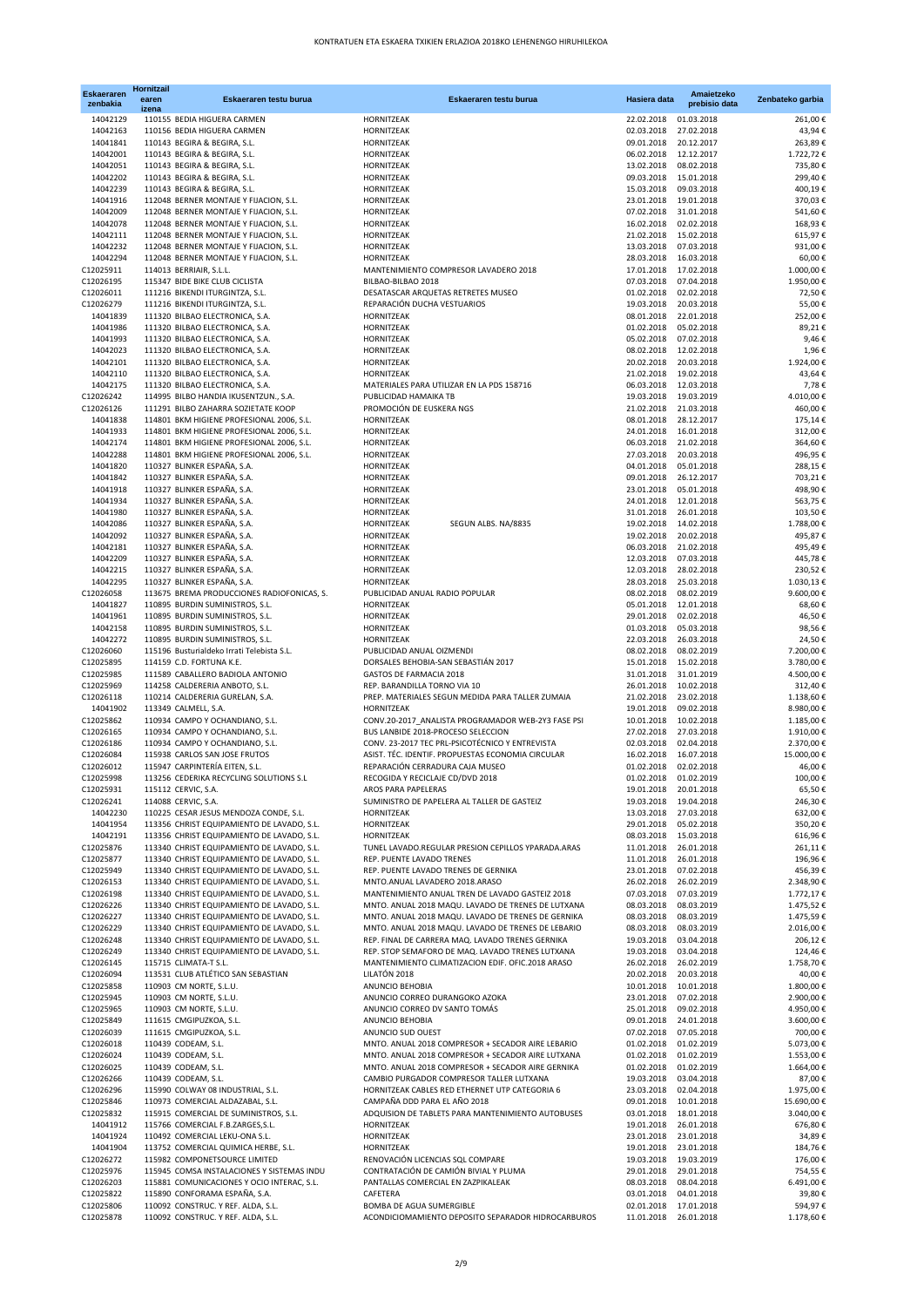| <b>Eskaeraren</b><br>zenbakia | <b>Hornitzail</b><br>earen<br>izena | Eskaeraren testu burua                                                                   | Eskaeraren testu burua                                                                                 | Hasiera data                        | Amaietzeko<br>prebisio data | Zenbateko garbia        |
|-------------------------------|-------------------------------------|------------------------------------------------------------------------------------------|--------------------------------------------------------------------------------------------------------|-------------------------------------|-----------------------------|-------------------------|
| 14042129                      |                                     | 110155 BEDIA HIGUERA CARMEN                                                              | HORNITZEAK                                                                                             | 22.02.2018                          | 01.03.2018                  | 261,00€                 |
| 14042163                      |                                     | 110156 BEDIA HIGUERA CARMEN                                                              | HORNITZEAK                                                                                             | 02.03.2018                          | 27.02.2018                  | 43,94€                  |
| 14041841<br>14042001          |                                     | 110143 BEGIRA & BEGIRA, S.L.<br>110143 BEGIRA & BEGIRA, S.L.                             | HORNITZEAK<br>HORNITZEAK                                                                               | 09.01.2018<br>06.02.2018 12.12.2017 | 20.12.2017                  | 263,89€<br>1.722,72€    |
| 14042051                      |                                     | 110143 BEGIRA & BEGIRA, S.L.                                                             | HORNITZEAK                                                                                             | 13.02.2018                          | 08.02.2018                  | 735,80€                 |
| 14042202                      |                                     | 110143 BEGIRA & BEGIRA, S.L.                                                             | HORNITZEAK                                                                                             | 09.03.2018                          | 15.01.2018                  | 299,40€                 |
| 14042239                      |                                     | 110143 BEGIRA & BEGIRA, S.L.                                                             | HORNITZEAK                                                                                             | 15.03.2018                          | 09.03.2018                  | 400,19€                 |
| 14041916                      |                                     | 112048 BERNER MONTAJE Y FIJACION, S.L.                                                   | HORNITZEAK                                                                                             | 23.01.2018                          | 19.01.2018                  | 370,03€                 |
| 14042009<br>14042078          |                                     | 112048 BERNER MONTAJE Y FIJACION, S.L.<br>112048 BERNER MONTAJE Y FIJACION, S.L.         | HORNITZEAK<br>HORNITZEAK                                                                               | 07.02.2018 31.01.2018<br>16.02.2018 | 02.02.2018                  | 541,60€<br>168,93€      |
| 14042111                      |                                     | 112048 BERNER MONTAJE Y FIJACION, S.L.                                                   | HORNITZEAK                                                                                             | 21.02.2018                          | 15.02.2018                  | 615,97€                 |
| 14042232                      |                                     | 112048 BERNER MONTAJE Y FIJACION, S.L.                                                   | HORNITZEAK                                                                                             | 13.03.2018                          | 07.03.2018                  | 931,00€                 |
| 14042294                      |                                     | 112048 BERNER MONTAJE Y FIJACION, S.L.                                                   | HORNITZEAK                                                                                             | 28.03.2018                          | 16.03.2018                  | 60,00€                  |
| C12025911                     |                                     | 114013 BERRIAIR, S.L.L.                                                                  | MANTENIMIENTO COMPRESOR LAVADERO 2018                                                                  | 17.01.2018                          | 17.02.2018                  | 1.000,00€               |
| C12026195<br>C12026011        |                                     | 115347 BIDE BIKE CLUB CICLISTA<br>111216 BIKENDI ITURGINTZA, S.L.                        | BILBAO-BILBAO 2018<br>DESATASCAR ARQUETAS RETRETES MUSEO                                               | 07.03.2018<br>01.02.2018            | 07.04.2018<br>02.02.2018    | 1.950,00€<br>72,50€     |
| C12026279                     |                                     | 111216 BIKENDI ITURGINTZA, S.L.                                                          | REPARACIÓN DUCHA VESTUARIOS                                                                            | 19.03.2018                          | 20.03.2018                  | 55,00€                  |
| 14041839                      |                                     | 111320 BILBAO ELECTRONICA, S.A.                                                          | HORNITZEAK                                                                                             | 08.01.2018                          | 22.01.2018                  | 252,00€                 |
| 14041986                      |                                     | 111320 BILBAO ELECTRONICA, S.A.                                                          | HORNITZEAK                                                                                             | 01.02.2018                          | 05.02.2018                  | 89,21€                  |
| 14041993                      |                                     | 111320 BILBAO ELECTRONICA, S.A.                                                          | HORNITZEAK                                                                                             | 05.02.2018                          | 07.02.2018                  | 9,46€                   |
| 14042023                      |                                     | 111320 BILBAO ELECTRONICA, S.A.                                                          | HORNITZEAK                                                                                             | 08.02.2018                          | 12.02.2018                  | 1,96€                   |
| 14042101<br>14042110          |                                     | 111320 BILBAO ELECTRONICA, S.A.<br>111320 BILBAO ELECTRONICA, S.A.                       | HORNITZEAK<br>HORNITZEAK                                                                               | 20.02.2018<br>21.02.2018            | 20.03.2018<br>19.02.2018    | 1.924,00€<br>43,64€     |
| 14042175                      |                                     | 111320 BILBAO ELECTRONICA, S.A.                                                          | MATERIALES PARA UTILIZAR EN LA PDS 158716                                                              | 06.03.2018                          | 12.03.2018                  | 7,78€                   |
| C12026242                     |                                     | 114995 BILBO HANDIA IKUSENTZUN., S.A.                                                    | PUBLICIDAD HAMAIKA TB                                                                                  | 19.03.2018                          | 19.03.2019                  | 4.010,00€               |
| C12026126                     |                                     | 111291 BILBO ZAHARRA SOZIETATE KOOP                                                      | PROMOCIÓN DE EUSKERA NGS                                                                               | 21.02.2018                          | 21.03.2018                  | 460,00€                 |
| 14041838                      |                                     | 114801 BKM HIGIENE PROFESIONAL 2006, S.L.                                                | HORNITZEAK                                                                                             | 08.01.2018                          | 28.12.2017                  | 175,14€                 |
| 14041933<br>14042174          |                                     | 114801 BKM HIGIENE PROFESIONAL 2006, S.L.<br>114801 BKM HIGIENE PROFESIONAL 2006, S.L.   | HORNITZEAK<br>HORNITZEAK                                                                               | 24.01.2018<br>06.03.2018            | 16.01.2018<br>21.02.2018    | 312,00€<br>364,60€      |
| 14042288                      |                                     | 114801 BKM HIGIENE PROFESIONAL 2006, S.L.                                                | HORNITZEAK                                                                                             | 27.03.2018                          | 20.03.2018                  | 496,95€                 |
| 14041820                      |                                     | 110327 BLINKER ESPAÑA, S.A.                                                              | HORNITZEAK                                                                                             | 04.01.2018                          | 05.01.2018                  | 288,15€                 |
| 14041842                      |                                     | 110327 BLINKER ESPAÑA, S.A.                                                              | HORNITZEAK                                                                                             | 09.01.2018                          | 26.12.2017                  | 703,21€                 |
| 14041918                      |                                     | 110327 BLINKER ESPAÑA, S.A.                                                              | HORNITZEAK                                                                                             | 23.01.2018                          | 05.01.2018                  | 498,90€                 |
| 14041934                      |                                     | 110327 BLINKER ESPAÑA, S.A.                                                              | HORNITZEAK                                                                                             | 24.01.2018 12.01.2018               |                             | 563,75€                 |
| 14041980<br>14042086          |                                     | 110327 BLINKER ESPAÑA, S.A.<br>110327 BLINKER ESPAÑA, S.A.                               | HORNITZEAK<br>HORNITZEAK<br>SEGUN ALBS. NA/8835                                                        | 31.01.2018<br>19.02.2018            | 26.01.2018<br>14.02.2018    | 103,50€<br>1.788,00€    |
| 14042092                      |                                     | 110327 BLINKER ESPAÑA, S.A.                                                              | HORNITZEAK                                                                                             | 19.02.2018                          | 20.02.2018                  | 495,87€                 |
| 14042181                      |                                     | 110327 BLINKER ESPAÑA, S.A.                                                              | HORNITZEAK                                                                                             | 06.03.2018                          | 21.02.2018                  | 495,49€                 |
| 14042209                      |                                     | 110327 BLINKER ESPAÑA, S.A.                                                              | HORNITZEAK                                                                                             | 12.03.2018                          | 07.03.2018                  | 445,78€                 |
| 14042215                      |                                     | 110327 BLINKER ESPAÑA, S.A.                                                              | HORNITZEAK                                                                                             | 12.03.2018                          | 28.02.2018                  | 230,52€                 |
| 14042295                      |                                     | 110327 BLINKER ESPAÑA, S.A.                                                              | HORNITZEAK                                                                                             | 28.03.2018                          | 25.03.2018                  | 1.030,13€               |
| C12026058<br>14041827         |                                     | 113675 BREMA PRODUCCIONES RADIOFONICAS, S.<br>110895 BURDIN SUMINISTROS, S.L.            | PUBLICIDAD ANUAL RADIO POPULAR<br>HORNITZEAK                                                           | 08.02.2018<br>05.01.2018            | 08.02.2019<br>12.01.2018    | 9.600,00€<br>68,60€     |
| 14041961                      |                                     | 110895 BURDIN SUMINISTROS, S.L.                                                          | HORNITZEAK                                                                                             | 29.01.2018                          | 02.02.2018                  | 46,50€                  |
| 14042158                      |                                     | 110895 BURDIN SUMINISTROS, S.L.                                                          | HORNITZEAK                                                                                             | 01.03.2018                          | 05.03.2018                  | 98,56€                  |
| 14042272                      |                                     | 110895 BURDIN SUMINISTROS, S.L.                                                          | HORNITZEAK                                                                                             | 22.03.2018                          | 26.03.2018                  | 24,50€                  |
| C12026060                     |                                     | 115196 Busturialdeko Irrati Telebista S.L.                                               | PUBLICIDAD ANUAL OIZMENDI                                                                              | 08.02.2018                          | 08.02.2019                  | 7.200,00€               |
| C12025895                     |                                     | 114159 C.D. FORTUNA K.E.                                                                 | DORSALES BEHOBIA-SAN SEBASTIÁN 2017                                                                    | 15.01.2018                          | 15.02.2018                  | 3.780,00 €              |
| C12025985<br>C12025969        |                                     | 111589 CABALLERO BADIOLA ANTONIO<br>114258 CALDERERIA ANBOTO, S.L.                       | GASTOS DE FARMACIA 2018<br>REP. BARANDILLA TORNO VIA 10                                                | 31.01.2018<br>26.01.2018            | 31.01.2019<br>10.02.2018    | 4.500,00€<br>312,40€    |
| C12026118                     |                                     | 110214 CALDERERIA GURELAN, S.A.                                                          | PREP. MATERIALES SEGUN MEDIDA PARA TALLER ZUMAIA                                                       | 21.02.2018                          | 23.02.2018                  | 1.138,60€               |
| 14041902                      |                                     | 113349 CALMELL, S.A.                                                                     | HORNITZEAK                                                                                             | 19.01.2018                          | 09.02.2018                  | 8.980,00€               |
| C12025862                     |                                     | 110934 CAMPO Y OCHANDIANO, S.L.                                                          | CONV.20-2017 ANALISTA PROGRAMADOR WEB-2Y3 FASE PSI                                                     | 10.01.2018                          | 10.02.2018                  | 1.185,00€               |
| C12026165                     |                                     | 110934 CAMPO Y OCHANDIANO, S.L.                                                          | BUS LANBIDE 2018-PROCESO SELECCION                                                                     | 27.02.2018                          | 27.03.2018                  | 1.910,00€               |
| C12026186<br>C12026084        |                                     | 110934 CAMPO Y OCHANDIANO, S.L.<br>115938 CARLOS SAN JOSE FRUTOS                         | CONV. 23-2017 TEC PRL-PSICOTÉCNICO Y ENTREVISTA<br>ASIST. TÉC. IDENTIF. PROPUESTAS ECONOMIA CIRCULAR   | 02.03.2018<br>16.02.2018            | 02.04.2018<br>16.07.2018    | 2.370,00€<br>15.000,00€ |
| C12026012                     |                                     | 115947 CARPINTERÍA EITEN, S.L.                                                           | REPARACIÓN CERRADURA CAJA MUSEO                                                                        | 01.02.2018                          | 02.02.2018                  | 46,00€                  |
| C12025998                     |                                     | 113256 CEDERIKA RECYCLING SOLUTIONS S.L                                                  | RECOGIDA Y RECICLAJE CD/DVD 2018                                                                       | 01.02.2018                          | 01.02.2019                  | 100,00€                 |
| C12025931                     |                                     | 115112 CERVIC, S.A.                                                                      | AROS PARA PAPELERAS                                                                                    | 19.01.2018 20.01.2018               |                             | 65,50€                  |
| C12026241                     |                                     | 114088 CERVIC, S.A.                                                                      | SUMINISTRO DE PAPELERA AL TALLER DE GASTEIZ                                                            | 19.03.2018                          | 19.04.2018                  | 246,30€                 |
| 14042230                      |                                     | 110225 CESAR JESUS MENDOZA CONDE, S.L.                                                   | HORNITZEAK                                                                                             | 13.03.2018                          | 27.03.2018                  | 632,00€                 |
| 14041954<br>14042191          |                                     | 113356 CHRIST EQUIPAMIENTO DE LAVADO, S.L.<br>113356 CHRIST EQUIPAMIENTO DE LAVADO, S.L. | HORNITZEAK<br><b>HORNITZEAK</b>                                                                        | 29.01.2018<br>08.03.2018 15.03.2018 | 05.02.2018                  | 350,20€<br>616,96€      |
| C12025876                     |                                     | 113340 CHRIST EQUIPAMIENTO DE LAVADO, S.L.                                               | TUNEL LAVADO.REGULAR PRESION CEPILLOS YPARADA.ARAS                                                     | 11.01.2018                          | 26.01.2018                  | 261,11€                 |
| C12025877                     |                                     | 113340 CHRIST EQUIPAMIENTO DE LAVADO, S.L.                                               | REP. PUENTE LAVADO TRENES                                                                              | 11.01.2018                          | 26.01.2018                  | 196,96€                 |
| C12025949                     |                                     | 113340 CHRIST EQUIPAMIENTO DE LAVADO, S.L.                                               | REP. PUENTE LAVADO TRENES DE GERNIKA                                                                   | 23.01.2018                          | 07.02.2018                  | 456,39€                 |
| C12026153                     |                                     | 113340 CHRIST EQUIPAMIENTO DE LAVADO, S.L.                                               | MNTO.ANUAL LAVADERO 2018.ARASO                                                                         | 26.02.2018                          | 26.02.2019                  | 2.348,90€               |
| C12026198<br>C12026226        |                                     | 113340 CHRIST EQUIPAMIENTO DE LAVADO, S.L.<br>113340 CHRIST EQUIPAMIENTO DE LAVADO, S.L. | MANTENIMIENTO ANUAL TREN DE LAVADO GASTEIZ 2018<br>MNTO. ANUAL 2018 MAQU. LAVADO DE TRENES DE LUTXANA  | 07.03.2018<br>08.03.2018            | 07.03.2019<br>08.03.2019    | 1.772,17€<br>1.475,52€  |
| C12026227                     |                                     | 113340 CHRIST EQUIPAMIENTO DE LAVADO, S.L.                                               | MNTO. ANUAL 2018 MAQU. LAVADO DE TRENES DE GERNIKA                                                     | 08.03.2018                          | 08.03.2019                  | 1.475,59€               |
| C12026229                     |                                     | 113340 CHRIST EQUIPAMIENTO DE LAVADO, S.L.                                               | MNTO. ANUAL 2018 MAQU. LAVADO DE TRENES DE LEBARIO                                                     | 08.03.2018                          | 08.03.2019                  | 2.016,00€               |
| C12026248                     |                                     | 113340 CHRIST EQUIPAMIENTO DE LAVADO, S.L.                                               | REP. FINAL DE CARRERA MAQ. LAVADO TRENES GERNIKA                                                       | 19.03.2018                          | 03.04.2018                  | 206,12€                 |
| C12026249                     |                                     | 113340 CHRIST EQUIPAMIENTO DE LAVADO, S.L.                                               | REP. STOP SEMAFORO DE MAQ. LAVADO TRENES LUTXANA                                                       | 19.03.2018                          | 03.04.2018                  | 124,46€                 |
| C12026145                     |                                     | 115715 CLIMATA-T S.L.                                                                    | MANTENIMIENTO CLIMATIZACION EDIF. OFIC.2018 ARASO                                                      | 26.02.2018                          | 26.02.2019                  | 1.758,70€               |
| C12026094<br>C12025858        |                                     | 113531 CLUB ATLÉTICO SAN SEBASTIAN<br>110903 CM NORTE, S.L.U.                            | LILATÓN 2018<br>ANUNCIO BEHOBIA                                                                        | 20.02.2018<br>10.01.2018            | 20.03.2018<br>10.01.2018    | 40,00€<br>1.800,00€     |
| C12025945                     |                                     | 110903 CM NORTE, S.L.U.                                                                  | ANUNCIO CORREO DURANGOKO AZOKA                                                                         | 23.01.2018                          | 07.02.2018                  | 2.900,00€               |
| C12025965                     |                                     | 110903 CM NORTE, S.L.U.                                                                  | ANUNCIO CORREO DV SANTO TOMÁS                                                                          | 25.01.2018                          | 09.02.2018                  | 4.950,00€               |
| C12025849                     |                                     | 111615 CMGIPUZKOA, S.L.                                                                  | ANUNCIO BEHOBIA                                                                                        | 09.01.2018                          | 24.01.2018                  | 3.600,00 €              |
| C12026039                     |                                     | 111615 CMGIPUZKOA, S.L.                                                                  | ANUNCIO SUD OUEST                                                                                      | 07.02.2018                          | 07.05.2018                  | 700,00€                 |
| C12026018<br>C12026024        |                                     | 110439 CODEAM, S.L.<br>110439 CODEAM, S.L.                                               | MNTO. ANUAL 2018 COMPRESOR + SECADOR AIRE LEBARIO<br>MNTO. ANUAL 2018 COMPRESOR + SECADOR AIRE LUTXANA | 01.02.2018<br>01.02.2018            | 01.02.2019<br>01.02.2019    | 5.073,00 €<br>1.553,00€ |
| C12026025                     |                                     | 110439 CODEAM, S.L.                                                                      | MNTO. ANUAL 2018 COMPRESOR + SECADOR AIRE GERNIKA                                                      | 01.02.2018                          | 01.02.2019                  | 1.664,00€               |
| C12026266                     |                                     | 110439 CODEAM, S.L.                                                                      | CAMBIO PURGADOR COMPRESOR TALLER LUTXANA                                                               | 19.03.2018                          | 03.04.2018                  | 87,00€                  |
| C12026296                     |                                     | 115990 COLWAY 08 INDUSTRIAL, S.L.                                                        | HORNITZEAK CABLES RED ETHERNET UTP CATEGORIA 6                                                         | 23.03.2018                          | 02.04.2018                  | 1.975,00€               |
| C12025846                     |                                     | 110973 COMERCIAL ALDAZABAL, S.L.                                                         | CAMPAÑA DDD PARA EL AÑO 2018                                                                           | 09.01.2018                          | 10.01.2018                  | 15.690,00€              |
| C12025832                     |                                     | 115915 COMERCIAL DE SUMINISTROS, S.L.                                                    | ADQUISION DE TABLETS PARA MANTENIMIENTO AUTOBUSES                                                      | 03.01.2018                          | 18.01.2018                  | 3.040,00 €              |
| 14041912<br>14041924          |                                     | 115766 COMERCIAL F.B.ZARGES,S.L.<br>110492 COMERCIAL LEKU-ONA S.L.                       | HORNITZEAK<br>HORNITZEAK                                                                               | 19.01.2018<br>23.01.2018 23.01.2018 | 26.01.2018                  | 676,80€<br>34,89€       |
| 14041904                      |                                     | 113752 COMERCIAL QUIMICA HERBE, S.L.                                                     | HORNITZEAK                                                                                             | 19.01.2018                          | 23.01.2018                  | 184,76€                 |
| C12026272                     |                                     | 115982 COMPONETSOURCE LIMITED                                                            | RENOVACIÓN LICENCIAS SQL COMPARE                                                                       | 19.03.2018                          | 19.03.2019                  | 176,00€                 |
| C12025976                     |                                     | 115945 COMSA INSTALACIONES Y SISTEMAS INDU                                               | CONTRATACIÓN DE CAMIÓN BIVIAL Y PLUMA                                                                  | 29.01.2018                          | 29.01.2018                  | 754,55€                 |
| C12026203                     |                                     | 115881 COMUNICACIONES Y OCIO INTERAC, S.L.                                               | PANTALLAS COMERCIAL EN ZAZPIKALEAK                                                                     | 08.03.2018                          | 08.04.2018                  | 6.491,00€               |
| C12025822<br>C12025806        |                                     | 115890 CONFORAMA ESPAÑA, S.A.<br>110092 CONSTRUC. Y REF. ALDA, S.L.                      | CAFETERA<br>BOMBA DE AGUA SUMERGIBLE                                                                   | 03.01.2018<br>02.01.2018            | 04.01.2018<br>17.01.2018    | 39,80€<br>594,97€       |
| C12025878                     |                                     | 110092 CONSTRUC. Y REF. ALDA, S.L.                                                       | ACONDICIOMAMIENTO DEPOSITO SEPARADOR HIDROCARBUROS                                                     | 11.01.2018 26.01.2018               |                             | 1.178,60€               |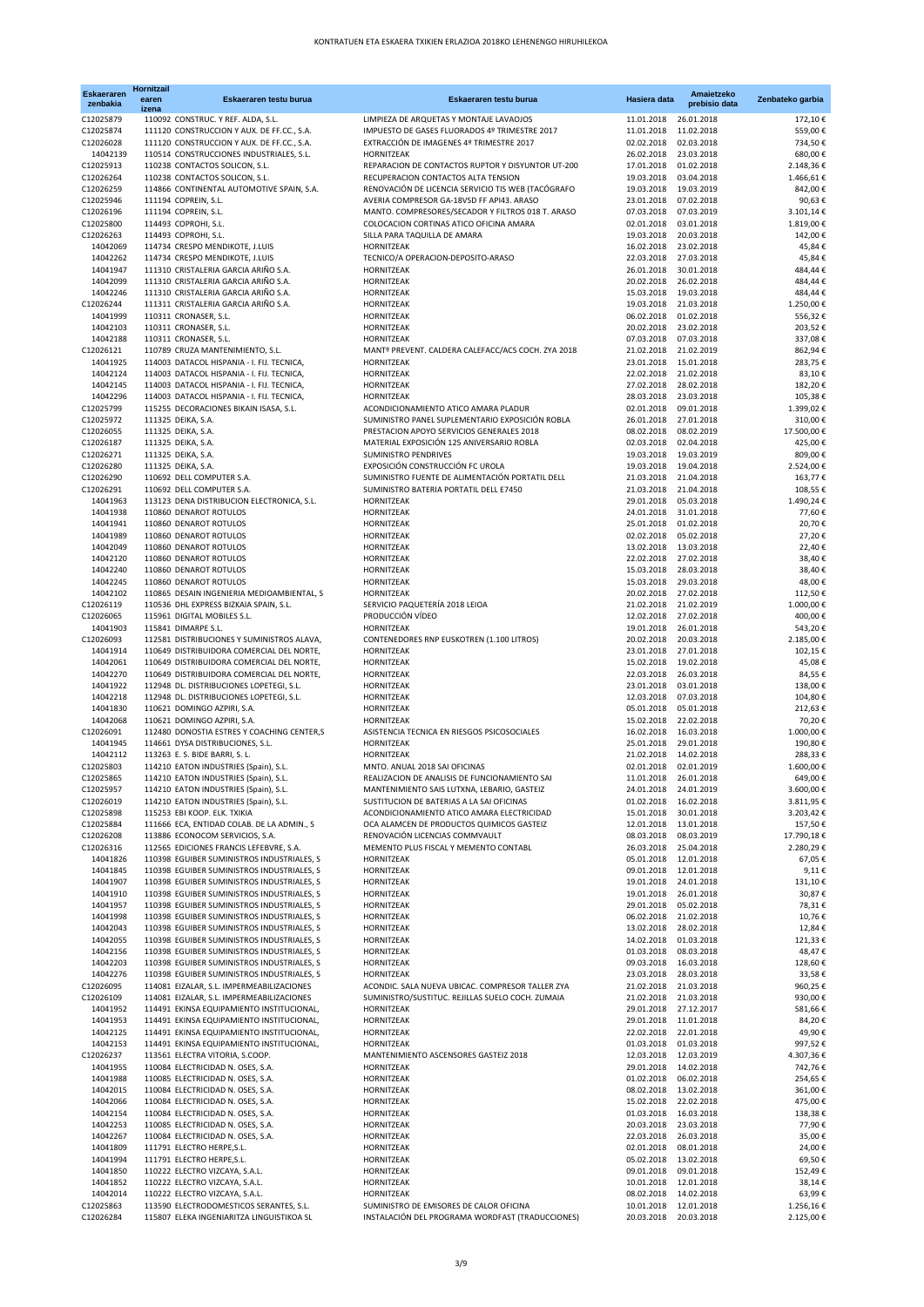| <b>Eskaeraren</b><br>zenbakia | <b>Hornitzail</b><br>earen<br>izena | Eskaeraren testu burua                                                                   | Eskaeraren testu burua                                                                       | Hasiera data             | Amaietzeko<br>prebisio data | Zenbateko garbia         |
|-------------------------------|-------------------------------------|------------------------------------------------------------------------------------------|----------------------------------------------------------------------------------------------|--------------------------|-----------------------------|--------------------------|
| C12025879                     |                                     | 110092 CONSTRUC. Y REF. ALDA, S.L.                                                       | LIMPIEZA DE ARQUETAS Y MONTAJE LAVAOJOS                                                      | 11.01.2018               | 26.01.2018                  | 172,10€                  |
| C12025874                     |                                     | 111120 CONSTRUCCION Y AUX. DE FF.CC., S.A.                                               | IMPUESTO DE GASES FLUORADOS 4º TRIMESTRE 2017                                                | 11.01.2018               | 11.02.2018                  | 559,00 €                 |
| C12026028<br>14042139         |                                     | 111120 CONSTRUCCION Y AUX. DE FF.CC., S.A.<br>110514 CONSTRUCCIONES INDUSTRIALES, S.L.   | EXTRACCIÓN DE IMAGENES 4º TRIMESTRE 2017<br>HORNITZEAK                                       | 02.02.2018<br>26.02.2018 | 02.03.2018<br>23.03.2018    | 734,50 €<br>680,00€      |
| C12025913                     |                                     | 110238 CONTACTOS SOLICON, S.L.                                                           | REPARACION DE CONTACTOS RUPTOR Y DISYUNTOR UT-200                                            | 17.01.2018               | 01.02.2018                  | 2.148,36€                |
| C12026264                     |                                     | 110238 CONTACTOS SOLICON, S.L.                                                           | RECUPERACION CONTACTOS ALTA TENSION                                                          | 19.03.2018               | 03.04.2018                  | 1.466,61€                |
| C12026259                     |                                     | 114866 CONTINENTAL AUTOMOTIVE SPAIN, S.A.                                                | RENOVACIÓN DE LICENCIA SERVICIO TIS WEB (TACÓGRAFO                                           | 19.03.2018               | 19.03.2019                  | 842,00 €                 |
| C12025946                     |                                     | 111194 COPREIN, S.L.                                                                     | AVERIA COMPRESOR GA-18VSD FF API43. ARASO                                                    | 23.01.2018               | 07.02.2018                  | 90,63€                   |
| C12026196<br>C12025800        |                                     | 111194 COPREIN, S.L.<br>114493 COPROHI, S.L.                                             | MANTO. COMPRESORES/SECADOR Y FILTROS 018 T. ARASO<br>COLOCACION CORTINAS ATICO OFICINA AMARA | 07.03.2018<br>02.01.2018 | 07.03.2019<br>03.01.2018    | 3.101,14<br>1.819,00 €   |
| C12026263                     |                                     | 114493 COPROHI, S.L.                                                                     | SILLA PARA TAQUILLA DE AMARA                                                                 | 19.03.2018               | 20.03.2018                  | 142,00 €                 |
| 14042069                      |                                     | 114734 CRESPO MENDIKOTE, J.LUIS                                                          | HORNITZEAK                                                                                   | 16.02.2018               | 23.02.2018                  | 45,84€                   |
| 14042262                      |                                     | 114734 CRESPO MENDIKOTE, J.LUIS                                                          | TECNICO/A OPERACION-DEPOSITO-ARASO                                                           | 22.03.2018               | 27.03.2018                  | 45,84€                   |
| 14041947                      |                                     | 111310 CRISTALERIA GARCIA ARIÑO S.A.                                                     | HORNITZEAK                                                                                   | 26.01.2018               | 30.01.2018                  | 484,44€                  |
| 14042099<br>14042246          |                                     | 111310 CRISTALERIA GARCIA ARIÑO S.A.<br>111310 CRISTALERIA GARCIA ARIÑO S.A.             | HORNITZEAK<br>HORNITZEAK                                                                     | 20.02.2018<br>15.03.2018 | 26.02.2018<br>19.03.2018    | 484.44€<br>484,44€       |
| C12026244                     |                                     | 111311 CRISTALERIA GARCIA ARIÑO S.A.                                                     | HORNITZEAK                                                                                   | 19.03.2018               | 21.03.2018                  | 1.250,00 €               |
| 14041999                      |                                     | 110311 CRONASER, S.L.                                                                    | HORNITZEAK                                                                                   | 06.02.2018               | 01.02.2018                  | 556,32€                  |
| 14042103                      |                                     | 110311 CRONASER, S.L.                                                                    | HORNITZEAK                                                                                   | 20.02.2018               | 23.02.2018                  | 203,52€                  |
| 14042188                      |                                     | 110311 CRONASER, S.L.                                                                    | HORNITZEAK                                                                                   | 07.03.2018               | 07.03.2018                  | 337,08€                  |
| C12026121                     |                                     | 110789 CRUZA MANTENIMIENTO, S.L.                                                         | MANTº PREVENT. CALDERA CALEFACC/ACS COCH. ZYA 2018                                           | 21.02.2018               | 21.02.2019                  | 862,94€                  |
| 14041925<br>14042124          |                                     | 114003 DATACOL HISPANIA - I. FIJ. TECNICA,<br>114003 DATACOL HISPANIA - I. FIJ. TECNICA, | HORNITZEAK<br>HORNITZEAK                                                                     | 23.01.2018<br>22.02.2018 | 15.01.2018<br>21.02.2018    | 283,75 €<br>83,10€       |
| 14042145                      |                                     | 114003 DATACOL HISPANIA - I. FIJ. TECNICA,                                               | HORNITZEAK                                                                                   | 27.02.2018               | 28.02.2018                  | 182,20€                  |
| 14042296                      |                                     | 114003 DATACOL HISPANIA - I. FIJ. TECNICA,                                               | HORNITZEAK                                                                                   | 28.03.2018               | 23.03.2018                  | 105,38€                  |
| C12025799                     |                                     | 115255 DECORACIONES BIKAIN ISASA, S.L.                                                   | ACONDICIONAMIENTO ATICO AMARA PLADUR                                                         | 02.01.2018               | 09.01.2018                  | 1.399,02 €               |
| C12025972                     |                                     | 111325 DEIKA, S.A.                                                                       | SUMINISTRO PANEL SUPLEMENTARIO EXPOSICIÓN ROBLA                                              | 26.01.2018               | 27.01.2018                  | 310.00 €                 |
| C12026055<br>C12026187        |                                     | 111325 DEIKA, S.A.<br>111325 DEIKA, S.A.                                                 | PRESTACION APOYO SERVICIOS GENERALES 2018<br>MATERIAL EXPOSICIÓN 125 ANIVERSARIO ROBLA       | 08.02.2018<br>02.03.2018 | 08.02.2019<br>02.04.2018    | 17.500,00 €<br>425,00 €  |
| C12026271                     |                                     | 111325 DEIKA, S.A.                                                                       | SUMINISTRO PENDRIVES                                                                         | 19.03.2018               | 19.03.2019                  | 809,00€                  |
| C12026280                     |                                     | 111325 DEIKA, S.A.                                                                       | EXPOSICIÓN CONSTRUCCIÓN FC UROLA                                                             | 19.03.2018               | 19.04.2018                  | 2.524,00 €               |
| C12026290                     |                                     | 110692 DELL COMPUTER S.A.                                                                | SUMINISTRO FUENTE DE ALIMENTACIÓN PORTATIL DELL                                              | 21.03.2018               | 21.04.2018                  | 163,77€                  |
| C12026291                     |                                     | 110692 DELL COMPUTER S.A.                                                                | SUMINISTRO BATERIA PORTATIL DELL E7450                                                       | 21.03.2018               | 21.04.2018                  | 108,55€                  |
| 14041963<br>14041938          |                                     | 113123 DENA DISTRIBUCION ELECTRONICA, S.L.<br>110860 DENAROT ROTULOS                     | HORNITZEAK<br><b>HORNITZEAK</b>                                                              | 29.01.2018<br>24.01.2018 | 05.03.2018<br>31.01.2018    | 1.490,24 €<br>77,60 €    |
| 14041941                      |                                     | 110860 DENAROT ROTULOS                                                                   | HORNITZEAK                                                                                   | 25.01.2018               | 01.02.2018                  | 20,70€                   |
| 14041989                      |                                     | 110860 DENAROT ROTULOS                                                                   | HORNITZEAK                                                                                   | 02.02.2018               | 05.02.2018                  | 27,20€                   |
| 14042049                      |                                     | 110860 DENAROT ROTULOS                                                                   | HORNITZEAK                                                                                   | 13.02.2018               | 13.03.2018                  | 22,40 €                  |
| 14042120                      |                                     | 110860 DENAROT ROTULOS                                                                   | HORNITZEAK                                                                                   | 22.02.2018               | 27.02.2018                  | 38,40 €                  |
| 14042240                      |                                     | 110860 DENAROT ROTULOS                                                                   | HORNITZEAK                                                                                   | 15.03.2018               | 28.03.2018                  | 38,40 €                  |
| 14042245<br>14042102          |                                     | 110860 DENAROT ROTULOS<br>110865 DESAIN INGENIERIA MEDIOAMBIENTAL, S                     | HORNITZEAK<br>HORNITZEAK                                                                     | 15.03.2018<br>20.02.2018 | 29.03.2018<br>27.02.2018    | 48,00 €<br>112,50€       |
| C12026119                     |                                     | 110536 DHL EXPRESS BIZKAIA SPAIN, S.L.                                                   | SERVICIO PAQUETERÍA 2018 LEIOA                                                               | 21.02.2018               | 21.02.2019                  | 1.000,00 €               |
| C12026065                     |                                     | 115961 DIGITAL MOBILES S.L.                                                              | PRODUCCIÓN VÍDEO                                                                             | 12.02.2018               | 27.02.2018                  | 400,00€                  |
| 14041903                      |                                     | 115841 DIMARPE S.L.                                                                      | HORNITZEAK                                                                                   | 19.01.2018               | 26.01.2018                  | 543,20€                  |
| C12026093                     |                                     | 112581 DISTRIBUCIONES Y SUMINISTROS ALAVA,                                               | CONTENEDORES RNP EUSKOTREN (1.100 LITROS)                                                    | 20.02.2018               | 20.03.2018                  | 2.185,00 €               |
| 14041914<br>14042061          |                                     | 110649 DISTRIBUIDORA COMERCIAL DEL NORTE,<br>110649 DISTRIBUIDORA COMERCIAL DEL NORTE,   | HORNITZEAK<br>HORNITZEAK                                                                     | 23.01.2018<br>15.02.2018 | 27.01.2018<br>19.02.2018    | 102,15€<br>45,08€        |
| 14042270                      |                                     | 110649 DISTRIBUIDORA COMERCIAL DEL NORTE,                                                | HORNITZEAK                                                                                   | 22.03.2018               | 26.03.2018                  | 84,55 €                  |
| 14041922                      |                                     | 112948 DL. DISTRIBUCIONES LOPETEGI, S.L.                                                 | HORNITZEAK                                                                                   | 23.01.2018               | 03.01.2018                  | 138,00 €                 |
| 14042218                      |                                     | 112948 DL. DISTRIBUCIONES LOPETEGI, S.L.                                                 | HORNITZEAK                                                                                   | 12.03.2018               | 07.03.2018                  | 104,80 €                 |
| 14041830                      |                                     | 110621 DOMINGO AZPIRI, S.A.                                                              | HORNITZEAK                                                                                   | 05.01.2018               | 05.01.2018                  | 212,63€                  |
| 14042068<br>C12026091         |                                     | 110621 DOMINGO AZPIRI, S.A.<br>112480 DONOSTIA ESTRES Y COACHING CENTER,S                | HORNITZEAK<br>ASISTENCIA TECNICA EN RIESGOS PSICOSOCIALES                                    | 15.02.2018<br>16.02.2018 | 22.02.2018<br>16.03.2018    | 70,20 €<br>1.000,00 €    |
| 14041945                      |                                     | 114661 DYSA DISTRIBUCIONES, S.L.                                                         | HORNITZEAK                                                                                   | 25.01.2018               | 29.01.2018                  | 190,80 €                 |
| 14042112                      |                                     | 113263 E. S. BIDE BARRI, S. L.                                                           | HORNITZEAK                                                                                   | 21.02.2018               | 14.02.2018                  | 288,33 €                 |
| C12025803                     |                                     | 114210 EATON INDUSTRIES (Spain), S.L.                                                    | MNTO. ANUAL 2018 SAI OFICINAS                                                                | 02.01.2018               | 02.01.2019                  | 1.600,00 €               |
| C12025865                     |                                     | 114210 EATON INDUSTRIES (Spain), S.L.                                                    | REALIZACION DE ANALISIS DE FUNCIONAMIENTO SAI                                                | 11.01.2018               | 26.01.2018                  | 649,00 €                 |
| C12025957<br>C12026019        |                                     | 114210 EATON INDUSTRIES (Spain), S.L.<br>114210 EATON INDUSTRIES (Spain), S.L.           | MANTENIMIENTO SAIS LUTXNA, LEBARIO, GASTEIZ<br>SUSTITUCION DE BATERIAS A LA SAI OFICINAS     | 24.01.2018<br>01.02.2018 | 24.01.2019<br>16.02.2018    | 3.600,00 €<br>3.811,95 € |
| C12025898                     |                                     | 115253 EBI KOOP. ELK. TXIKIA                                                             | ACONDICIONAMIENTO ATICO AMARA ELECTRICIDAD                                                   | 15.01.2018               | 30.01.2018                  | 3.203,42 €               |
| C12025884                     |                                     | 111666 ECA, ENTIDAD COLAB. DE LA ADMIN., S                                               | OCA ALAMCEN DE PRODUCTOS QUIMICOS GASTEIZ                                                    | 12.01.2018               | 13.01.2018                  | 157,50€                  |
| C12026208                     |                                     | 113886 ECONOCOM SERVICIOS, S.A.                                                          | RENOVACIÓN LICENCIAS COMMVAULT                                                               | 08.03.2018               | 08.03.2019                  | 17.790,18€               |
| C12026316                     |                                     | 112565 EDICIONES FRANCIS LEFEBVRE, S.A.                                                  | MEMENTO PLUS FISCAL Y MEMENTO CONTABL                                                        | 26.03.2018               | 25.04.2018                  | 2.280,29 €               |
| 14041826<br>14041845          |                                     | 110398 EGUIBER SUMINISTROS INDUSTRIALES, S<br>110398 EGUIBER SUMINISTROS INDUSTRIALES, S | HORNITZEAK<br>HORNITZEAK                                                                     | 05.01.2018<br>09.01.2018 | 12.01.2018<br>12.01.2018    | 67,05€<br>$9,11$ €       |
| 14041907                      |                                     | 110398 EGUIBER SUMINISTROS INDUSTRIALES, S                                               | HORNITZEAK                                                                                   | 19.01.2018               | 24.01.2018                  | 131,10€                  |
| 14041910                      |                                     | 110398 EGUIBER SUMINISTROS INDUSTRIALES, S                                               | HORNITZEAK                                                                                   | 19.01.2018               | 26.01.2018                  | 30,87€                   |
| 14041957                      |                                     | 110398 EGUIBER SUMINISTROS INDUSTRIALES, S                                               | HORNITZEAK                                                                                   | 29.01.2018               | 05.02.2018                  | 78,31€                   |
| 14041998                      |                                     | 110398 EGUIBER SUMINISTROS INDUSTRIALES, S                                               | HORNITZEAK                                                                                   | 06.02.2018               | 21.02.2018                  | 10,76€                   |
| 14042043                      |                                     | 110398 EGUIBER SUMINISTROS INDUSTRIALES, S<br>110398 EGUIBER SUMINISTROS INDUSTRIALES. S | HORNITZEAK                                                                                   | 13.02.2018<br>14.02.2018 | 28.02.2018                  | 12,84 €                  |
| 14042055<br>14042156          |                                     | 110398 EGUIBER SUMINISTROS INDUSTRIALES, S                                               | HORNITZEAK<br>HORNITZEAK                                                                     | 01.03.2018               | 01.03.2018<br>08.03.2018    | 121,33 €<br>48,47€       |
| 14042203                      |                                     | 110398 EGUIBER SUMINISTROS INDUSTRIALES, S                                               | HORNITZEAK                                                                                   | 09.03.2018               | 16.03.2018                  | 128,60 €                 |
| 14042276                      |                                     | 110398 EGUIBER SUMINISTROS INDUSTRIALES, S                                               | HORNITZEAK                                                                                   | 23.03.2018               | 28.03.2018                  | 33,58€                   |
| C12026095                     |                                     | 114081 EIZALAR, S.L. IMPERMEABILIZACIONES                                                | ACONDIC. SALA NUEVA UBICAC. COMPRESOR TALLER ZYA                                             | 21.02.2018               | 21.03.2018                  | 960,25€                  |
| C12026109                     |                                     | 114081 EIZALAR, S.L. IMPERMEABILIZACIONES                                                | SUMINISTRO/SUSTITUC. REJILLAS SUELO COCH. ZUMAIA                                             | 21.02.2018               | 21.03.2018                  | 930,00 €                 |
| 14041952<br>14041953          |                                     | 114491 EKINSA EQUIPAMIENTO INSTITUCIONAL,<br>114491 EKINSA EQUIPAMIENTO INSTITUCIONAL,   | HORNITZEAK<br>HORNITZEAK                                                                     | 29.01.2018<br>29.01.2018 | 27.12.2017<br>11.01.2018    | 581,66€<br>84,20€        |
| 14042125                      |                                     | 114491 EKINSA EQUIPAMIENTO INSTITUCIONAL,                                                | HORNITZEAK                                                                                   | 22.02.2018               | 22.01.2018                  | 49,90 €                  |
| 14042153                      |                                     | 114491 EKINSA EQUIPAMIENTO INSTITUCIONAL,                                                | HORNITZEAK                                                                                   | 01.03.2018               | 01.03.2018                  | 997,52€                  |
| C12026237                     |                                     | 113561 ELECTRA VITORIA, S.COOP.                                                          | MANTENIMIENTO ASCENSORES GASTEIZ 2018                                                        | 12.03.2018               | 12.03.2019                  | 4.307,36€                |
| 14041955                      |                                     | 110084 ELECTRICIDAD N. OSES, S.A.                                                        | HORNITZEAK                                                                                   | 29.01.2018               | 14.02.2018                  | 742,76€                  |
| 14041988<br>14042015          |                                     | 110085 ELECTRICIDAD N. OSES, S.A.<br>110084 ELECTRICIDAD N. OSES, S.A.                   | HORNITZEAK<br>HORNITZEAK                                                                     | 01.02.2018<br>08.02.2018 | 06.02.2018<br>13.02.2018    | 254,65 €<br>361,00€      |
| 14042066                      |                                     | 110084 ELECTRICIDAD N. OSES, S.A.                                                        | HORNITZEAK                                                                                   | 15.02.2018               | 22.02.2018                  | 475,00 €                 |
| 14042154                      |                                     | 110084 ELECTRICIDAD N. OSES, S.A.                                                        | HORNITZEAK                                                                                   | 01.03.2018               | 16.03.2018                  | 138,38€                  |
| 14042253                      |                                     | 110085 ELECTRICIDAD N. OSES, S.A.                                                        | HORNITZEAK                                                                                   | 20.03.2018               | 23.03.2018                  | 77,90 €                  |
| 14042267                      |                                     | 110084 ELECTRICIDAD N. OSES, S.A.                                                        | HORNITZEAK                                                                                   | 22.03.2018               | 26.03.2018                  | 35,00 €                  |
| 14041809                      |                                     | 111791 ELECTRO HERPE, S.L.                                                               | HORNITZEAK                                                                                   | 02.01.2018               | 08.01.2018                  | 24,00 €                  |
| 14041994<br>14041850          |                                     | 111791 ELECTRO HERPE, S.L.<br>110222 ELECTRO VIZCAYA, S.A.L.                             | HORNITZEAK<br>HORNITZEAK                                                                     | 05.02.2018<br>09.01.2018 | 13.02.2018<br>09.01.2018    | 69,50€<br>152,49€        |
| 14041852                      |                                     | 110222 ELECTRO VIZCAYA, S.A.L.                                                           | HORNITZEAK                                                                                   | 10.01.2018               | 12.01.2018                  | 38,14 €                  |
| 14042014                      |                                     | 110222 ELECTRO VIZCAYA, S.A.L.                                                           | HORNITZEAK                                                                                   | 08.02.2018               | 14.02.2018                  | 63,99€                   |
| C12025863                     |                                     | 113590 ELECTRODOMESTICOS SERANTES, S.L.                                                  | SUMINISTRO DE EMISORES DE CALOR OFICINA                                                      | 10.01.2018               | 12.01.2018                  | 1.256,16€                |
| C12026284                     |                                     | 115807 ELEKA INGENIARITZA LINGUISTIKOA SL                                                | INSTALACIÓN DEL PROGRAMA WORDFAST (TRADUCCIONES)                                             | 20.03.2018 20.03.2018    |                             | 2.125,00 €               |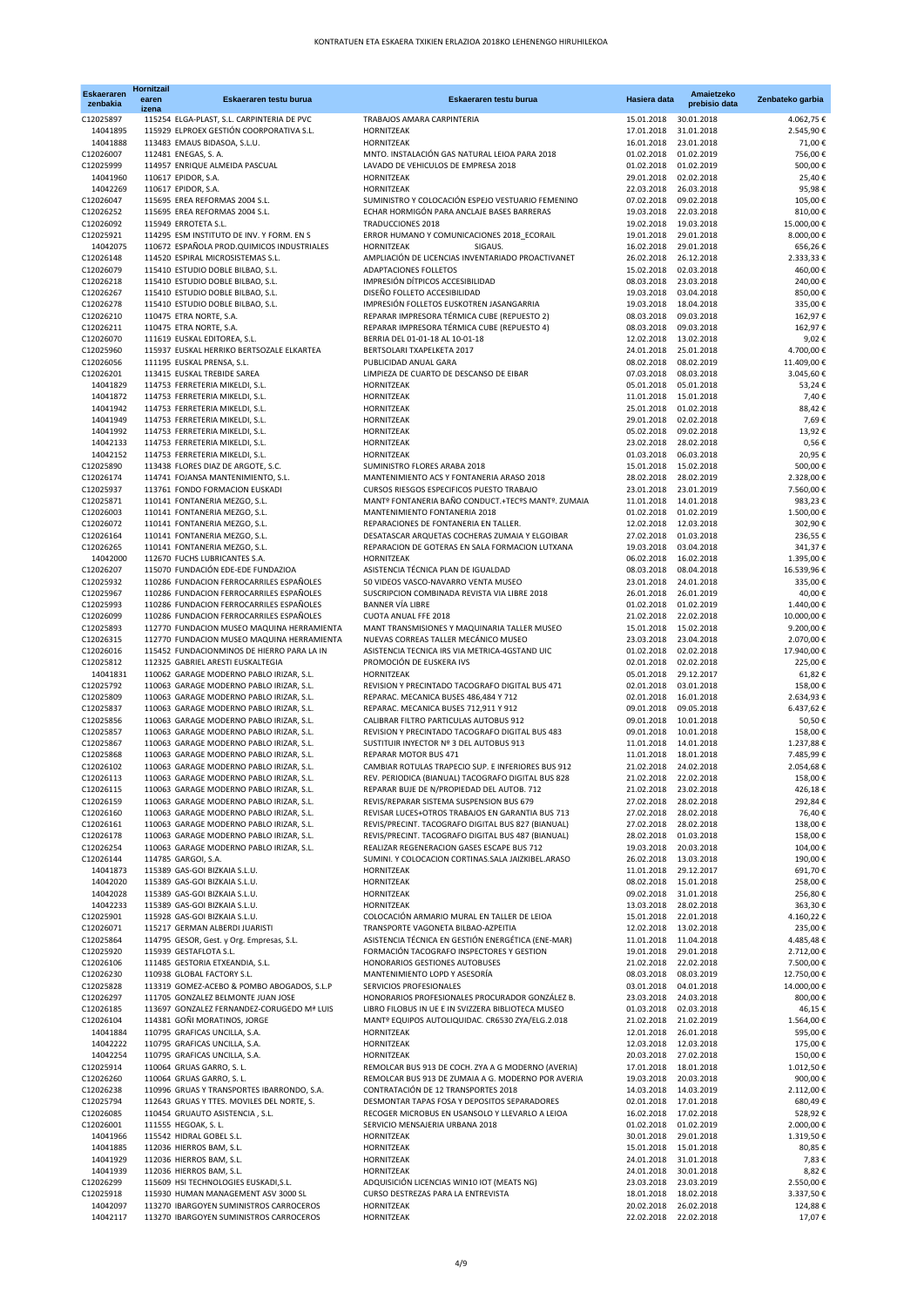| <b>Eskaeraren</b><br>zenbakia | Hornitzail<br>earen<br>izena | Eskaeraren testu burua                                                                  | Eskaeraren testu burua                                                                                 | Hasiera data                        | Amaietzeko<br>prebisio data | Zenbateko garbia        |
|-------------------------------|------------------------------|-----------------------------------------------------------------------------------------|--------------------------------------------------------------------------------------------------------|-------------------------------------|-----------------------------|-------------------------|
| C12025897                     |                              | 115254 ELGA-PLAST, S.L. CARPINTERIA DE PVC                                              | TRABAJOS AMARA CARPINTERIA                                                                             | 15.01.2018                          | 30.01.2018                  | 4.062,75€               |
| 14041895<br>14041888          |                              | 115929 ELPROEX GESTIÓN COORPORATIVA S.L.<br>113483 EMAUS BIDASOA, S.L.U.                | HORNITZEAK<br>HORNITZEAK                                                                               | 17.01.2018<br>16.01.2018            | 31.01.2018<br>23.01.2018    | 2.545,90€<br>71,00€     |
| C12026007                     |                              | 112481 ENEGAS, S. A.                                                                    | MNTO. INSTALACIÓN GAS NATURAL LEIOA PARA 2018                                                          | 01.02.2018                          | 01.02.2019                  | 756,00€                 |
| C12025999                     |                              | 114957 ENRIQUE ALMEIDA PASCUAL                                                          | LAVADO DE VEHICULOS DE EMPRESA 2018                                                                    | 01.02.2018                          | 01.02.2019                  | 500,00€                 |
| 14041960                      |                              | 110617 EPIDOR, S.A.                                                                     | HORNITZEAK                                                                                             | 29.01.2018                          | 02.02.2018                  | 25,40€                  |
| 14042269<br>C12026047         |                              | 110617 EPIDOR, S.A.<br>115695 EREA REFORMAS 2004 S.L.                                   | HORNITZEAK<br>SUMINISTRO Y COLOCACIÓN ESPEJO VESTUARIO FEMENINO                                        | 22.03.2018<br>07.02.2018            | 26.03.2018<br>09.02.2018    | 95,98€<br>105,00€       |
| C12026252                     |                              | 115695 EREA REFORMAS 2004 S.L.                                                          | ECHAR HORMIGÓN PARA ANCLAJE BASES BARRERAS                                                             | 19.03.2018                          | 22.03.2018                  | 810,00€                 |
| C12026092                     |                              | 115949 ERROTETA S.L.                                                                    | <b>TRADUCCIONES 2018</b>                                                                               | 19.02.2018                          | 19.03.2018                  | 15.000,00€              |
| C12025921<br>14042075         |                              | 114295 ESM INSTITUTO DE INV. Y FORM. EN S<br>110672 ESPAÑOLA PROD.QUIMICOS INDUSTRIALES | ERROR HUMANO Y COMUNICACIONES 2018_ECORAIL<br>HORNITZEAK<br>SIGAUS.                                    | 19.01.2018<br>16.02.2018            | 29.01.2018<br>29.01.2018    | 8.000,00€<br>656,26€    |
| C12026148                     |                              | 114520 ESPIRAL MICROSISTEMAS S.L.                                                       | AMPLIACIÓN DE LICENCIAS INVENTARIADO PROACTIVANET                                                      | 26.02.2018                          | 26.12.2018                  | 2.333,33 €              |
| C12026079                     |                              | 115410 ESTUDIO DOBLE BILBAO, S.L.                                                       | ADAPTACIONES FOLLETOS                                                                                  | 15.02.2018                          | 02.03.2018                  | 460,00€                 |
| C12026218<br>C12026267        |                              | 115410 ESTUDIO DOBLE BILBAO, S.L.<br>115410 ESTUDIO DOBLE BILBAO, S.L.                  | IMPRESIÓN DÍTPICOS ACCESIBILIDAD<br>DISEÑO FOLLETO ACCESIBILIDAD                                       | 08.03.2018<br>19.03.2018            | 23.03.2018                  | 240,00€<br>850,00€      |
| C12026278                     |                              | 115410 ESTUDIO DOBLE BILBAO, S.L.                                                       | IMPRESIÓN FOLLETOS EUSKOTREN JASANGARRIA                                                               | 19.03.2018                          | 03.04.2018<br>18.04.2018    | 335,00€                 |
| C12026210                     |                              | 110475 ETRA NORTE, S.A.                                                                 | REPARAR IMPRESORA TÉRMICA CUBE (REPUESTO 2)                                                            | 08.03.2018                          | 09.03.2018                  | 162,97€                 |
| C12026211                     |                              | 110475 ETRA NORTE, S.A.                                                                 | REPARAR IMPRESORA TÉRMICA CUBE (REPUESTO 4)                                                            | 08.03.2018                          | 09.03.2018                  | 162,97€                 |
| C12026070<br>C12025960        |                              | 111619 EUSKAL EDITOREA, S.L.<br>115937 EUSKAL HERRIKO BERTSOZALE ELKARTEA               | BERRIA DEL 01-01-18 AL 10-01-18<br>BERTSOLARI TXAPELKETA 2017                                          | 12.02.2018<br>24.01.2018            | 13.02.2018<br>25.01.2018    | 9,02€<br>4.700,00€      |
| C12026056                     |                              | 111195 EUSKAL PRENSA, S.L.                                                              | PUBLICIDAD ANUAL GARA                                                                                  | 08.02.2018                          | 08.02.2019                  | 11.409,00€              |
| C12026201                     |                              | 113415 EUSKAL TREBIDE SAREA                                                             | LIMPIEZA DE CUARTO DE DESCANSO DE EIBAR                                                                | 07.03.2018                          | 08.03.2018                  | 3.045,60€               |
| 14041829<br>14041872          |                              | 114753 FERRETERIA MIKELDI, S.L.<br>114753 FERRETERIA MIKELDI, S.L.                      | HORNITZEAK<br>HORNITZEAK                                                                               | 05.01.2018<br>11.01.2018            | 05.01.2018<br>15.01.2018    | 53,24€<br>7,40€         |
| 14041942                      |                              | 114753 FERRETERIA MIKELDI, S.L.                                                         | HORNITZEAK                                                                                             | 25.01.2018                          | 01.02.2018                  | 88,42€                  |
| 14041949                      |                              | 114753 FERRETERIA MIKELDI, S.L.                                                         | HORNITZEAK                                                                                             | 29.01.2018                          | 02.02.2018                  | 7,69€                   |
| 14041992                      |                              | 114753 FERRETERIA MIKELDI, S.L.                                                         | HORNITZEAK                                                                                             | 05.02.2018                          | 09.02.2018                  | 13,92€                  |
| 14042133<br>14042152          |                              | 114753 FERRETERIA MIKELDI, S.L.<br>114753 FERRETERIA MIKELDI, S.L.                      | HORNITZEAK<br>HORNITZEAK                                                                               | 23.02.2018<br>01.03.2018            | 28.02.2018<br>06.03.2018    | 0,56€<br>20,95€         |
| C12025890                     |                              | 113438 FLORES DIAZ DE ARGOTE, S.C.                                                      | SUMINISTRO FLORES ARABA 2018                                                                           | 15.01.2018                          | 15.02.2018                  | 500,00€                 |
| C12026174                     |                              | 114741 FOJANSA MANTENIMIENTO, S.L.                                                      | MANTENIMIENTO ACS Y FONTANERIA ARASO 2018                                                              | 28.02.2018                          | 28.02.2019                  | 2.328,00 €              |
| C12025937<br>C12025871        |                              | 113761 FONDO FORMACION EUSKADI<br>110141 FONTANERIA MEZGO, S.L.                         | CURSOS RIESGOS ESPECIFICOS PUESTO TRABAJO<br>MANTº FONTANERIA BAÑO CONDUCT.+TECºS MANTº. ZUMAIA        | 23.01.2018<br>11.01.2018            | 23.01.2019                  | 7.560,00€               |
| C12026003                     |                              | 110141 FONTANERIA MEZGO, S.L.                                                           | MANTENIMIENTO FONTANERIA 2018                                                                          | 01.02.2018                          | 14.01.2018<br>01.02.2019    | 983,23€<br>1.500,00€    |
| C12026072                     |                              | 110141 FONTANERIA MEZGO, S.L.                                                           | REPARACIONES DE FONTANERIA EN TALLER.                                                                  | 12.02.2018                          | 12.03.2018                  | 302,90€                 |
| C12026164                     |                              | 110141 FONTANERIA MEZGO, S.L.                                                           | DESATASCAR ARQUETAS COCHERAS ZUMAIA Y ELGOIBAR                                                         | 27.02.2018                          | 01.03.2018                  | 236,55€                 |
| C12026265<br>14042000         |                              | 110141 FONTANERIA MEZGO, S.L.<br>112670 FUCHS LUBRICANTES S.A.                          | REPARACION DE GOTERAS EN SALA FORMACION LUTXANA<br>HORNITZEAK                                          | 19.03.2018<br>06.02.2018            | 03.04.2018<br>16.02.2018    | 341,37€<br>1.395,00€    |
| C12026207                     |                              | 115070 FUNDACIÓN EDE-EDE FUNDAZIOA                                                      | ASISTENCIA TÉCNICA PLAN DE IGUALDAD                                                                    | 08.03.2018                          | 08.04.2018                  | 16.539,96€              |
| C12025932                     |                              | 110286 FUNDACION FERROCARRILES ESPAÑOLES                                                | 50 VIDEOS VASCO-NAVARRO VENTA MUSEO                                                                    | 23.01.2018                          | 24.01.2018                  | 335,00€                 |
| C12025967<br>C12025993        |                              | 110286 FUNDACION FERROCARRILES ESPAÑOLES<br>110286 FUNDACION FERROCARRILES ESPAÑOLES    | SUSCRIPCION COMBINADA REVISTA VIA LIBRE 2018<br><b>BANNER VÍA LIBRE</b>                                | 26.01.2018<br>01.02.2018            | 26.01.2019<br>01.02.2019    | 40,00€<br>1.440,00€     |
| C12026099                     |                              | 110286 FUNDACION FERROCARRILES ESPAÑOLES                                                | CUOTA ANUAL FFE 2018                                                                                   | 21.02.2018                          | 22.02.2018                  | 10.000,00€              |
| C12025893                     |                              | 112770 FUNDACION MUSEO MAQUINA HERRAMIENTA                                              | MANT TRANSMISIONES Y MAQUINARIA TALLER MUSEO                                                           | 15.01.2018                          | 15.02.2018                  | 9.200,00€               |
| C12026315                     |                              | 112770 FUNDACION MUSEO MAQUINA HERRAMIENTA                                              | NUEVAS CORREAS TALLER MECÁNICO MUSEO                                                                   | 23.03.2018                          | 23.04.2018                  | 2.070,00€               |
| C12026016<br>C12025812        |                              | 115452 FUNDACIONMINOS DE HIERRO PARA LA IN<br>112325 GABRIEL ARESTI EUSKALTEGIA         | ASISTENCIA TECNICA IRS VIA METRICA-4GSTAND UIC<br>PROMOCIÓN DE EUSKERA IVS                             | 01.02.2018<br>02.01.2018            | 02.02.2018<br>02.02.2018    | 17.940,00€<br>225,00€   |
| 14041831                      |                              | 110062 GARAGE MODERNO PABLO IRIZAR, S.L.                                                | HORNITZEAK                                                                                             | 05.01.2018                          | 29.12.2017                  | 61,82€                  |
| C12025792                     |                              | 110063 GARAGE MODERNO PABLO IRIZAR, S.L.                                                | REVISION Y PRECINTADO TACOGRAFO DIGITAL BUS 471                                                        | 02.01.2018                          | 03.01.2018                  | 158,00€                 |
| C12025809<br>C12025837        |                              | 110063 GARAGE MODERNO PABLO IRIZAR, S.L.<br>110063 GARAGE MODERNO PABLO IRIZAR, S.L.    | REPARAC. MECANICA BUSES 486,484 Y 712<br>REPARAC. MECANICA BUSES 712,911 Y 912                         | 02.01.2018<br>09.01.2018            | 16.01.2018<br>09.05.2018    | 2.634,93 €<br>6.437,62€ |
| C12025856                     |                              | 110063 GARAGE MODERNO PABLO IRIZAR, S.L.                                                | CALIBRAR FILTRO PARTICULAS AUTOBUS 912                                                                 | 09.01.2018                          | 10.01.2018                  | 50,50€                  |
| C12025857                     |                              | 110063 GARAGE MODERNO PABLO IRIZAR, S.L.                                                | REVISION Y PRECINTADO TACOGRAFO DIGITAL BUS 483                                                        | 09.01.2018                          | 10.01.2018                  | 158,00€                 |
| C12025867                     |                              | 110063 GARAGE MODERNO PABLO IRIZAR, S.L.                                                | SUSTITUIR INYECTOR Nº 3 DEL AUTOBUS 913<br><b>REPARAR MOTOR BUS 471</b>                                | 11.01.2018                          | 14.01.2018                  | 1.237,88€               |
| C12025868<br>C12026102        |                              | 110063 GARAGE MODERNO PABLO IRIZAR, S.L.<br>110063 GARAGE MODERNO PABLO IRIZAR, S.L.    | CAMBIAR ROTULAS TRAPECIO SUP. E INFERIORES BUS 912                                                     | 11.01.2018<br>21.02.2018            | 18.01.2018<br>24.02.2018    | 7.485,99€<br>2.054,68€  |
| C12026113                     |                              | 110063 GARAGE MODERNO PABLO IRIZAR, S.L.                                                | REV. PERIODICA (BIANUAL) TACOGRAFO DIGITAL BUS 828                                                     | 21.02.2018                          | 22.02.2018                  | 158,00€                 |
| C12026115                     |                              | 110063 GARAGE MODERNO PABLO IRIZAR, S.L.                                                | REPARAR BUJE DE N/PROPIEDAD DEL AUTOB. 712                                                             | 21.02.2018 23.02.2018               |                             | 426,18€                 |
| C12026159<br>C12026160        |                              | 110063 GARAGE MODERNO PABLO IRIZAR, S.L.<br>110063 GARAGE MODERNO PABLO IRIZAR, S.L.    | REVIS/REPARAR SISTEMA SUSPENSION BUS 679<br>REVISAR LUCES+OTROS TRABAJOS EN GARANTIA BUS 713           | 27.02.2018<br>27.02.2018            | 28.02.2018<br>28.02.2018    | 292,84€<br>76,40€       |
| C12026161                     |                              | 110063 GARAGE MODERNO PABLO IRIZAR, S.L.                                                | REVIS/PRECINT. TACOGRAFO DIGITAL BUS 827 (BIANUAL)                                                     | 27.02.2018                          | 28.02.2018                  | 138,00€                 |
| C12026178                     |                              | 110063 GARAGE MODERNO PABLO IRIZAR, S.L.                                                | REVIS/PRECINT. TACOGRAFO DIGITAL BUS 487 (BIANUAL)                                                     | 28.02.2018                          | 01.03.2018                  | 158,00€                 |
| C12026254                     |                              | 110063 GARAGE MODERNO PABLO IRIZAR, S.L.                                                | REALIZAR REGENERACION GASES ESCAPE BUS 712<br>SUMINI. Y COLOCACION CORTINAS.SALA JAIZKIBEL.ARASO       | 19.03.2018                          | 20.03.2018                  | 104,00€                 |
| C12026144<br>14041873         |                              | 114785 GARGOI, S.A.<br>115389 GAS-GOI BIZKAIA S.L.U.                                    | HORNITZEAK                                                                                             | 26.02.2018<br>11.01.2018            | 13.03.2018<br>29.12.2017    | 190,00€<br>691,70€      |
| 14042020                      |                              | 115389 GAS-GOI BIZKAIA S.L.U.                                                           | HORNITZEAK                                                                                             | 08.02.2018                          | 15.01.2018                  | 258,00€                 |
| 14042028                      |                              | 115389 GAS-GOI BIZKAIA S.L.U.                                                           | HORNITZEAK                                                                                             | 09.02.2018                          | 31.01.2018                  | 256,80€                 |
| 14042233<br>C12025901         |                              | 115389 GAS-GOI BIZKAIA S.L.U.<br>115928 GAS-GOI BIZKAIA S.L.U.                          | HORNITZEAK<br>COLOCACIÓN ARMARIO MURAL EN TALLER DE LEIOA                                              | 13.03.2018<br>15.01.2018            | 28.02.2018<br>22.01.2018    | 363,30€<br>4.160,22€    |
| C12026071                     |                              | 115217 GERMAN ALBERDI JUARISTI                                                          | TRANSPORTE VAGONETA BILBAO-AZPEITIA                                                                    | 12.02.2018                          | 13.02.2018                  | 235,00€                 |
| C12025864                     |                              | 114795 GESOR, Gest. y Org. Empresas, S.L.                                               | ASISTENCIA TÉCNICA EN GESTIÓN ENERGÉTICA (ENE-MAR)                                                     | 11.01.2018                          | 11.04.2018                  | 4.485,48€               |
| C12025920<br>C12026106        |                              | 115939 GESTAFLOTA S.L.<br>111485 GESTORIA ETXEANDIA, S.L.                               | FORMACIÓN TACOGRAFO INSPECTORES Y GESTION<br>HONORARIOS GESTIONES AUTOBUSES                            | 19.01.2018<br>21.02.2018            | 29.01.2018<br>22.02.2018    | 2.712,00€<br>7.500,00€  |
| C12026230                     |                              | 110938 GLOBAL FACTORY S.L.                                                              | MANTENIMIENTO LOPD Y ASESORÍA                                                                          | 08.03.2018                          | 08.03.2019                  | 12.750,00€              |
| C12025828                     |                              | 113319 GOMEZ-ACEBO & POMBO ABOGADOS, S.L.P                                              | SERVICIOS PROFESIONALES                                                                                | 03.01.2018                          | 04.01.2018                  | 14.000,00€              |
| C12026297                     |                              | 111705 GONZALEZ BELMONTE JUAN JOSE                                                      | HONORARIOS PROFESIONALES PROCURADOR GONZÁLEZ B.                                                        | 23.03.2018                          | 24.03.2018                  | 800,00€                 |
| C12026185<br>C12026104        |                              | 113697 GONZALEZ FERNANDEZ-CORUGEDO Mª LUIS<br>114381 GOÑI MORATINOS, JORGE              | LIBRO FILOBUS IN UE E IN SVIZZERA BIBLIOTECA MUSEO<br>MANTº EQUIPOS AUTOLIQUIDAC. CR6530 ZYA/ELG.2.018 | 01.03.2018<br>21.02.2018            | 02.03.2018<br>21.02.2019    | 46,15€<br>1.564,00€     |
| 14041884                      |                              | 110795 GRAFICAS UNCILLA, S.A.                                                           | HORNITZEAK                                                                                             | 12.01.2018                          | 26.01.2018                  | 595,00€                 |
| 14042222                      |                              | 110795 GRAFICAS UNCILLA, S.A.                                                           | HORNITZEAK                                                                                             | 12.03.2018                          | 12.03.2018                  | 175,00€                 |
| 14042254<br>C12025914         |                              | 110795 GRAFICAS UNCILLA, S.A.<br>110064 GRUAS GARRO, S. L.                              | HORNITZEAK<br>REMOLCAR BUS 913 DE COCH. ZYA A G MODERNO (AVERIA)                                       | 20.03.2018<br>17.01.2018            | 27.02.2018<br>18.01.2018    | 150,00€<br>1.012,50€    |
| C12026260                     |                              | 110064 GRUAS GARRO, S. L.                                                               | REMOLCAR BUS 913 DE ZUMAIA A G. MODERNO POR AVERIA                                                     | 19.03.2018                          | 20.03.2018                  | 900,00€                 |
| C12026238                     |                              | 110996 GRUAS Y TRANSPORTES IBARRONDO, S.A.                                              | CONTRATACIÓN DE 12 TRANSPORTES 2018                                                                    | 14.03.2018                          | 14.03.2019                  | 2.112,00€               |
| C12025794                     |                              | 112643 GRUAS Y TTES. MOVILES DEL NORTE, S.                                              | DESMONTAR TAPAS FOSA Y DEPOSITOS SEPARADORES                                                           | 02.01.2018                          | 17.01.2018                  | 680,49€                 |
| C12026085<br>C12026001        |                              | 110454 GRUAUTO ASISTENCIA, S.L.<br>111555 HEGOAK, S. L.                                 | RECOGER MICROBUS EN USANSOLO Y LLEVARLO A LEIOA<br>SERVICIO MENSAJERIA URBANA 2018                     | 16.02.2018<br>01.02.2018            | 17.02.2018<br>01.02.2019    | 528,92€<br>2.000,00€    |
| 14041966                      |                              | 115542 HIDRAL GOBEL S.L.                                                                | HORNITZEAK                                                                                             | 30.01.2018                          | 29.01.2018                  | 1.319,50€               |
| 14041885                      |                              | 112036 HIERROS BAM, S.L.                                                                | HORNITZEAK                                                                                             | 15.01.2018                          | 15.01.2018                  | 80,85€                  |
| 14041929<br>14041939          |                              | 112036 HIERROS BAM, S.L.<br>112036 HIERROS BAM, S.L.                                    | HORNITZEAK<br>HORNITZEAK                                                                               | 24.01.2018<br>24.01.2018            | 31.01.2018<br>30.01.2018    | 7,83€<br>8,82€          |
| C12026299                     |                              | 115609 HSI TECHNOLOGIES EUSKADI, S.L.                                                   | ADQUISICIÓN LICENCIAS WIN10 IOT (MEATS NG)                                                             | 23.03.2018                          | 23.03.2019                  | 2.550,00€               |
| C12025918                     |                              | 115930 HUMAN MANAGEMENT ASV 3000 SL                                                     | CURSO DESTREZAS PARA LA ENTREVISTA                                                                     | 18.01.2018                          | 18.02.2018                  | 3.337,50€               |
| 14042097<br>14042117          |                              | 113270 IBARGOYEN SUMINISTROS CARROCEROS<br>113270 IBARGOYEN SUMINISTROS CARROCEROS      | HORNITZEAK<br>HORNITZEAK                                                                               | 20.02.2018<br>22.02.2018 22.02.2018 | 26.02.2018                  | 124,88€<br>17,07€       |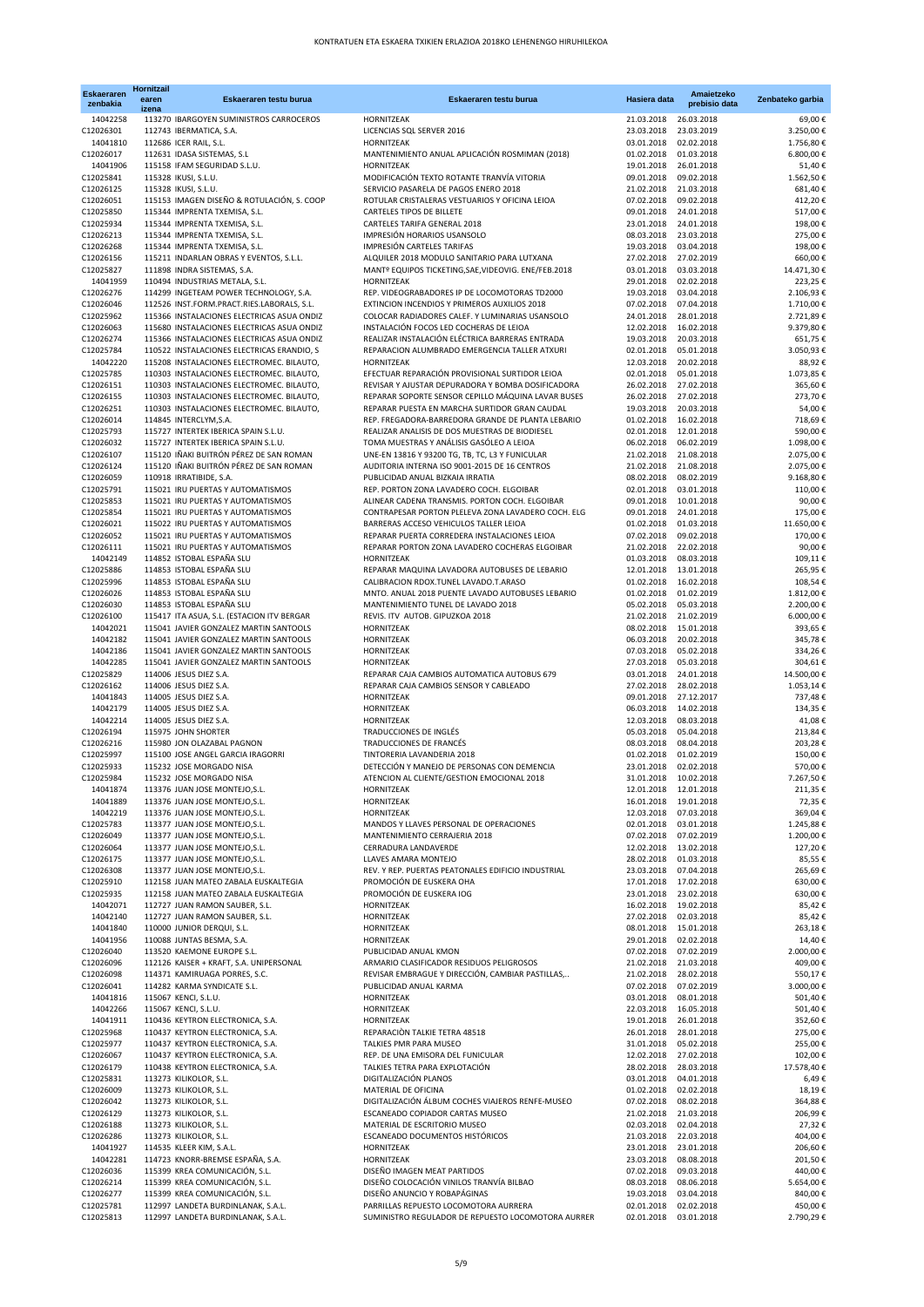| <b>Eskaeraren</b><br>zenbakia | Hornitzail<br>earen<br>izena | Eskaeraren testu burua                                                                   | Eskaeraren testu burua                                                                               | Hasiera data             | Amaietzeko<br>prebisio data | Zenbateko garbia       |
|-------------------------------|------------------------------|------------------------------------------------------------------------------------------|------------------------------------------------------------------------------------------------------|--------------------------|-----------------------------|------------------------|
| 14042258                      |                              | 113270 IBARGOYEN SUMINISTROS CARROCEROS                                                  | HORNITZEAK                                                                                           | 21.03.2018               | 26.03.2018                  | 69,00€                 |
| C12026301                     |                              | 112743 IBERMATICA, S.A.                                                                  | LICENCIAS SQL SERVER 2016                                                                            | 23.03.2018               | 23.03.2019                  | 3.250,00€              |
| 14041810<br>C12026017         |                              | 112686 ICER RAIL, S.L.<br>112631 IDASA SISTEMAS, S.L                                     | HORNITZEAK<br>MANTENIMIENTO ANUAL APLICACIÓN ROSMIMAN (2018)                                         | 03.01.2018<br>01.02.2018 | 02.02.2018<br>01.03.2018    | 1.756,80€<br>6.800,00€ |
| 14041906                      |                              | 115158 IFAM SEGURIDAD S.L.U.                                                             | HORNITZEAK                                                                                           | 19.01.2018               | 26.01.2018                  | 51,40€                 |
| C12025841                     |                              | 115328 IKUSI, S.L.U.                                                                     | MODIFICACIÓN TEXTO ROTANTE TRANVÍA VITORIA                                                           | 09.01.2018               | 09.02.2018                  | 1.562,50€              |
| C12026125<br>C12026051        |                              | 115328 IKUSI, S.L.U.<br>115153 IMAGEN DISEÑO & ROTULACIÓN, S. COOP                       | SERVICIO PASARELA DE PAGOS ENERO 2018<br>ROTULAR CRISTALERAS VESTUARIOS Y OFICINA LEIOA              | 21.02.2018<br>07.02.2018 | 21.03.2018<br>09.02.2018    | 681,40€<br>412,20€     |
| C12025850                     |                              | 115344 IMPRENTA TXEMISA, S.L.                                                            | CARTELES TIPOS DE BILLETE                                                                            | 09.01.2018               | 24.01.2018                  | 517,00€                |
| C12025934                     |                              | 115344 IMPRENTA TXEMISA, S.L.                                                            | CARTELES TARIFA GENERAL 2018                                                                         | 23.01.2018               | 24.01.2018                  | 198,00€                |
| C12026213<br>C12026268        |                              | 115344 IMPRENTA TXEMISA, S.L.<br>115344 IMPRENTA TXEMISA, S.L.                           | IMPRESIÓN HORARIOS USANSOLO<br><b>IMPRESIÓN CARTELES TARIFAS</b>                                     | 08.03.2018<br>19.03.2018 | 23.03.2018<br>03.04.2018    | 275,00€<br>198,00€     |
| C12026156                     |                              | 115211 INDARLAN OBRAS Y EVENTOS, S.L.L.                                                  | ALQUILER 2018 MODULO SANITARIO PARA LUTXANA                                                          | 27.02.2018               | 27.02.2019                  | 660,00€                |
| C12025827                     |                              | 111898 INDRA SISTEMAS, S.A.                                                              | MANTº EQUIPOS TICKETING, SAE, VIDEOVIG. ENE/FEB.2018                                                 | 03.01.2018               | 03.03.2018                  | 14.471,30€             |
| 14041959                      |                              | 110494 INDUSTRIAS METALA, S.L.                                                           | HORNITZEAK                                                                                           | 29.01.2018               | 02.02.2018                  | 223,25€                |
| C12026276<br>C12026046        |                              | 114299 INGETEAM POWER TECHNOLOGY, S.A.<br>112526 INST.FORM.PRACT.RIES.LABORALS, S.L.     | REP. VIDEOGRABADORES IP DE LOCOMOTORAS TD2000<br>EXTINCION INCENDIOS Y PRIMEROS AUXILIOS 2018        | 19.03.2018<br>07.02.2018 | 03.04.2018<br>07.04.2018    | 2.106,93€<br>1.710,00€ |
| C12025962                     |                              | 115366 INSTALACIONES ELECTRICAS ASUA ONDIZ                                               | COLOCAR RADIADORES CALEF. Y LUMINARIAS USANSOLO                                                      | 24.01.2018               | 28.01.2018                  | 2.721,89€              |
| C12026063                     |                              | 115680 INSTALACIONES ELECTRICAS ASUA ONDIZ                                               | INSTALACIÓN FOCOS LED COCHERAS DE LEIOA                                                              | 12.02.2018               | 16.02.2018                  | 9.379,80€              |
| C12026274<br>C12025784        |                              | 115366 INSTALACIONES ELECTRICAS ASUA ONDIZ<br>110522 INSTALACIONES ELECTRICAS ERANDIO, S | REALIZAR INSTALACIÓN ELÉCTRICA BARRERAS ENTRADA<br>REPARACION ALUMBRADO EMERGENCIA TALLER ATXURI     | 19.03.2018<br>02.01.2018 | 20.03.2018<br>05.01.2018    | 651,75€<br>3.050,93€   |
| 14042220                      |                              | 115208 INSTALACIONES ELECTROMEC. BILAUTO,                                                | HORNITZEAK                                                                                           | 12.03.2018               | 20.02.2018                  | 88,92€                 |
| C12025785                     |                              | 110303 INSTALACIONES ELECTROMEC. BILAUTO,                                                | EFECTUAR REPARACIÓN PROVISIONAL SURTIDOR LEIOA                                                       | 02.01.2018               | 05.01.2018                  | 1.073,85€              |
| C12026151                     |                              | 110303 INSTALACIONES ELECTROMEC. BILAUTO,                                                | REVISAR Y AJUSTAR DEPURADORA Y BOMBA DOSIFICADORA                                                    | 26.02.2018               | 27.02.2018                  | 365,60€                |
| C12026155<br>C12026251        |                              | 110303 INSTALACIONES ELECTROMEC. BILAUTO,<br>110303 INSTALACIONES ELECTROMEC. BILAUTO,   | REPARAR SOPORTE SENSOR CEPILLO MÁQUINA LAVAR BUSES<br>REPARAR PUESTA EN MARCHA SURTIDOR GRAN CAUDAL  | 26.02.2018<br>19.03.2018 | 27.02.2018<br>20.03.2018    | 273,70€<br>54,00€      |
| C12026014                     |                              | 114845 INTERCLYM, S.A.                                                                   | REP. FREGADORA-BARREDORA GRANDE DE PLANTA LEBARIO                                                    | 01.02.2018               | 16.02.2018                  | 718,69€                |
| C12025793                     |                              | 115727 INTERTEK IBERICA SPAIN S.L.U.                                                     | REALIZAR ANALISIS DE DOS MUESTRAS DE BIODIESEL                                                       | 02.01.2018               | 12.01.2018                  | 590,00€                |
| C12026032<br>C12026107        |                              | 115727 INTERTEK IBERICA SPAIN S.L.U.<br>115120 IÑAKI BUITRÓN PÉREZ DE SAN ROMAN          | TOMA MUESTRAS Y ANÁLISIS GASÓLEO A LEIOA<br>UNE-EN 13816 Y 93200 TG, TB, TC, L3 Y FUNICULAR          | 06.02.2018<br>21.02.2018 | 06.02.2019<br>21.08.2018    | 1.098,00€<br>2.075,00€ |
| C12026124                     |                              | 115120 IÑAKI BUITRÓN PÉREZ DE SAN ROMAN                                                  | AUDITORIA INTERNA ISO 9001-2015 DE 16 CENTROS                                                        | 21.02.2018               | 21.08.2018                  | 2.075,00€              |
| C12026059                     |                              | 110918 IRRATIBIDE, S.A.                                                                  | PUBLICIDAD ANUAL BIZKAIA IRRATIA                                                                     | 08.02.2018               | 08.02.2019                  | 9.168,80€              |
| C12025791                     |                              | 115021 IRU PUERTAS Y AUTOMATISMOS                                                        | REP. PORTON ZONA LAVADERO COCH. ELGOIBAR                                                             | 02.01.2018               | 03.01.2018                  | 110,00€                |
| C12025853<br>C12025854        |                              | 115021 IRU PUERTAS Y AUTOMATISMOS<br>115021 IRU PUERTAS Y AUTOMATISMOS                   | ALINEAR CADENA TRANSMIS. PORTON COCH. ELGOIBAR<br>CONTRAPESAR PORTON PLELEVA ZONA LAVADERO COCH. ELG | 09.01.2018<br>09.01.2018 | 10.01.2018<br>24.01.2018    | 90,00€<br>175,00€      |
| C12026021                     |                              | 115022 IRU PUERTAS Y AUTOMATISMOS                                                        | BARRERAS ACCESO VEHICULOS TALLER LEIOA                                                               | 01.02.2018               | 01.03.2018                  | 11.650,00€             |
| C12026052                     |                              | 115021 IRU PUERTAS Y AUTOMATISMOS                                                        | REPARAR PUERTA CORREDERA INSTALACIONES LEIOA                                                         | 07.02.2018               | 09.02.2018                  | 170,00€                |
| C12026111                     |                              | 115021 IRU PUERTAS Y AUTOMATISMOS                                                        | REPARAR PORTON ZONA LAVADERO COCHERAS ELGOIBAR<br>HORNITZEAK                                         | 21.02.2018               | 22.02.2018                  | 90,00€                 |
| 14042149<br>C12025886         |                              | 114852 ISTOBAL ESPAÑA SLU<br>114853 ISTOBAL ESPAÑA SLU                                   | REPARAR MAQUINA LAVADORA AUTOBUSES DE LEBARIO                                                        | 01.03.2018<br>12.01.2018 | 08.03.2018<br>13.01.2018    | 109,11€<br>265,95€     |
| C12025996                     |                              | 114853 ISTOBAL ESPAÑA SLU                                                                | CALIBRACION RDOX.TUNEL LAVADO.T.ARASO                                                                | 01.02.2018               | 16.02.2018                  | 108,54€                |
| C12026026                     |                              | 114853 ISTOBAL ESPAÑA SLU                                                                | MNTO. ANUAL 2018 PUENTE LAVADO AUTOBUSES LEBARIO                                                     | 01.02.2018               | 01.02.2019                  | 1.812,00€              |
| C12026030<br>C12026100        |                              | 114853 ISTOBAL ESPAÑA SLU<br>115417 ITA ASUA, S.L. (ESTACION ITV BERGAR                  | MANTENIMIENTO TUNEL DE LAVADO 2018<br>REVIS. ITV AUTOB. GIPUZKOA 2018                                | 05.02.2018<br>21.02.2018 | 05.03.2018<br>21.02.2019    | 2.200,00€<br>6.000,00€ |
| 14042021                      |                              | 115041 JAVIER GONZALEZ MARTIN SANTOOLS                                                   | HORNITZEAK                                                                                           | 08.02.2018               | 15.01.2018                  | 393,65€                |
| 14042182                      |                              | 115041 JAVIER GONZALEZ MARTIN SANTOOLS                                                   | HORNITZEAK                                                                                           | 06.03.2018               | 20.02.2018                  | 345,78€                |
| 14042186<br>14042285          |                              | 115041 JAVIER GONZALEZ MARTIN SANTOOLS                                                   | HORNITZEAK<br>HORNITZEAK                                                                             | 07.03.2018<br>27.03.2018 | 05.02.2018                  | 334,26€                |
| C12025829                     |                              | 115041 JAVIER GONZALEZ MARTIN SANTOOLS<br>114006 JESUS DIEZ S.A.                         | REPARAR CAJA CAMBIOS AUTOMATICA AUTOBUS 679                                                          | 03.01.2018               | 05.03.2018<br>24.01.2018    | 304,61€<br>14.500,00€  |
| C12026162                     |                              | 114006 JESUS DIEZ S.A.                                                                   | REPARAR CAJA CAMBIOS SENSOR Y CABLEADO                                                               | 27.02.2018               | 28.02.2018                  | 1.053,14€              |
| 14041843                      |                              | 114005 JESUS DIEZ S.A.                                                                   | HORNITZEAK                                                                                           | 09.01.2018               | 27.12.2017                  | 737,48€                |
| 14042179<br>14042214          |                              | 114005 JESUS DIEZ S.A.<br>114005 JESUS DIEZ S.A.                                         | HORNITZEAK<br>HORNITZEAK                                                                             | 06.03.2018<br>12.03.2018 | 14.02.2018<br>08.03.2018    | 134,35€<br>41,08€      |
| C12026194                     |                              | 115975 JOHN SHORTER                                                                      | TRADUCCIONES DE INGLÉS                                                                               | 05.03.2018               | 05.04.2018                  | 213,84€                |
| C12026216                     |                              | 115980 JON OLAZABAL PAGNON                                                               | TRADUCCIONES DE FRANCÉS                                                                              | 08.03.2018               | 08.04.2018                  | 203,28€                |
| C12025997<br>C12025933        |                              | 115100 JOSE ANGEL GARCIA IRAGORRI<br>115232 JOSE MORGADO NISA                            | TINTORERIA LAVANDERIA 2018<br>DETECCIÓN Y MANEJO DE PERSONAS CON DEMENCIA                            | 01.02.2018<br>23.01.2018 | 01.02.2019<br>02.02.2018    | 150,00€<br>570,00€     |
| C12025984                     |                              | 115232 JOSE MORGADO NISA                                                                 | ATENCION AL CLIENTE/GESTION EMOCIONAL 2018                                                           | 31.01.2018               | 10.02.2018                  | 7.267,50€              |
| 14041874                      |                              | 113376 JUAN JOSE MONTEJO, S.L.                                                           | HORNITZEAK                                                                                           | 12.01.2018 12.01.2018    |                             | 211,35€                |
| 14041889                      |                              | 113376 JUAN JOSE MONTEJO, S.L.<br>113376 JUAN JOSE MONTEJO, S.L.                         | HORNITZEAK<br>HORNITZEAK                                                                             | 16.01.2018               | 19.01.2018<br>07.03.2018    | 72,35€                 |
| 14042219<br>C12025783         |                              | 113377 JUAN JOSE MONTEJO, S.L.                                                           | MANDOS Y LLAVES PERSONAL DE OPERACIONES                                                              | 12.03.2018<br>02.01.2018 | 03.01.2018                  | 369,04€<br>1.245,88€   |
| C12026049                     |                              | 113377 JUAN JOSE MONTEJO, S.L.                                                           | MANTENIMIENTO CERRAJERIA 2018                                                                        | 07.02.2018               | 07.02.2019                  | 1.200,00€              |
| C12026064                     |                              | 113377 JUAN JOSE MONTEJO, S.L.                                                           | CERRADURA LANDAVERDE                                                                                 | 12.02.2018               | 13.02.2018                  | 127,20€                |
| C12026175<br>C12026308        |                              | 113377 JUAN JOSE MONTEJO, S.L.<br>113377 JUAN JOSE MONTEJO, S.L.                         | LLAVES AMARA MONTEJO<br>REV. Y REP. PUERTAS PEATONALES EDIFICIO INDUSTRIAL                           | 28.02.2018<br>23.03.2018 | 01.03.2018<br>07.04.2018    | 85,55€<br>265,69€      |
| C12025910                     |                              | 112158 JUAN MATEO ZABALA EUSKALTEGIA                                                     | PROMOCIÓN DE EUSKERA OHA                                                                             | 17.01.2018               | 17.02.2018                  | 630,00€                |
| C12025935                     |                              | 112158 JUAN MATEO ZABALA EUSKALTEGIA                                                     | PROMOCIÓN DE EUSKERA IOG                                                                             | 23.01.2018               | 23.02.2018                  | 630,00€                |
| 14042071<br>14042140          |                              | 112727 JUAN RAMON SAUBER, S.L.<br>112727 JUAN RAMON SAUBER, S.L.                         | HORNITZEAK<br>HORNITZEAK                                                                             | 16.02.2018<br>27.02.2018 | 19.02.2018<br>02.03.2018    | 85,42€<br>85,42€       |
| 14041840                      |                              | 110000 JUNIOR DERQUI, S.L.                                                               | HORNITZEAK                                                                                           | 08.01.2018               | 15.01.2018                  | 263,18€                |
| 14041956                      |                              | 110088 JUNTAS BESMA, S.A.                                                                | HORNITZEAK                                                                                           | 29.01.2018               | 02.02.2018                  | 14,40€                 |
| C12026040                     |                              | 113520 KAEMONE EUROPE S.L.                                                               | PUBLICIDAD ANUAL KMON                                                                                | 07.02.2018               | 07.02.2019                  | 2.000,00€              |
| C12026096<br>C12026098        |                              | 112126 KAISER + KRAFT, S.A. UNIPERSONAL<br>114371 KAMIRUAGA PORRES, S.C.                 | ARMARIO CLASIFICADOR RESIDUOS PELIGROSOS<br>REVISAR EMBRAGUE Y DIRECCIÓN, CAMBIAR PASTILLAS,         | 21.02.2018<br>21.02.2018 | 21.03.2018<br>28.02.2018    | 409,00€<br>550,17€     |
| C12026041                     |                              | 114282 KARMA SYNDICATE S.L.                                                              | PUBLICIDAD ANUAL KARMA                                                                               | 07.02.2018               | 07.02.2019                  | 3.000,00 €             |
| 14041816                      |                              | 115067 KENCI, S.L.U.                                                                     | HORNITZEAK                                                                                           | 03.01.2018               | 08.01.2018                  | 501,40€                |
| 14042266                      |                              | 115067 KENCI, S.L.U.                                                                     | HORNITZEAK                                                                                           | 22.03.2018               | 16.05.2018                  | 501,40€                |
| 14041911<br>C12025968         |                              | 110436 KEYTRON ELECTRONICA, S.A.<br>110437 KEYTRON ELECTRONICA, S.A.                     | HORNITZEAK<br>REPARACIÓN TALKIE TETRA 48518                                                          | 19.01.2018<br>26.01.2018 | 26.01.2018<br>28.01.2018    | 352,60€<br>275,00€     |
| C12025977                     |                              | 110437 KEYTRON ELECTRONICA, S.A.                                                         | TALKIES PMR PARA MUSEO                                                                               | 31.01.2018               | 05.02.2018                  | 255,00€                |
| C12026067                     |                              | 110437 KEYTRON ELECTRONICA, S.A.                                                         | REP. DE UNA EMISORA DEL FUNICULAR                                                                    | 12.02.2018               | 27.02.2018                  | 102,00€                |
| C12026179<br>C12025831        |                              | 110438 KEYTRON ELECTRONICA, S.A.<br>113273 KILIKOLOR, S.L.                               | TALKIES TETRA PARA EXPLOTACIÓN<br>DIGITALIZACIÓN PLANOS                                              | 28.02.2018<br>03.01.2018 | 28.03.2018<br>04.01.2018    | 17.578,40€<br>6,49€    |
| C12026009                     |                              | 113273 KILIKOLOR, S.L.                                                                   | MATERIAL DE OFICINA                                                                                  | 01.02.2018               | 02.02.2018                  | 18,19€                 |
| C12026042                     |                              | 113273 KILIKOLOR, S.L.                                                                   | DIGITALIZACIÓN ÁLBUM COCHES VIAJEROS RENFE-MUSEO                                                     | 07.02.2018               | 08.02.2018                  | 364,88€                |
| C12026129<br>C12026188        |                              | 113273 KILIKOLOR, S.L.<br>113273 KILIKOLOR, S.L.                                         | ESCANEADO COPIADOR CARTAS MUSEO<br>MATERIAL DE ESCRITORIO MUSEO                                      | 21.02.2018<br>02.03.2018 | 21.03.2018<br>02.04.2018    | 206,99€<br>27,32€      |
| C12026286                     |                              | 113273 KILIKOLOR, S.L.                                                                   | ESCANEADO DOCUMENTOS HISTÓRICOS                                                                      | 21.03.2018               | 22.03.2018                  | 404,00€                |
| 14041927                      |                              | 114535 KLEER KIM, S.A.L.                                                                 | HORNITZEAK                                                                                           | 23.01.2018               | 23.01.2018                  | 206,60€                |
| 14042281                      |                              | 114723 KNORR-BREMSE ESPAÑA, S.A.                                                         | HORNITZEAK                                                                                           | 23.03.2018               | 08.08.2018                  | 201,50€                |
| C12026036<br>C12026214        |                              | 115399 KREA COMUNICACIÓN, S.L.<br>115399 KREA COMUNICACIÓN, S.L.                         | DISEÑO IMAGEN MEAT PARTIDOS<br>DISEÑO COLOCACIÓN VINILOS TRANVÍA BILBAO                              | 07.02.2018<br>08.03.2018 | 09.03.2018<br>08.06.2018    | 440,00€<br>5.654,00€   |
| C12026277                     |                              | 115399 KREA COMUNICACIÓN, S.L.                                                           | DISEÑO ANUNCIO Y ROBAPÁGINAS                                                                         | 19.03.2018               | 03.04.2018                  | 840,00€                |
| C12025781                     |                              | 112997 LANDETA BURDINLANAK, S.A.L.                                                       | PARRILLAS REPUESTO LOCOMOTORA AURRERA                                                                | 02.01.2018               | 02.02.2018                  | 450,00€                |
| C12025813                     |                              | 112997 LANDETA BURDINLANAK, S.A.L.                                                       | SUMINISTRO REGULADOR DE REPUESTO LOCOMOTORA AURRER                                                   | 02.01.2018               | 03.01.2018                  | 2.790,29€              |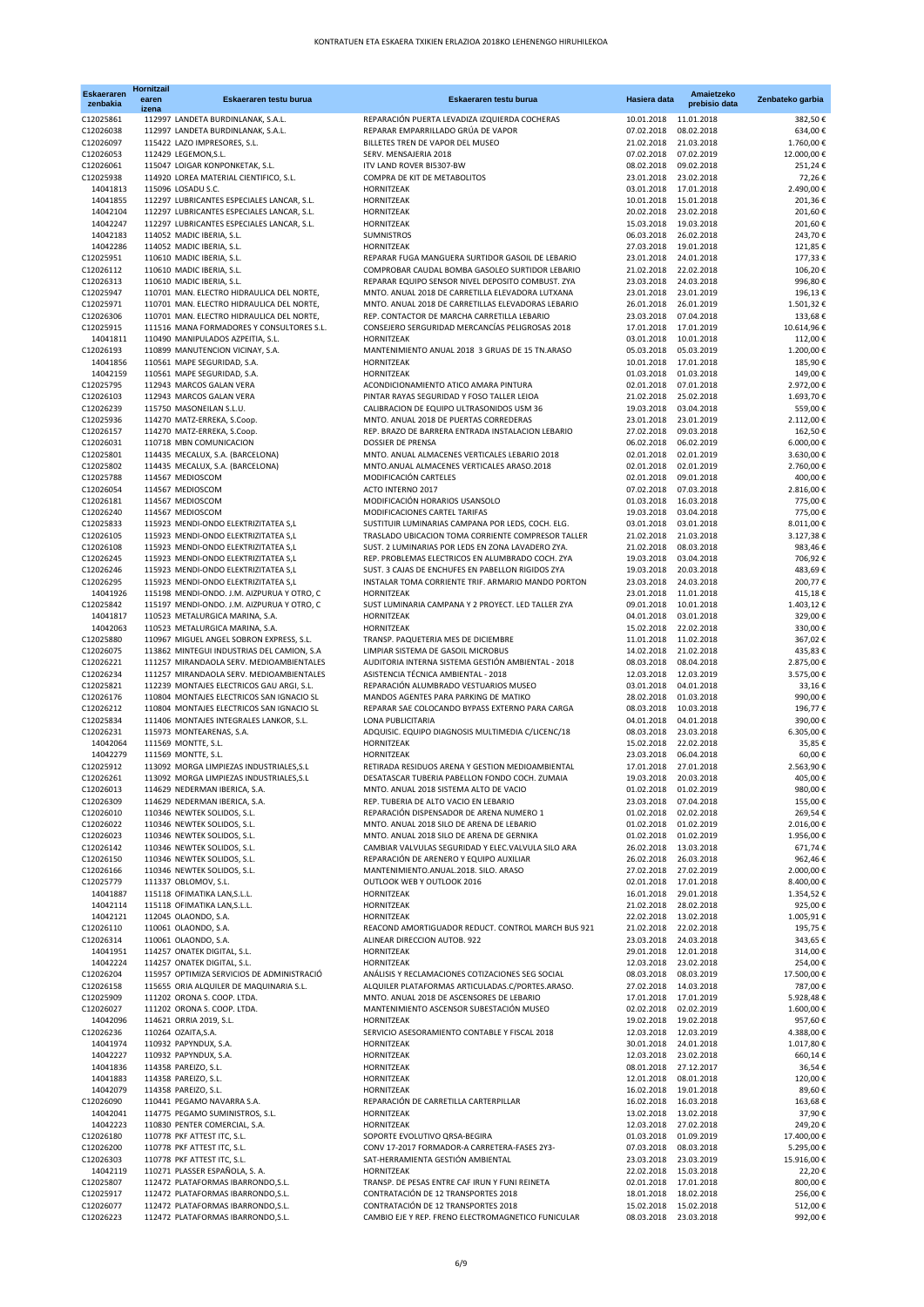| <b>Eskaeraren</b><br>zenbakia | Hornitzail<br>earen<br>izena | Eskaeraren testu burua                                                                 | Eskaeraren testu burua                                                                                 | Hasiera data                        | Amaietzeko<br>prebisio data | Zenbateko garbia         |
|-------------------------------|------------------------------|----------------------------------------------------------------------------------------|--------------------------------------------------------------------------------------------------------|-------------------------------------|-----------------------------|--------------------------|
| C12025861                     |                              | 112997 LANDETA BURDINLANAK, S.A.L.                                                     | REPARACIÓN PUERTA LEVADIZA IZQUIERDA COCHERAS                                                          | 10.01.2018 11.01.2018               |                             | 382,50€                  |
| C12026038                     |                              | 112997 LANDETA BURDINLANAK, S.A.L.                                                     | REPARAR EMPARRILLADO GRÚA DE VAPOR                                                                     | 07.02.2018                          | 08.02.2018                  | 634,00€                  |
| C12026097<br>C12026053        |                              | 115422 LAZO IMPRESORES, S.L.<br>112429 LEGEMON, S.L.                                   | BILLETES TREN DE VAPOR DEL MUSEO<br>SERV. MENSAJERIA 2018                                              | 21.02.2018<br>07.02.2018            | 21.03.2018<br>07.02.2019    | 1.760,00€<br>12.000,00€  |
| C12026061                     |                              | 115047 LOIGAR KONPONKETAK, S.L.                                                        | ITV LAND ROVER BI5307-BW                                                                               | 08.02.2018                          | 09.02.2018                  | 251,24€                  |
| C12025938                     |                              | 114920 LOREA MATERIAL CIENTIFICO, S.L.                                                 | COMPRA DE KIT DE METABOLITOS                                                                           | 23.01.2018                          | 23.02.2018                  | 72,26€                   |
| 14041813<br>14041855          |                              | 115096 LOSADU S.C.<br>112297 LUBRICANTES ESPECIALES LANCAR, S.L.                       | HORNITZEAK<br>HORNITZEAK                                                                               | 03.01.2018<br>10.01.2018 15.01.2018 | 17.01.2018                  | 2.490,00€<br>201,36€     |
| 14042104                      |                              | 112297 LUBRICANTES ESPECIALES LANCAR, S.L.                                             | HORNITZEAK                                                                                             | 20.02.2018 23.02.2018               |                             | 201,60€                  |
| 14042247                      |                              | 112297 LUBRICANTES ESPECIALES LANCAR, S.L.                                             | HORNITZEAK                                                                                             | 15.03.2018 19.03.2018               |                             | 201,60€                  |
| 14042183<br>14042286          |                              | 114052 MADIC IBERIA, S.L.                                                              | SUMNISTROS<br>HORNITZEAK                                                                               | 06.03.2018<br>27.03.2018 19.01.2018 | 26.02.2018                  | 243,70€<br>121,85€       |
| C12025951                     |                              | 114052 MADIC IBERIA, S.L.<br>110610 MADIC IBERIA, S.L.                                 | REPARAR FUGA MANGUERA SURTIDOR GASOIL DE LEBARIO                                                       | 23.01.2018                          | 24.01.2018                  | 177,33€                  |
| C12026112                     |                              | 110610 MADIC IBERIA, S.L.                                                              | COMPROBAR CAUDAL BOMBA GASOLEO SURTIDOR LEBARIO                                                        | 21.02.2018 22.02.2018               |                             | 106,20€                  |
| C12026313                     |                              | 110610 MADIC IBERIA, S.L.                                                              | REPARAR EQUIPO SENSOR NIVEL DEPOSITO COMBUST. ZYA                                                      | 23.03.2018                          | 24.03.2018                  | 996,80€                  |
| C12025947<br>C12025971        |                              | 110701 MAN. ELECTRO HIDRAULICA DEL NORTE,<br>110701 MAN. ELECTRO HIDRAULICA DEL NORTE, | MNTO. ANUAL 2018 DE CARRETILLA ELEVADORA LUTXANA<br>MNTO. ANUAL 2018 DE CARRETILLAS ELEVADORAS LEBARIO | 23.01.2018<br>26.01.2018            | 23.01.2019<br>26.01.2019    | 196,13€<br>1.501,32€     |
| C12026306                     |                              | 110701 MAN. ELECTRO HIDRAULICA DEL NORTE,                                              | REP. CONTACTOR DE MARCHA CARRETILLA LEBARIO                                                            | 23.03.2018                          | 07.04.2018                  | 133,68€                  |
| C12025915                     |                              | 111516 MANA FORMADORES Y CONSULTORES S.L.                                              | CONSEJERO SERGURIDAD MERCANCÍAS PELIGROSAS 2018                                                        | 17.01.2018                          | 17.01.2019                  | 10.614,96€               |
| 14041811<br>C12026193         |                              | 110490 MANIPULADOS AZPEITIA, S.L.<br>110899 MANUTENCION VICINAY, S.A.                  | HORNITZEAK<br>MANTENIMIENTO ANUAL 2018 3 GRUAS DE 15 TN.ARASO                                          | 03.01.2018<br>05.03.2018            | 10.01.2018<br>05.03.2019    | 112,00€<br>1.200,00€     |
| 14041856                      |                              | 110561 MAPE SEGURIDAD, S.A.                                                            | HORNITZEAK                                                                                             | 10.01.2018                          | 17.01.2018                  | 185,90€                  |
| 14042159                      |                              | 110561 MAPE SEGURIDAD, S.A.                                                            | HORNITZEAK                                                                                             | 01.03.2018                          | 01.03.2018                  | 149,00€                  |
| C12025795                     |                              | 112943 MARCOS GALAN VERA                                                               | ACONDICIONAMIENTO ATICO AMARA PINTURA                                                                  | 02.01.2018                          | 07.01.2018                  | 2.972,00€                |
| C12026103<br>C12026239        |                              | 112943 MARCOS GALAN VERA<br>115750 MASONEILAN S.L.U.                                   | PINTAR RAYAS SEGURIDAD Y FOSO TALLER LEIOA<br>CALIBRACION DE EQUIPO ULTRASONIDOS USM 36                | 21.02.2018<br>19.03.2018            | 25.02.2018<br>03.04.2018    | 1.693,70€<br>559,00€     |
| C12025936                     |                              | 114270 MATZ-ERREKA, S.Coop.                                                            | MNTO. ANUAL 2018 DE PUERTAS CORREDERAS                                                                 | 23.01.2018                          | 23.01.2019                  | 2.112,00€                |
| C12026157                     |                              | 114270 MATZ-ERREKA, S.Coop.                                                            | REP. BRAZO DE BARRERA ENTRADA INSTALACION LEBARIO                                                      | 27.02.2018                          | 09.03.2018                  | 162,50€                  |
| C12026031<br>C12025801        |                              | 110718 MBN COMUNICACION                                                                | <b>DOSSIER DE PRENSA</b><br>MNTO. ANUAL ALMACENES VERTICALES LEBARIO 2018                              | 06.02.2018<br>02.01.2018            | 06.02.2019<br>02.01.2019    | 6.000,00€<br>3.630,00€   |
| C12025802                     |                              | 114435 MECALUX, S.A. (BARCELONA)<br>114435 MECALUX, S.A. (BARCELONA)                   | MNTO.ANUAL ALMACENES VERTICALES ARASO.2018                                                             | 02.01.2018                          | 02.01.2019                  | 2.760,00€                |
| C12025788                     |                              | 114567 MEDIOSCOM                                                                       | MODIFICACIÓN CARTELES                                                                                  | 02.01.2018                          | 09.01.2018                  | 400,00€                  |
| C12026054                     |                              | 114567 MEDIOSCOM                                                                       | ACTO INTERNO 2017                                                                                      | 07.02.2018                          | 07.03.2018                  | 2.816,00€                |
| C12026181<br>C12026240        |                              | 114567 MEDIOSCOM<br>114567 MEDIOSCOM                                                   | MODIFICACIÓN HORARIOS USANSOLO<br>MODIFICACIONES CARTEL TARIFAS                                        | 01.03.2018<br>19.03.2018            | 16.03.2018<br>03.04.2018    | 775,00€<br>775,00€       |
| C12025833                     |                              | 115923 MENDI-ONDO ELEKTRIZITATEA S,L                                                   | SUSTITUIR LUMINARIAS CAMPANA POR LEDS, COCH. ELG.                                                      | 03.01.2018                          | 03.01.2018                  | 8.011,00€                |
| C12026105                     |                              | 115923 MENDI-ONDO ELEKTRIZITATEA S,L                                                   | TRASLADO UBICACION TOMA CORRIENTE COMPRESOR TALLER                                                     | 21.02.2018                          | 21.03.2018                  | 3.127,38€                |
| C12026108                     |                              | 115923 MENDI-ONDO ELEKTRIZITATEA S,L                                                   | SUST. 2 LUMINARIAS POR LEDS EN ZONA LAVADERO ZYA.                                                      | 21.02.2018                          | 08.03.2018                  | 983,46€                  |
| C12026245<br>C12026246        |                              | 115923 MENDI-ONDO ELEKTRIZITATEA S,L<br>115923 MENDI-ONDO ELEKTRIZITATEA S,L           | REP. PROBLEMAS ELECTRICOS EN ALUMBRADO COCH. ZYA<br>SUST. 3 CAJAS DE ENCHUFES EN PABELLON RIGIDOS ZYA  | 19.03.2018<br>19.03.2018            | 03.04.2018<br>20.03.2018    | 706,92€<br>483,69€       |
| C12026295                     |                              | 115923 MENDI-ONDO ELEKTRIZITATEA S,L                                                   | INSTALAR TOMA CORRIENTE TRIF. ARMARIO MANDO PORTON                                                     | 23.03.2018                          | 24.03.2018                  | 200,77€                  |
| 14041926                      |                              | 115198 MENDI-ONDO. J.M. AIZPURUA Y OTRO, C                                             | HORNITZEAK                                                                                             | 23.01.2018                          | 11.01.2018                  | 415,18€                  |
| C12025842<br>14041817         |                              | 115197 MENDI-ONDO. J.M. AIZPURUA Y OTRO, C<br>110523 METALURGICA MARINA, S.A.          | SUST LUMINARIA CAMPANA Y 2 PROYECT. LED TALLER ZYA<br>HORNITZEAK                                       | 09.01.2018<br>04.01.2018            | 10.01.2018                  | 1.403,12€<br>329,00€     |
| 14042063                      |                              | 110523 METALURGICA MARINA, S.A.                                                        | HORNITZEAK                                                                                             | 15.02.2018                          | 03.01.2018<br>22.02.2018    | 330,00€                  |
| C12025880                     |                              | 110967 MIGUEL ANGEL SOBRON EXPRESS, S.L.                                               | TRANSP. PAQUETERIA MES DE DICIEMBRE                                                                    | 11.01.2018                          | 11.02.2018                  | 367,02€                  |
| C12026075                     |                              | 113862 MINTEGUI INDUSTRIAS DEL CAMION, S.A                                             | LIMPIAR SISTEMA DE GASOIL MICROBUS                                                                     | 14.02.2018                          | 21.02.2018                  | 435,83€                  |
| C12026221<br>C12026234        |                              | 111257 MIRANDAOLA SERV. MEDIOAMBIENTALES<br>111257 MIRANDAOLA SERV. MEDIOAMBIENTALES   | AUDITORIA INTERNA SISTEMA GESTIÓN AMBIENTAL - 2018<br>ASISTENCIA TÉCNICA AMBIENTAL - 2018              | 08.03.2018<br>12.03.2018            | 08.04.2018<br>12.03.2019    | 2.875,00 €<br>3.575,00€  |
| C12025821                     |                              | 112239 MONTAJES ELECTRICOS GAU ARGI, S.L.                                              | REPARACIÓN ALUMBRADO VESTUARIOS MUSEO                                                                  | 03.01.2018                          | 04.01.2018                  | 33,16€                   |
| C12026176                     |                              | 110804 MONTAJES ELECTRICOS SAN IGNACIO SL                                              | MANDOS AGENTES PARA PARKING DE MATIKO                                                                  | 28.02.2018                          | 01.03.2018                  | 990,00€                  |
| C12026212                     |                              | 110804 MONTAJES ELECTRICOS SAN IGNACIO SL                                              | REPARAR SAE COLOCANDO BYPASS EXTERNO PARA CARGA                                                        | 08.03.2018                          | 10.03.2018                  | 196,77€                  |
| C12025834<br>C12026231        |                              | 111406 MONTAJES INTEGRALES LANKOR, S.L.<br>115973 MONTEARENAS, S.A.                    | LONA PUBLICITARIA<br>ADQUISIC. EQUIPO DIAGNOSIS MULTIMEDIA C/LICENC/18                                 | 04.01.2018<br>08.03.2018            | 04.01.2018<br>23.03.2018    | 390,00€<br>6.305,00€     |
| 14042064                      |                              | 111569 MONTTE, S.L.                                                                    | HORNITZEAK                                                                                             | 15.02.2018                          | 22.02.2018                  | 35,85€                   |
| 14042279                      |                              | 111569 MONTTE, S.L.                                                                    | HORNITZEAK                                                                                             | 23.03.2018                          | 06.04.2018                  | 60,00€                   |
| C12025912<br>C12026261        |                              | 113092 MORGA LIMPIEZAS INDUSTRIALES, S.L.<br>113092 MORGA LIMPIEZAS INDUSTRIALES, S.L  | RETIRADA RESIDUOS ARENA Y GESTION MEDIOAMBIENTAL<br>DESATASCAR TUBERIA PABELLON FONDO COCH. ZUMAIA     | 17.01.2018<br>19.03.2018            | 27.01.2018<br>20.03.2018    | 2.563,90€<br>405,00€     |
| C12026013                     |                              | 114629 NEDERMAN IBERICA, S.A.                                                          | MNTO. ANUAL 2018 SISTEMA ALTO DE VACIO                                                                 | 01.02.2018 01.02.2019               |                             | 980,00€                  |
| C12026309                     |                              | 114629 NEDERMAN IBERICA, S.A.                                                          | REP. TUBERIA DE ALTO VACIO EN LEBARIO                                                                  | 23.03.2018                          | 07.04.2018                  | 155,00€                  |
| C12026010                     |                              | 110346 NEWTEK SOLIDOS, S.L.<br>110346 NEWTEK SOLIDOS, S.L.                             | REPARACIÓN DISPENSADOR DE ARENA NUMERO 1<br>MNTO. ANUAL 2018 SILO DE ARENA DE LEBARIO                  | 01.02.2018                          | 02.02.2018                  | 269,54€                  |
| C12026022<br>C12026023        |                              | 110346 NEWTEK SOLIDOS, S.L.                                                            | MNTO. ANUAL 2018 SILO DE ARENA DE GERNIKA                                                              | 01.02.2018<br>01.02.2018            | 01.02.2019<br>01.02.2019    | 2.016,00€<br>1.956,00€   |
| C12026142                     |                              | 110346 NEWTEK SOLIDOS, S.L.                                                            | CAMBIAR VALVULAS SEGURIDAD Y ELEC.VALVULA SILO ARA                                                     | 26.02.2018                          | 13.03.2018                  | 671,74€                  |
| C12026150                     |                              | 110346 NEWTEK SOLIDOS, S.L.                                                            | REPARACIÓN DE ARENERO Y EQUIPO AUXILIAR                                                                | 26.02.2018                          | 26.03.2018                  | 962,46€                  |
| C12026166<br>C12025779        |                              | 110346 NEWTEK SOLIDOS, S.L.<br>111337 OBLOMOV, S.L.                                    | MANTENIMIENTO.ANUAL.2018. SILO. ARASO<br>OUTLOOK WEB Y OUTLOOK 2016                                    | 27.02.2018<br>02.01.2018            | 27.02.2019<br>17.01.2018    | 2.000,00€<br>8.400,00€   |
| 14041887                      |                              | 115118 OFIMATIKA LAN, S.L.L.                                                           | HORNITZEAK                                                                                             | 16.01.2018                          | 29.01.2018                  | 1.354,52€                |
| 14042114                      |                              | 115118 OFIMATIKA LAN, S.L.L.                                                           | HORNITZEAK                                                                                             | 21.02.2018                          | 28.02.2018                  | 925,00€                  |
| 14042121                      |                              | 112045 OLAONDO, S.A.                                                                   | HORNITZEAK                                                                                             | 22.02.2018                          | 13.02.2018                  | 1.005,91€                |
| C12026110<br>C12026314        |                              | 110061 OLAONDO, S.A.<br>110061 OLAONDO, S.A.                                           | REACOND AMORTIGUADOR REDUCT. CONTROL MARCH BUS 921<br>ALINEAR DIRECCION AUTOB. 922                     | 21.02.2018<br>23.03.2018            | 22.02.2018<br>24.03.2018    | 195,75€<br>343,65€       |
| 14041951                      |                              | 114257 ONATEK DIGITAL, S.L.                                                            | HORNITZEAK                                                                                             | 29.01.2018                          | 12.01.2018                  | 314,00€                  |
| 14042224                      |                              | 114257 ONATEK DIGITAL, S.L.                                                            | HORNITZEAK                                                                                             | 12.03.2018                          | 23.02.2018                  | 254,00€                  |
| C12026204                     |                              | 115957 OPTIMIZA SERVICIOS DE ADMINISTRACIÓ                                             | ANÁLISIS Y RECLAMACIONES COTIZACIONES SEG SOCIAL                                                       | 08.03.2018                          | 08.03.2019                  | 17.500,00€               |
| C12026158<br>C12025909        |                              | 115655 ORIA ALQUILER DE MAQUINARIA S.L.<br>111202 ORONA S. COOP. LTDA.                 | ALQUILER PLATAFORMAS ARTICULADAS.C/PORTES.ARASO.<br>MNTO. ANUAL 2018 DE ASCENSORES DE LEBARIO          | 27.02.2018 14.03.2018<br>17.01.2018 | 17.01.2019                  | 787,00€<br>5.928,48€     |
| C12026027                     |                              | 111202 ORONA S. COOP. LTDA.                                                            | MANTENIMIENTO ASCENSOR SUBESTACIÓN MUSEO                                                               | 02.02.2018                          | 02.02.2019                  | 1.600,00€                |
| 14042096                      |                              | 114621 ORRIA 2019, S.L.                                                                | HORNITZEAK                                                                                             | 19.02.2018                          | 19.02.2018                  | 957,60€                  |
| C12026236<br>14041974         |                              | 110264 OZAITA, S.A.<br>110932 PAPYNDUX, S.A.                                           | SERVICIO ASESORAMIENTO CONTABLE Y FISCAL 2018<br>HORNITZEAK                                            | 12.03.2018 12.03.2019<br>30.01.2018 | 24.01.2018                  | 4.388,00 €<br>1.017,80 € |
| 14042227                      |                              | 110932 PAPYNDUX, S.A.                                                                  | HORNITZEAK                                                                                             | 12.03.2018                          | 23.02.2018                  | 660,14€                  |
| 14041836                      |                              | 114358 PAREIZO, S.L.                                                                   | HORNITZEAK                                                                                             | 08.01.2018                          | 27.12.2017                  | 36,54€                   |
| 14041883                      |                              | 114358 PAREIZO, S.L.                                                                   | HORNITZEAK                                                                                             | 12.01.2018                          | 08.01.2018                  | 120,00€                  |
| 14042079<br>C12026090         |                              | 114358 PAREIZO, S.L.<br>110441 PEGAMO NAVARRA S.A.                                     | HORNITZEAK<br>REPARACIÓN DE CARRETILLA CARTERPILLAR                                                    | 16.02.2018<br>16.02.2018            | 19.01.2018<br>16.03.2018    | 89,60€<br>163,68€        |
| 14042041                      |                              | 114775 PEGAMO SUMINISTROS, S.L.                                                        | HORNITZEAK                                                                                             | 13.02.2018 13.02.2018               |                             | 37,90€                   |
| 14042223                      |                              | 110830 PENTER COMERCIAL, S.A.                                                          | HORNITZEAK                                                                                             | 12.03.2018 27.02.2018               |                             | 249,20€                  |
| C12026180<br>C12026200        |                              | 110778 PKF ATTEST ITC, S.L.<br>110778 PKF ATTEST ITC, S.L.                             | SOPORTE EVOLUTIVO QRSA-BEGIRA<br>CONV 17-2017 FORMADOR-A CARRETERA-FASES 2Y3-                          | 01.03.2018 01.09.2019<br>07.03.2018 | 08.03.2018                  | 17.400,00€<br>5.295,00€  |
| C12026303                     |                              | 110778 PKF ATTEST ITC, S.L.                                                            | SAT-HERRAMIENTA GESTIÓN AMBIENTAL                                                                      | 23.03.2018                          | 23.03.2019                  | 15.916,00€               |
| 14042119                      |                              | 110271 PLASSER ESPAÑOLA, S. A.                                                         | HORNITZEAK                                                                                             | 22.02.2018                          | 15.03.2018                  | 22,20€                   |
| C12025807                     |                              | 112472 PLATAFORMAS IBARRONDO, S.L.                                                     | TRANSP. DE PESAS ENTRE CAF IRUN Y FUNI REINETA                                                         | 02.01.2018 17.01.2018               |                             | 800,00€                  |
| C12025917<br>C12026077        |                              | 112472 PLATAFORMAS IBARRONDO, S.L.<br>112472 PLATAFORMAS IBARRONDO, S.L.               | CONTRATACIÓN DE 12 TRANSPORTES 2018<br>CONTRATACIÓN DE 12 TRANSPORTES 2018                             | 18.01.2018<br>15.02.2018 15.02.2018 | 18.02.2018                  | 256,00€<br>512,00€       |
| C12026223                     |                              | 112472 PLATAFORMAS IBARRONDO, S.L.                                                     | CAMBIO EJE Y REP. FRENO ELECTROMAGNETICO FUNICULAR                                                     | 08.03.2018 23.03.2018               |                             | 992,00€                  |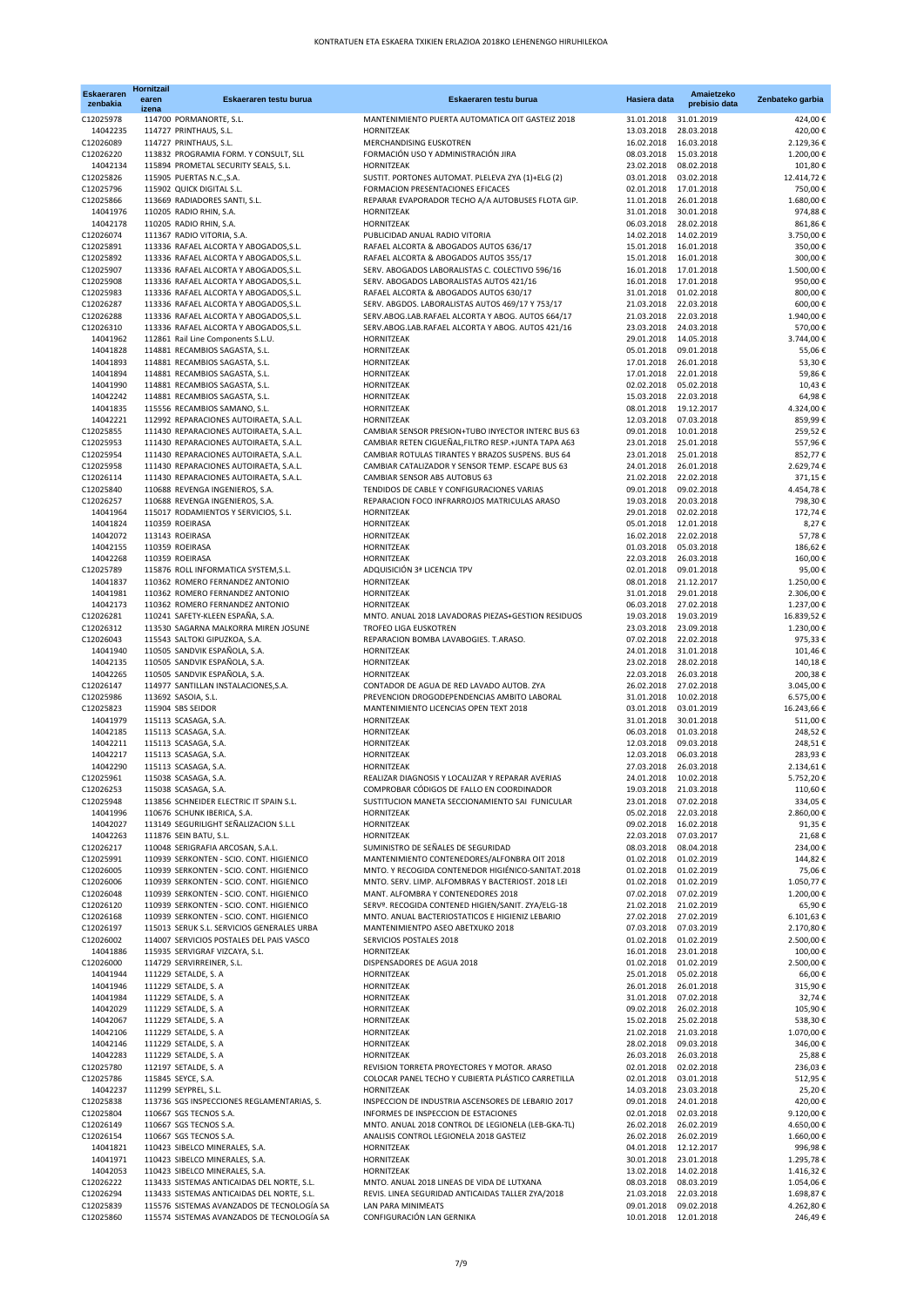| <b>Eskaeraren</b><br>zenbakia | Hornitzail<br>earen<br>izena | Eskaeraren testu burua                                                                   | Eskaeraren testu burua                                                                                    | Hasiera data                        | Amaietzeko<br>prebisio data | Zenbateko garbia       |
|-------------------------------|------------------------------|------------------------------------------------------------------------------------------|-----------------------------------------------------------------------------------------------------------|-------------------------------------|-----------------------------|------------------------|
| C12025978                     |                              | 114700 PORMANORTE, S.L.                                                                  | MANTENIMIENTO PUERTA AUTOMATICA OIT GASTEIZ 2018                                                          | 31.01.2018                          | 31.01.2019                  | 424,00€                |
| 14042235                      |                              | 114727 PRINTHAUS, S.L.                                                                   | HORNITZEAK                                                                                                | 13.03.2018                          | 28.03.2018                  | 420,00€                |
| C12026089<br>C12026220        |                              | 114727 PRINTHAUS, S.L.<br>113832 PROGRAMIA FORM. Y CONSULT, SLL                          | MERCHANDISING EUSKOTREN<br>FORMACIÓN USO Y ADMINISTRACIÓN JIRA                                            | 16.02.2018<br>08.03.2018            | 16.03.2018<br>15.03.2018    | 2.129,36€<br>1.200,00€ |
| 14042134                      |                              | 115894 PROMETAL SECURITY SEALS, S.L.                                                     | <b>HORNITZEAK</b>                                                                                         | 23.02.2018                          | 08.02.2018                  | 101,80€                |
| C12025826                     |                              | 115905 PUERTAS N.C., S.A.                                                                | SUSTIT. PORTONES AUTOMAT. PLELEVA ZYA (1)+ELG (2)                                                         | 03.01.2018                          | 03.02.2018                  | 12.414,72 €            |
| C12025796                     |                              | 115902 QUICK DIGITAL S.L.                                                                | FORMACION PRESENTACIONES EFICACES                                                                         | 02.01.2018                          | 17.01.2018                  | 750,00€                |
| C12025866<br>14041976         |                              | 113669 RADIADORES SANTI, S.L.<br>110205 RADIO RHIN, S.A.                                 | REPARAR EVAPORADOR TECHO A/A AUTOBUSES FLOTA GIP.<br>HORNITZEAK                                           | 11.01.2018<br>31.01.2018            | 26.01.2018<br>30.01.2018    | 1.680,00€<br>974,88€   |
| 14042178                      |                              | 110205 RADIO RHIN, S.A.                                                                  | HORNITZEAK                                                                                                | 06.03.2018                          | 28.02.2018                  | 861,86€                |
| C12026074                     |                              | 111367 RADIO VITORIA, S.A.                                                               | PUBLICIDAD ANUAL RADIO VITORIA                                                                            | 14.02.2018                          | 14.02.2019                  | 3.750,00€              |
| C12025891                     |                              | 113336 RAFAEL ALCORTA Y ABOGADOS, S.L.                                                   | RAFAEL ALCORTA & ABOGADOS AUTOS 636/17                                                                    | 15.01.2018                          | 16.01.2018                  | 350,00€                |
| C12025892                     |                              | 113336 RAFAEL ALCORTA Y ABOGADOS, S.L.                                                   | RAFAEL ALCORTA & ABOGADOS AUTOS 355/17<br>SERV. ABOGADOS LABORALISTAS C. COLECTIVO 596/16                 | 15.01.2018                          | 16.01.2018                  | 300,00€                |
| C12025907<br>C12025908        |                              | 113336 RAFAEL ALCORTA Y ABOGADOS, S.L.<br>113336 RAFAEL ALCORTA Y ABOGADOS, S.L.         | SERV. ABOGADOS LABORALISTAS AUTOS 421/16                                                                  | 16.01.2018<br>16.01.2018            | 17.01.2018<br>17.01.2018    | 1.500,00€<br>950,00€   |
| C12025983                     |                              | 113336 RAFAEL ALCORTA Y ABOGADOS, S.L.                                                   | RAFAEL ALCORTA & ABOGADOS AUTOS 630/17                                                                    | 31.01.2018                          | 01.02.2018                  | 800,00€                |
| C12026287                     |                              | 113336 RAFAEL ALCORTA Y ABOGADOS, S.L.                                                   | SERV. ABGDOS. LABORALISTAS AUTOS 469/17 Y 753/17                                                          | 21.03.2018                          | 22.03.2018                  | 600,00€                |
| C12026288                     |                              | 113336 RAFAEL ALCORTA Y ABOGADOS, S.L.                                                   | SERV.ABOG.LAB.RAFAEL ALCORTA Y ABOG. AUTOS 664/17                                                         | 21.03.2018                          | 22.03.2018                  | 1.940,00€              |
| C12026310<br>14041962         |                              | 113336 RAFAEL ALCORTA Y ABOGADOS, S.L.<br>112861 Rail Line Components S.L.U.             | SERV.ABOG.LAB.RAFAEL ALCORTA Y ABOG. AUTOS 421/16<br>HORNITZEAK                                           | 23.03.2018<br>29.01.2018            | 24.03.2018<br>14.05.2018    | 570,00€<br>3.744,00 €  |
| 14041828                      |                              | 114881 RECAMBIOS SAGASTA, S.L.                                                           | HORNITZEAK                                                                                                | 05.01.2018                          | 09.01.2018                  | 55,06€                 |
| 14041893                      |                              | 114881 RECAMBIOS SAGASTA, S.L.                                                           | HORNITZEAK                                                                                                | 17.01.2018                          | 26.01.2018                  | 53,30€                 |
| 14041894                      |                              | 114881 RECAMBIOS SAGASTA, S.L.                                                           | HORNITZEAK                                                                                                | 17.01.2018                          | 22.01.2018                  | 59,86€                 |
| 14041990<br>14042242          |                              | 114881 RECAMBIOS SAGASTA, S.L.<br>114881 RECAMBIOS SAGASTA, S.L.                         | HORNITZEAK<br>HORNITZEAK                                                                                  | 02.02.2018<br>15.03.2018            | 05.02.2018<br>22.03.2018    | 10,43€<br>64,98€       |
| 14041835                      |                              | 115556 RECAMBIOS SAMANO, S.L.                                                            | HORNITZEAK                                                                                                | 08.01.2018                          | 19.12.2017                  | 4.324,00 €             |
| 14042221                      |                              | 112992 REPARACIONES AUTOIRAETA, S.A.L.                                                   | HORNITZEAK                                                                                                | 12.03.2018                          | 07.03.2018                  | 859,99€                |
| C12025855                     |                              | 111430 REPARACIONES AUTOIRAETA, S.A.L.                                                   | CAMBIAR SENSOR PRESION+TUBO INYECTOR INTERC BUS 63                                                        | 09.01.2018                          | 10.01.2018                  | 259,52€                |
| C12025953<br>C12025954        |                              | 111430 REPARACIONES AUTOIRAETA, S.A.L.<br>111430 REPARACIONES AUTOIRAETA, S.A.L.         | CAMBIAR RETEN CIGUEÑAL, FILTRO RESP. +JUNTA TAPA A63<br>CAMBIAR ROTULAS TIRANTES Y BRAZOS SUSPENS. BUS 64 | 23.01.2018<br>23.01.2018            | 25.01.2018<br>25.01.2018    | 557,96€<br>852,77€     |
| C12025958                     |                              | 111430 REPARACIONES AUTOIRAETA, S.A.L.                                                   | CAMBIAR CATALIZADOR Y SENSOR TEMP. ESCAPE BUS 63                                                          | 24.01.2018                          | 26.01.2018                  | 2.629,74€              |
| C12026114                     |                              | 111430 REPARACIONES AUTOIRAETA, S.A.L.                                                   | CAMBIAR SENSOR ABS AUTOBUS 63                                                                             | 21.02.2018                          | 22.02.2018                  | 371,15€                |
| C12025840                     |                              | 110688 REVENGA INGENIEROS, S.A.                                                          | TENDIDOS DE CABLE Y CONFIGURACIONES VARIAS                                                                | 09.01.2018                          | 09.02.2018                  | 4.454,78€              |
| C12026257                     |                              | 110688 REVENGA INGENIEROS, S.A.                                                          | REPARACION FOCO INFRARROJOS MATRICULAS ARASO                                                              | 19.03.2018<br>29.01.2018            | 20.03.2018                  | 798,30€                |
| 14041964<br>14041824          |                              | 115017 RODAMIENTOS Y SERVICIOS, S.L.<br>110359 ROEIRASA                                  | HORNITZEAK<br>HORNITZEAK                                                                                  | 05.01.2018                          | 02.02.2018<br>12.01.2018    | 172,74€<br>8,27€       |
| 14042072                      |                              | 113143 ROEIRASA                                                                          | HORNITZEAK                                                                                                | 16.02.2018                          | 22.02.2018                  | 57,78€                 |
| 14042155                      |                              | 110359 ROEIRASA                                                                          | HORNITZEAK                                                                                                | 01.03.2018                          | 05.03.2018                  | 186,62€                |
| 14042268                      |                              | 110359 ROEIRASA                                                                          | HORNITZEAK                                                                                                | 22.03.2018                          | 26.03.2018                  | 160,00€                |
| C12025789<br>14041837         |                              | 115876 ROLL INFORMATICA SYSTEM, S.L.<br>110362 ROMERO FERNANDEZ ANTONIO                  | ADQUISICIÓN 3ª LICENCIA TPV<br>HORNITZEAK                                                                 | 02.01.2018<br>08.01.2018            | 09.01.2018<br>21.12.2017    | 95,00€<br>1.250,00€    |
| 14041981                      |                              | 110362 ROMERO FERNANDEZ ANTONIO                                                          | HORNITZEAK                                                                                                | 31.01.2018                          | 29.01.2018                  | 2.306,00€              |
| 14042173                      |                              | 110362 ROMERO FERNANDEZ ANTONIO                                                          | HORNITZEAK                                                                                                | 06.03.2018                          | 27.02.2018                  | 1.237,00€              |
| C12026281                     |                              | 110241 SAFETY-KLEEN ESPAÑA, S.A.                                                         | MNTO. ANUAL 2018 LAVADORAS PIEZAS+GESTION RESIDUOS                                                        | 19.03.2018                          | 19.03.2019                  | 16.839,52€             |
| C12026312<br>C12026043        |                              | 113530 SAGARNA MALKORRA MIREN JOSUNE<br>115543 SALTOKI GIPUZKOA, S.A.                    | <b>TROFEO LIGA EUSKOTREN</b><br>REPARACION BOMBA LAVABOGIES. T.ARASO.                                     | 23.03.2018<br>07.02.2018            | 23.09.2018<br>22.02.2018    | 1.230,00€<br>975,33€   |
| 14041940                      |                              | 110505 SANDVIK ESPAÑOLA, S.A.                                                            | HORNITZEAK                                                                                                | 24.01.2018                          | 31.01.2018                  | 101,46€                |
| 14042135                      |                              | 110505 SANDVIK ESPAÑOLA, S.A.                                                            | HORNITZEAK                                                                                                | 23.02.2018                          | 28.02.2018                  | 140,18€                |
| 14042265<br>C12026147         |                              | 110505 SANDVIK ESPAÑOLA, S.A.<br>114977 SANTILLAN INSTALACIONES, S.A.                    | HORNITZEAK<br>CONTADOR DE AGUA DE RED LAVADO AUTOB. ZYA                                                   | 22.03.2018<br>26.02.2018            | 26.03.2018<br>27.02.2018    | 200,38€<br>3.045,00 €  |
| C12025986                     |                              | 113692 SASOIA, S.L.                                                                      | PREVENCION DROGODEPENDENCIAS AMBITO LABORAL                                                               | 31.01.2018                          | 10.02.2018                  | 6.575,00€              |
| C12025823                     |                              | 115904 SBS SEIDOR                                                                        | MANTENIMIENTO LICENCIAS OPEN TEXT 2018                                                                    | 03.01.2018                          | 03.01.2019                  | 16.243,66€             |
| 14041979                      |                              | 115113 SCASAGA, S.A.                                                                     | HORNITZEAK                                                                                                | 31.01.2018                          | 30.01.2018                  | 511,00€                |
| 14042185<br>14042211          |                              | 115113 SCASAGA, S.A.<br>115113 SCASAGA, S.A.                                             | HORNITZEAK<br>HORNITZEAK                                                                                  | 06.03.2018<br>12.03.2018            | 01.03.2018<br>09.03.2018    | 248,52€<br>248,51€     |
| 14042217                      |                              | 115113 SCASAGA, S.A.                                                                     | HORNITZEAK                                                                                                | 12.03.2018                          | 06.03.2018                  | 283,93€                |
| 14042290                      |                              | 115113 SCASAGA, S.A.                                                                     | HORNITZEAK                                                                                                | 27.03.2018                          | 26.03.2018                  | 2.134,61€              |
| C12025961                     |                              | 115038 SCASAGA, S.A.                                                                     | REALIZAR DIAGNOSIS Y LOCALIZAR Y REPARAR AVERIAS                                                          | 24.01.2018                          | 10.02.2018                  | 5.752,20€              |
| C12026253<br>C12025948        |                              | 115038 SCASAGA, S.A.<br>113856 SCHNEIDER ELECTRIC IT SPAIN S.L.                          | COMPROBAR CÓDIGOS DE FALLO EN COORDINADOR<br>SUSTITUCION MANETA SECCIONAMIENTO SAI FUNICULAR              | 19.03.2018 21.03.2018<br>23.01.2018 | 07.02.2018                  | 110,60€<br>334,05€     |
| 14041996                      |                              | 110676 SCHUNK IBERICA, S.A.                                                              | HORNITZEAK                                                                                                | 05.02.2018                          | 22.03.2018                  | 2.860,00€              |
| 14042027                      |                              | 113149 SEGURILIGHT SEÑALIZACION S.L.L                                                    | HORNITZEAK                                                                                                | 09.02.2018                          | 16.02.2018                  | 91,35€                 |
| 14042263                      |                              | 111876 SEIN BATU, S.L.                                                                   | HORNITZEAK                                                                                                | 22.03.2018                          | 07.03.2017                  | 21,68€                 |
| C12026217<br>C12025991        |                              | 110048 SERIGRAFIA ARCOSAN, S.A.L.<br>110939 SERKONTEN - SCIO. CONT. HIGIENICO            | SUMINISTRO DE SEÑALES DE SEGURIDAD<br>MANTENIMIENTO CONTENEDORES/ALFONBRA OIT 2018                        | 08.03.2018<br>01.02.2018            | 08.04.2018<br>01.02.2019    | 234,00€<br>144,82€     |
| C12026005                     |                              | 110939 SERKONTEN - SCIO. CONT. HIGIENICO                                                 | MNTO. Y RECOGIDA CONTENEDOR HIGIÉNICO-SANITAT.2018                                                        | 01.02.2018                          | 01.02.2019                  | 75,06€                 |
| C12026006                     |                              | 110939 SERKONTEN - SCIO. CONT. HIGIENICO                                                 | MNTO. SERV. LIMP. ALFOMBRAS Y BACTERIOST. 2018 LEI                                                        | 01.02.2018                          | 01.02.2019                  | 1.050,77€              |
| C12026048                     |                              | 110939 SERKONTEN - SCIO. CONT. HIGIENICO                                                 | MANT. ALFOMBRA Y CONTENEDORES 2018                                                                        | 07.02.2018                          | 07.02.2019                  | 1.200,00€              |
| C12026120<br>C12026168        |                              | 110939 SERKONTEN - SCIO. CONT. HIGIENICO<br>110939 SERKONTEN - SCIO. CONT. HIGIENICO     | SERVº. RECOGIDA CONTENED HIGIEN/SANIT. ZYA/ELG-18<br>MNTO. ANUAL BACTERIOSTATICOS E HIGIENIZ LEBARIO      | 21.02.2018<br>27.02.2018            | 21.02.2019<br>27.02.2019    | 65,90€<br>6.101,63€    |
| C12026197                     |                              | 115013 SERUK S.L. SERVICIOS GENERALES URBA                                               | MANTENIMIENTPO ASEO ABETXUKO 2018                                                                         | 07.03.2018                          | 07.03.2019                  | 2.170,80€              |
| C12026002                     |                              | 114007 SERVICIOS POSTALES DEL PAIS VASCO                                                 | SERVICIOS POSTALES 2018                                                                                   | 01.02.2018                          | 01.02.2019                  | 2.500,00€              |
| 14041886                      |                              | 115935 SERVIGRAF VIZCAYA, S.L.                                                           | HORNITZEAK                                                                                                | 16.01.2018                          | 23.01.2018                  | 100,00€                |
| C12026000<br>14041944         |                              | 114729 SERVIRREINER, S.L.<br>111229 SETALDE, S. A                                        | DISPENSADORES DE AGUA 2018<br>HORNITZEAK                                                                  | 01.02.2018<br>25.01.2018            | 01.02.2019<br>05.02.2018    | 2.500,00€<br>66,00€    |
| 14041946                      |                              | 111229 SETALDE, S. A                                                                     | HORNITZEAK                                                                                                | 26.01.2018                          | 26.01.2018                  | 315,90€                |
| 14041984                      |                              | 111229 SETALDE, S. A                                                                     | HORNITZEAK                                                                                                | 31.01.2018                          | 07.02.2018                  | 32,74€                 |
| 14042029                      |                              | 111229 SETALDE, S. A                                                                     | HORNITZEAK                                                                                                | 09.02.2018                          | 26.02.2018                  | 105,90€                |
| 14042067                      |                              | 111229 SETALDE, S. A                                                                     | HORNITZEAK                                                                                                | 15.02.2018                          | 25.02.2018                  | 538,30€                |
| 14042106<br>14042146          |                              | 111229 SETALDE, S. A<br>111229 SETALDE, S. A                                             | HORNITZEAK<br>HORNITZEAK                                                                                  | 21.02.2018<br>28.02.2018            | 21.03.2018<br>09.03.2018    | 1.070,00€<br>346,00€   |
| 14042283                      |                              | 111229 SETALDE, S. A                                                                     | HORNITZEAK                                                                                                | 26.03.2018                          | 26.03.2018                  | 25,88€                 |
| C12025780                     |                              | 112197 SETALDE, S. A                                                                     | REVISION TORRETA PROYECTORES Y MOTOR. ARASO                                                               | 02.01.2018                          | 02.02.2018                  | 236,03€                |
| C12025786                     |                              | 115845 SEYCE, S.A.                                                                       | COLOCAR PANEL TECHO Y CUBIERTA PLÁSTICO CARRETILLA                                                        | 02.01.2018                          | 03.01.2018                  | 512,95€                |
| 14042237<br>C12025838         |                              | 111299 SEYPREL, S.L.<br>113736 SGS INSPECCIONES REGLAMENTARIAS, S.                       | HORNITZEAK<br>INSPECCION DE INDUSTRIA ASCENSORES DE LEBARIO 2017                                          | 14.03.2018<br>09.01.2018            | 23.03.2018<br>24.01.2018    | 25,20€<br>420,00€      |
| C12025804                     |                              | 110667 SGS TECNOS S.A.                                                                   | INFORMES DE INSPECCION DE ESTACIONES                                                                      | 02.01.2018                          | 02.03.2018                  | 9.120,00€              |
| C12026149                     |                              | 110667 SGS TECNOS S.A.                                                                   | MNTO. ANUAL 2018 CONTROL DE LEGIONELA (LEB-GKA-TL)                                                        | 26.02.2018                          | 26.02.2019                  | 4.650,00€              |
| C12026154                     |                              | 110667 SGS TECNOS S.A.                                                                   | ANALISIS CONTROL LEGIONELA 2018 GASTEIZ<br>HORNITZEAK                                                     | 26.02.2018                          | 26.02.2019                  | 1.660,00€              |
| 14041821<br>14041971          |                              | 110423 SIBELCO MINERALES, S.A.<br>110423 SIBELCO MINERALES, S.A.                         | HORNITZEAK                                                                                                | 04.01.2018<br>30.01.2018            | 12.12.2017<br>23.01.2018    | 996,98€<br>1.295,78€   |
| 14042053                      |                              | 110423 SIBELCO MINERALES, S.A.                                                           | HORNITZEAK                                                                                                | 13.02.2018                          | 14.02.2018                  | 1.416,32 €             |
| C12026222                     |                              | 113433 SISTEMAS ANTICAIDAS DEL NORTE, S.L.                                               | MNTO. ANUAL 2018 LINEAS DE VIDA DE LUTXANA                                                                | 08.03.2018                          | 08.03.2019                  | 1.054,06€              |
| C12026294<br>C12025839        |                              | 113433 SISTEMAS ANTICAIDAS DEL NORTE, S.L.<br>115576 SISTEMAS AVANZADOS DE TECNOLOGÍA SA | REVIS. LINEA SEGURIDAD ANTICAIDAS TALLER ZYA/2018<br>LAN PARA MINIMEATS                                   | 21.03.2018<br>09.01.2018            | 22.03.2018<br>09.02.2018    | 1.698,87€<br>4.262,80€ |
| C12025860                     |                              | 115574 SISTEMAS AVANZADOS DE TECNOLOGÍA SA                                               | CONFIGURACIÓN LAN GERNIKA                                                                                 | 10.01.2018 12.01.2018               |                             | 246,49€                |

7/9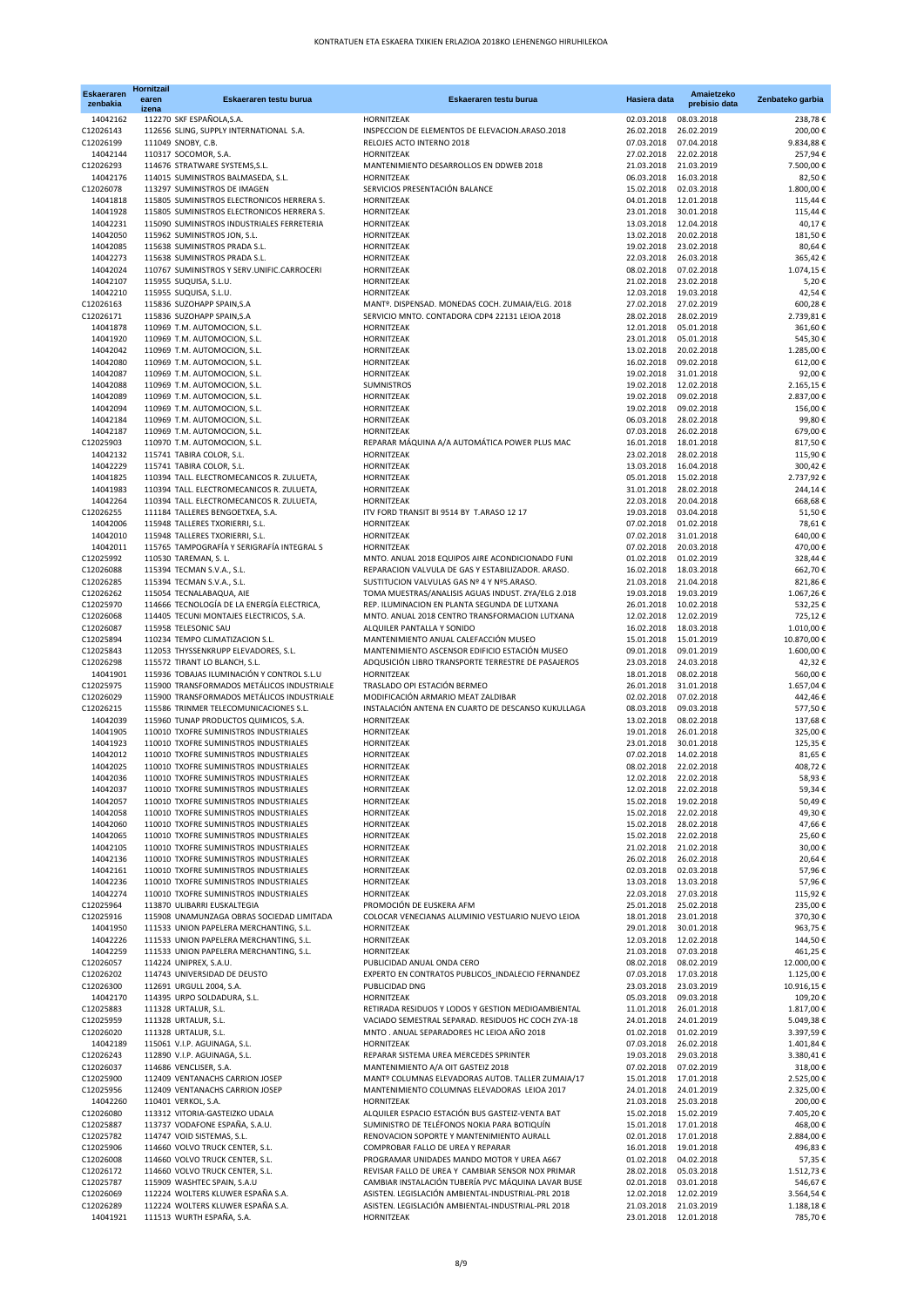| <b>Eskaeraren</b><br>zenbakia | Hornitzail<br>earen<br>izena | Eskaeraren testu burua                                                                   | Eskaeraren testu burua                                                                                   | Hasiera data                        | Amaietzeko<br>prebisio data | Zenbateko garbia         |
|-------------------------------|------------------------------|------------------------------------------------------------------------------------------|----------------------------------------------------------------------------------------------------------|-------------------------------------|-----------------------------|--------------------------|
| 14042162                      |                              | 112270 SKF ESPAÑOLA, S.A.                                                                | HORNITZEAK                                                                                               | 02.03.2018                          | 08.03.2018                  | 238,78 €                 |
| C12026143                     |                              | 112656 SLING, SUPPLY INTERNATIONAL S.A.                                                  | INSPECCION DE ELEMENTOS DE ELEVACION.ARASO.2018                                                          | 26.02.2018                          | 26.02.2019                  | 200,00 €                 |
| C12026199<br>14042144         |                              | 111049 SNOBY, C.B.                                                                       | RELOJES ACTO INTERNO 2018<br>HORNITZEAK                                                                  | 07.03.2018<br>27.02.2018            | 07.04.2018<br>22.02.2018    | 9.834,88 €               |
| C12026293                     |                              | 110317 SOCOMOR, S.A.<br>114676 STRATWARE SYSTEMS, S.L.                                   | MANTENIMIENTO DESARROLLOS EN DDWEB 2018                                                                  | 21.03.2018                          | 21.03.2019                  | 257,94 €<br>7.500,00 €   |
| 14042176                      |                              | 114015 SUMINISTROS BALMASEDA, S.L.                                                       | HORNITZEAK                                                                                               | 06.03.2018                          | 16.03.2018                  | 82,50 €                  |
| C12026078                     |                              | 113297 SUMINISTROS DE IMAGEN                                                             | SERVICIOS PRESENTACIÓN BALANCE                                                                           | 15.02.2018                          | 02.03.2018                  | 1.800,00 €               |
| 14041818                      |                              | 115805 SUMINISTROS ELECTRONICOS HERRERA S.                                               | HORNITZEAK                                                                                               | 04.01.2018                          | 12.01.2018                  | 115,44                   |
| 14041928<br>14042231          |                              | 115805 SUMINISTROS ELECTRONICOS HERRERA S.<br>115090 SUMINISTROS INDUSTRIALES FERRETERIA | HORNITZEAK<br>HORNITZEAK                                                                                 | 23.01.2018<br>13.03.2018            | 30.01.2018<br>12.04.2018    | 115,44 €<br>40,17 €      |
| 14042050                      |                              | 115962 SUMINISTROS JON, S.L.                                                             | HORNITZEAK                                                                                               | 13.02.2018                          | 20.02.2018                  | 181,50 €                 |
| 14042085                      |                              | 115638 SUMINISTROS PRADA S.L.                                                            | HORNITZEAK                                                                                               | 19.02.2018                          | 23.02.2018                  | 80,64 €                  |
| 14042273                      |                              | 115638 SUMINISTROS PRADA S.L.                                                            | HORNITZEAK                                                                                               | 22.03.2018                          | 26.03.2018                  | 365,42 €                 |
| 14042024<br>14042107          |                              | 110767 SUMINISTROS Y SERV.UNIFIC.CARROCERI<br>115955 SUQUISA, S.L.U.                     | HORNITZEAK<br>HORNITZEAK                                                                                 | 08.02.2018<br>21.02.2018            | 07.02.2018<br>23.02.2018    | 1.074, 15                |
| 14042210                      |                              | 115955 SUQUISA, S.L.U.                                                                   | HORNITZEAK                                                                                               | 12.03.2018                          | 19.03.2018                  | $5,20$ 6<br>42,54 €      |
| C12026163                     |                              | 115836 SUZOHAPP SPAIN, S.A                                                               | MANTº. DISPENSAD. MONEDAS COCH. ZUMAIA/ELG. 2018                                                         | 27.02.2018                          | 27.02.2019                  | 600,28 €                 |
| C12026171                     |                              | 115836 SUZOHAPP SPAIN, S.A                                                               | SERVICIO MNTO. CONTADORA CDP4 22131 LEIOA 2018                                                           | 28.02.2018                          | 28.02.2019                  | 2.739,81 €               |
| 14041878                      |                              | 110969 T.M. AUTOMOCION, S.L.                                                             | HORNITZEAK                                                                                               | 12.01.2018                          | 05.01.2018                  | 361,60 €                 |
| 14041920<br>14042042          |                              | 110969 T.M. AUTOMOCION, S.L.<br>110969 T.M. AUTOMOCION, S.L.                             | HORNITZEAK<br>HORNITZEAK                                                                                 | 23.01.2018<br>13.02.2018            | 05.01.2018<br>20.02.2018    | 545,30 €<br>1.285,00 €   |
| 14042080                      |                              | 110969 T.M. AUTOMOCION, S.L.                                                             | HORNITZEAK                                                                                               | 16.02.2018                          | 09.02.2018                  | 612,00                   |
| 14042087                      |                              | 110969 T.M. AUTOMOCION, S.L.                                                             | HORNITZEAK                                                                                               | 19.02.2018                          | 31.01.2018                  | 92,00 $f$                |
| 14042088                      |                              | 110969 T.M. AUTOMOCION, S.L.                                                             | SUMNISTROS                                                                                               | 19.02.2018                          | 12.02.2018                  | 2.165,15                 |
| 14042089                      |                              | 110969 T.M. AUTOMOCION, S.L.                                                             | HORNITZEAK                                                                                               | 19.02.2018                          | 09.02.2018                  | 2.837,00 €               |
| 14042094<br>14042184          |                              | 110969 T.M. AUTOMOCION, S.L.<br>110969 T.M. AUTOMOCION, S.L.                             | HORNITZEAK<br>HORNITZEAK                                                                                 | 19.02.2018<br>06.03.2018            | 09.02.2018<br>28.02.2018    | 156,00<br>99,80 €        |
| 14042187                      |                              | 110969 T.M. AUTOMOCION, S.L.                                                             | HORNITZEAK                                                                                               | 07.03.2018                          | 26.02.2018                  | 679,00 €                 |
| C12025903                     |                              | 110970 T.M. AUTOMOCION, S.L.                                                             | REPARAR MÁQUINA A/A AUTOMÁTICA POWER PLUS MAC                                                            | 16.01.2018                          | 18.01.2018                  | 817,50 €                 |
| 14042132                      |                              | 115741 TABIRA COLOR, S.L.                                                                | HORNITZEAK                                                                                               | 23.02.2018                          | 28.02.2018                  | 115,90 €                 |
| 14042229                      |                              | 115741 TABIRA COLOR, S.L.                                                                | HORNITZEAK                                                                                               | 13.03.2018                          | 16.04.2018                  | 300,42 €                 |
| 14041825<br>14041983          |                              | 110394 TALL. ELECTROMECANICOS R. ZULUETA,<br>110394 TALL. ELECTROMECANICOS R. ZULUETA,   | HORNITZEAK<br>HORNITZEAK                                                                                 | 05.01.2018<br>31.01.2018            | 15.02.2018<br>28.02.2018    | 2.737,92 €<br>244,14     |
| 14042264                      |                              | 110394 TALL. ELECTROMECANICOS R. ZULUETA,                                                | HORNITZEAK                                                                                               | 22.03.2018                          | 20.04.2018                  | 668,68                   |
| C12026255                     |                              | 111184 TALLERES BENGOETXEA, S.A.                                                         | ITV FORD TRANSIT BI 9514 BY T.ARASO 12 17                                                                | 19.03.2018                          | 03.04.2018                  | 51,50 €                  |
| 14042006                      |                              | 115948 TALLERES TXORIERRI, S.L.                                                          | HORNITZEAK                                                                                               | 07.02.2018                          | 01.02.2018                  | 78,61 €                  |
| 14042010                      |                              | 115948 TALLERES TXORIERRI, S.L.                                                          | HORNITZEAK                                                                                               | 07.02.2018                          | 31.01.2018                  | 640,00 €                 |
| 14042011<br>C12025992         |                              | 115765 TAMPOGRAFÍA Y SERIGRAFÍA INTEGRAL S<br>110530 TAREMAN, S. L.                      | HORNITZEAK<br>MNTO. ANUAL 2018 EQUIPOS AIRE ACONDICIONADO FUNI                                           | 07.02.2018<br>01.02.2018            | 20.03.2018<br>01.02.2019    | 470,00 €<br>328,44 €     |
| C12026088                     |                              | 115394 TECMAN S.V.A., S.L.                                                               | REPARACION VALVULA DE GAS Y ESTABILIZADOR. ARASO.                                                        | 16.02.2018                          | 18.03.2018                  | 662,70 €                 |
| C12026285                     |                              | 115394 TECMAN S.V.A., S.L.                                                               | SUSTITUCION VALVULAS GAS Nº 4 Y Nº5.ARASO.                                                               | 21.03.2018                          | 21.04.2018                  | 821,86                   |
| C12026262                     |                              | 115054 TECNALABAQUA, AIE                                                                 | TOMA MUESTRAS/ANALISIS AGUAS INDUST. ZYA/ELG 2.018                                                       | 19.03.2018                          | 19.03.2019                  | 1.067,26 €               |
| C12025970                     |                              | 114666 TECNOLOGÍA DE LA ENERGÍA ELECTRICA,                                               | REP. ILUMINACION EN PLANTA SEGUNDA DE LUTXANA                                                            | 26.01.2018                          | 10.02.2018                  | 532,25 €                 |
| C12026068<br>C12026087        |                              | 114405 TECUNI MONTAJES ELECTRICOS, S.A.<br>115958 TELESONIC SAU                          | MNTO. ANUAL 2018 CENTRO TRANSFORMACION LUTXANA<br>ALQUILER PANTALLA Y SONIDO                             | 12.02.2018<br>16.02.2018            | 12.02.2019<br>18.03.2018    | 725,12 €<br>1.010,00 €   |
| C12025894                     |                              | 110234 TEMPO CLIMATIZACION S.L.                                                          | MANTENIMIENTO ANUAL CALEFACCIÓN MUSEO                                                                    | 15.01.2018                          | 15.01.2019                  | 10.870,00 €              |
| C12025843                     |                              | 112053 THYSSENKRUPP ELEVADORES, S.L.                                                     | MANTENIMIENTO ASCENSOR EDIFICIO ESTACIÓN MUSEO                                                           | 09.01.2018                          | 09.01.2019                  | 1.600,00 €               |
| C12026298                     |                              | 115572 TIRANT LO BLANCH, S.L.                                                            | ADQUSICIÓN LIBRO TRANSPORTE TERRESTRE DE PASAJEROS                                                       | 23.03.2018                          | 24.03.2018                  | 42,32 €                  |
| 14041901<br>C12025975         |                              | 115936 TOBAJAS ILUMINACIÓN Y CONTROL S.L.U<br>115900 TRANSFORMADOS METÁLICOS INDUSTRIALE | HORNITZEAK<br>TRASLADO OPI ESTACIÓN BERMEO                                                               | 18.01.2018<br>26.01.2018            | 08.02.2018<br>31.01.2018    | 560,00 €<br>1.657,04 €   |
| C12026029                     |                              | 115900 TRANSFORMADOS METÁLICOS INDUSTRIALE                                               | MODIFICACIÓN ARMARIO MEAT ZALDIBAR                                                                       | 02.02.2018                          | 07.02.2018                  | 442,46                   |
| C12026215                     |                              | 115586 TRINMER TELECOMUNICACIONES S.L.                                                   | INSTALACIÓN ANTENA EN CUARTO DE DESCANSO KUKULLAGA                                                       | 08.03.2018                          | 09.03.2018                  | 577,50 €                 |
| 14042039                      |                              | 115960 TUNAP PRODUCTOS QUIMICOS, S.A.                                                    | HORNITZEAK                                                                                               | 13.02.2018                          | 08.02.2018                  | 137,68 €                 |
| 14041905                      |                              | 110010 TXOFRE SUMINISTROS INDUSTRIALES                                                   | HORNITZEAK                                                                                               | 19.01.2018<br>23.01.2018            | 26.01.2018<br>30.01.2018    | 325,00 €                 |
| 14041923<br>14042012          |                              | 110010 TXOFRE SUMINISTROS INDUSTRIALES<br>110010 TXOFRE SUMINISTROS INDUSTRIALES         | HORNITZEAK<br>HORNITZEAK                                                                                 | 07.02.2018                          | 14.02.2018                  | 125,35 €<br>81,65 €      |
| 14042025                      |                              | 110010 TXOFRE SUMINISTROS INDUSTRIALES                                                   | HORNITZEAK                                                                                               | 08.02.2018 22.02.2018               |                             | 408,72 €                 |
| 14042036                      |                              | 110010 TXOFRE SUMINISTROS INDUSTRIALES                                                   | HORNITZEAK                                                                                               | 12.02.2018                          | 22.02.2018                  | 58,93 €                  |
| 14042037                      |                              | 110010 TXOFRE SUMINISTROS INDUSTRIALES                                                   | HORNITZEAK                                                                                               | 12.02.2018 22.02.2018               |                             | 59,34 €                  |
| 14042057<br>14042058          |                              | 110010 TXOFRE SUMINISTROS INDUSTRIALES<br>110010 TXOFRE SUMINISTROS INDUSTRIALES         | HORNITZEAK<br>HORNITZEAK                                                                                 | 15.02.2018<br>15.02.2018            | 19.02.2018<br>22.02.2018    | 50,49 €<br>49,30 €       |
| 14042060                      |                              | 110010 TXOFRE SUMINISTROS INDUSTRIALES                                                   | HORNITZEAK                                                                                               | 15.02.2018                          | 28.02.2018                  | 47,66 €                  |
| 14042065                      |                              | 110010 TXOFRE SUMINISTROS INDUSTRIALES                                                   | HORNITZEAK                                                                                               | 15.02.2018                          | 22.02.2018                  | 25,60 €                  |
| 14042105                      |                              | 110010 TXOFRE SUMINISTROS INDUSTRIALES                                                   | HORNITZEAK                                                                                               | 21.02.2018                          | 21.02.2018                  | 30,00 €                  |
| 14042136                      |                              | 110010 TXOFRE SUMINISTROS INDUSTRIALES                                                   | HORNITZEAK                                                                                               | 26.02.2018                          | 26.02.2018                  | 20,64 €                  |
| 14042161<br>14042236          |                              | 110010 TXOFRE SUMINISTROS INDUSTRIALES<br>110010 TXOFRE SUMINISTROS INDUSTRIALES         | HORNITZEAK<br>HORNITZEAK                                                                                 | 02.03.2018<br>13.03.2018            | 02.03.2018<br>13.03.2018    | 57,96 €<br>57,96 €       |
| 14042274                      |                              | 110010 TXOFRE SUMINISTROS INDUSTRIALES                                                   | HORNITZEAK                                                                                               | 22.03.2018                          | 27.03.2018                  | 115,92 €                 |
| C12025964                     |                              | 113870 ULIBARRI EUSKALTEGIA                                                              | PROMOCIÓN DE EUSKERA AFM                                                                                 | 25.01.2018                          | 25.02.2018                  | 235,00 €                 |
| C12025916                     |                              | 115908 UNAMUNZAGA OBRAS SOCIEDAD LIMITADA                                                | COLOCAR VENECIANAS ALUMINIO VESTUARIO NUEVO LEIOA                                                        | 18.01.2018                          | 23.01.2018                  | 370,30 €                 |
| 14041950                      |                              | 111533 UNION PAPELERA MERCHANTING, S.L.                                                  | HORNITZEAK                                                                                               | 29.01.2018                          | 30.01.2018                  | 963,75 €                 |
| 14042226<br>14042259          |                              | 111533 UNION PAPELERA MERCHANTING, S.L.<br>111533 UNION PAPELERA MERCHANTING, S.L.       | HORNITZEAK<br>HORNITZEAK                                                                                 | 12.03.2018<br>21.03.2018            | 12.02.2018<br>07.03.2018    | 144,50 €<br>461,25 €     |
| C12026057                     |                              | 114224 UNIPREX, S.A.U.                                                                   | PUBLICIDAD ANUAL ONDA CERO                                                                               | 08.02.2018                          | 08.02.2019                  | 12.000,00 €              |
| C12026202                     |                              | 114743 UNIVERSIDAD DE DEUSTO                                                             | EXPERTO EN CONTRATOS PUBLICOS INDALECIO FERNANDEZ                                                        | 07.03.2018                          | 17.03.2018                  | 1.125,00 €               |
| C12026300                     |                              | 112691 URGULL 2004, S.A.                                                                 | PUBLICIDAD DNG                                                                                           | 23.03.2018                          | 23.03.2019                  | 10.916,15 €              |
| 14042170                      |                              | 114395 URPO SOLDADURA, S.L.                                                              | HORNITZEAK                                                                                               | 05.03.2018                          | 09.03.2018                  | 109,20 €                 |
| C12025883<br>C12025959        |                              | 111328 URTALUR, S.L.<br>111328 URTALUR, S.L.                                             | RETIRADA RESIDUOS Y LODOS Y GESTION MEDIOAMBIENTAL<br>VACIADO SEMESTRAL SEPARAD. RESIDUOS HC COCH ZYA-18 | 11.01.2018<br>24.01.2018            | 26.01.2018<br>24.01.2019    | 1.817,00 €<br>5.049,38 € |
| C12026020                     |                              | 111328 URTALUR, S.L.                                                                     | MNTO . ANUAL SEPARADORES HC LEIOA AÑO 2018                                                               | 01.02.2018                          | 01.02.2019                  | 3.397,59 €               |
| 14042189                      |                              | 115061 V.I.P. AGUINAGA, S.L.                                                             | HORNITZEAK                                                                                               | 07.03.2018                          | 26.02.2018                  | 1.401,84 €               |
| C12026243                     |                              | 112890 V.I.P. AGUINAGA, S.L.                                                             | REPARAR SISTEMA UREA MERCEDES SPRINTER                                                                   | 19.03.2018                          | 29.03.2018                  | 3.380,41 €               |
| C12026037<br>C12025900        |                              | 114686 VENCLISER, S.A.<br>112409 VENTANACHS CARRION JOSEP                                | MANTENIMIENTO A/A OIT GASTEIZ 2018<br>MANTº COLUMNAS ELEVADORAS AUTOB. TALLER ZUMAIA/17                  | 07.02.2018<br>15.01.2018            | 07.02.2019<br>17.01.2018    | 318,00 €<br>2.525,00 €   |
| C12025956                     |                              | 112409 VENTANACHS CARRION JOSEP                                                          | MANTENIMIENTO COLUMNAS ELEVADORAS LEIOA 2017                                                             | 24.01.2018                          | 24.01.2019                  | 2.325,00 €               |
| 14042260                      |                              | 110401 VERKOL, S.A.                                                                      | HORNITZEAK                                                                                               | 21.03.2018                          | 25.03.2018                  | 200,00 €                 |
| C12026080                     |                              | 113312 VITORIA-GASTEIZKO UDALA                                                           | ALQUILER ESPACIO ESTACIÓN BUS GASTEIZ-VENTA BAT                                                          | 15.02.2018                          | 15.02.2019                  | 7.405,20 €               |
| C12025887                     |                              | 113737 VODAFONE ESPAÑA, S.A.U.                                                           | SUMINISTRO DE TELÉFONOS NOKIA PARA BOTIQUÍN                                                              | 15.01.2018                          | 17.01.2018                  | 468,00 €                 |
| C12025782<br>C12025906        |                              | 114747 VOID SISTEMAS, S.L.<br>114660 VOLVO TRUCK CENTER, S.L.                            | RENOVACION SOPORTE Y MANTENIMIENTO AURALL<br>COMPROBAR FALLO DE UREA Y REPARAR                           | 02.01.2018<br>16.01.2018            | 17.01.2018<br>19.01.2018    | 2.884,00 €<br>496,83 €   |
| C12026008                     |                              | 114660 VOLVO TRUCK CENTER, S.L.                                                          | PROGRAMAR UNIDADES MANDO MOTOR Y UREA A667                                                               | 01.02.2018                          | 04.02.2018                  | 57,35 €                  |
| C12026172                     |                              | 114660 VOLVO TRUCK CENTER, S.L.                                                          | REVISAR FALLO DE UREA Y CAMBIAR SENSOR NOX PRIMAR                                                        | 28.02.2018                          | 05.03.2018                  | 1.512,73                 |
| C12025787                     |                              | 115909 WASHTEC SPAIN, S.A.U                                                              | CAMBIAR INSTALACIÓN TUBERÍA PVC MÁQUINA LAVAR BUSE                                                       | 02.01.2018                          | 03.01.2018                  | 546,67                   |
| C12026069                     |                              | 112224 WOLTERS KLUWER ESPAÑA S.A.                                                        | ASISTEN. LEGISLACIÓN AMBIENTAL-INDUSTRIAL-PRL 2018                                                       | 12.02.2018                          | 12.02.2019                  | 3.564,54 €               |
| C12026289<br>14041921         |                              | 112224 WOLTERS KLUWER ESPAÑA S.A.<br>111513 WURTH ESPAÑA, S.A.                           | ASISTEN. LEGISLACIÓN AMBIENTAL-INDUSTRIAL-PRL 2018<br>HORNITZEAK                                         | 21.03.2018<br>23.01.2018 12.01.2018 | 21.03.2019                  | 1.188,18<br>785,70 €     |